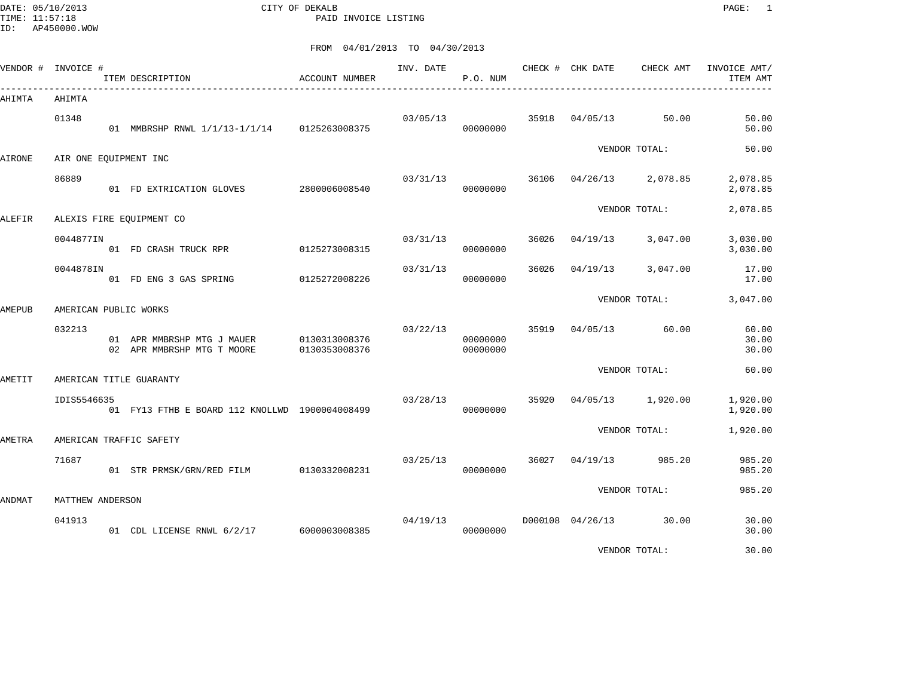DATE: 05/10/2013 CITY OF DEKALB PAGE: 1 PAID INVOICE LISTING

ID: AP450000.WOW

| VENDOR # INVOICE # |                  | ITEM DESCRIPTION                                         | <b>ACCOUNT NUMBER</b>          | INV. DATE | P.O. NUM             |       | CHECK # CHK DATE | CHECK AMT              | INVOICE AMT/<br>ITEM AMT |
|--------------------|------------------|----------------------------------------------------------|--------------------------------|-----------|----------------------|-------|------------------|------------------------|--------------------------|
| AHIMTA             | AHIMTA           |                                                          |                                |           |                      |       |                  |                        |                          |
|                    | 01348            | 01 MMBRSHP RNWL 1/1/13-1/1/14 0125263008375              |                                | 03/05/13  | 00000000             | 35918 | 04/05/13         | 50.00                  | 50.00<br>50.00           |
| <b>AIRONE</b>      |                  |                                                          |                                |           |                      |       |                  | VENDOR TOTAL:          | 50.00                    |
|                    |                  | AIR ONE EQUIPMENT INC                                    |                                |           |                      |       |                  |                        |                          |
|                    | 86889            | 01 FD EXTRICATION GLOVES                                 | 2800006008540                  | 03/31/13  | 00000000             | 36106 | 04/26/13         | 2,078.85               | 2,078.85<br>2,078.85     |
| ALEFIR             |                  | ALEXIS FIRE EQUIPMENT CO                                 |                                |           |                      |       |                  | VENDOR TOTAL:          | 2,078.85                 |
|                    |                  |                                                          |                                |           |                      |       |                  |                        |                          |
|                    | 0044877IN        | 01 FD CRASH TRUCK RPR                                    | 0125273008315                  | 03/31/13  | 00000000             | 36026 | 04/19/13         | 3,047.00               | 3,030.00<br>3,030.00     |
|                    | 0044878IN        | 01 FD ENG 3 GAS SPRING                                   | 0125272008226                  | 03/31/13  | 00000000             | 36026 | 04/19/13         | 3,047.00               | 17.00<br>17.00           |
|                    |                  |                                                          |                                |           |                      |       |                  | VENDOR TOTAL:          | 3,047.00                 |
| AMEPUB             |                  | AMERICAN PUBLIC WORKS                                    |                                |           |                      |       |                  |                        |                          |
|                    | 032213           | 01 APR MMBRSHP MTG J MAUER<br>02 APR MMBRSHP MTG T MOORE | 0130313008376<br>0130353008376 | 03/22/13  | 00000000<br>00000000 | 35919 | 04/05/13         | 60.00                  | 60.00<br>30.00<br>30.00  |
| AMETIT             |                  | AMERICAN TITLE GUARANTY                                  |                                |           |                      |       |                  | VENDOR TOTAL:          | 60.00                    |
|                    |                  |                                                          |                                |           |                      |       |                  |                        |                          |
|                    | IDIS5546635      | 01 FY13 FTHB E BOARD 112 KNOLLWD 1900004008499           |                                | 03/28/13  | 00000000             | 35920 | 04/05/13         | 1,920.00               | 1,920.00<br>1,920.00     |
| <b>AMETRA</b>      |                  | AMERICAN TRAFFIC SAFETY                                  |                                |           |                      |       |                  | VENDOR TOTAL:          | 1,920.00                 |
|                    |                  |                                                          |                                |           |                      |       |                  |                        |                          |
|                    | 71687            | 01 STR PRMSK/GRN/RED FILM 0130332008231                  |                                | 03/25/13  | 00000000             | 36027 | 04/19/13         | 985.20                 | 985.20<br>985.20         |
|                    |                  |                                                          |                                |           |                      |       |                  | VENDOR TOTAL:          | 985.20                   |
| ANDMAT             | MATTHEW ANDERSON |                                                          |                                |           |                      |       |                  |                        |                          |
|                    | 041913           | 01 CDL LICENSE RNWL 6/2/17 6000003008385                 |                                | 04/19/13  | 00000000             |       |                  | D000108 04/26/13 30.00 | 30.00<br>30.00           |
|                    |                  |                                                          |                                |           |                      |       |                  | VENDOR TOTAL:          | 30.00                    |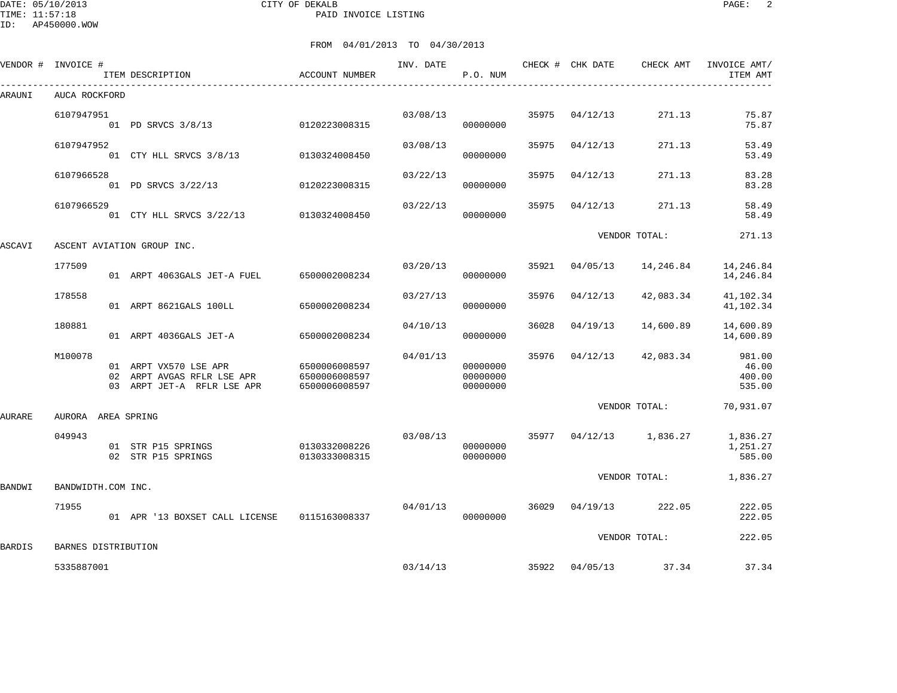#### DATE: 05/10/2013 CITY OF DEKALB PAGE: 2 PAID INVOICE LISTING

|               | VENDOR # INVOICE #  | ITEM DESCRIPTION                                                                  | ACCOUNT NUMBER                                  | INV. DATE | P.O. NUM                         |       | CHECK # CHK DATE | CHECK AMT     | INVOICE AMT/<br>ITEM AMT            |
|---------------|---------------------|-----------------------------------------------------------------------------------|-------------------------------------------------|-----------|----------------------------------|-------|------------------|---------------|-------------------------------------|
| ARAUNI        | AUCA ROCKFORD       |                                                                                   |                                                 |           |                                  |       |                  |               |                                     |
|               | 6107947951          | 01 PD SRVCS 3/8/13                                                                | 0120223008315                                   | 03/08/13  | 00000000                         | 35975 | 04/12/13         | 271.13        | 75.87<br>75.87                      |
|               | 6107947952          | 01 CTY HLL SRVCS 3/8/13                                                           | 0130324008450                                   | 03/08/13  | 00000000                         | 35975 | 04/12/13         | 271.13        | 53.49<br>53.49                      |
|               | 6107966528          | 01 PD SRVCS 3/22/13                                                               | 0120223008315                                   | 03/22/13  | 00000000                         | 35975 | 04/12/13         | 271.13        | 83.28<br>83.28                      |
|               | 6107966529          | 01 CTY HLL SRVCS 3/22/13 0130324008450                                            |                                                 | 03/22/13  | 00000000                         | 35975 | 04/12/13         | 271.13        | 58.49<br>58.49                      |
| ASCAVI        |                     | ASCENT AVIATION GROUP INC.                                                        |                                                 |           |                                  |       |                  | VENDOR TOTAL: | 271.13                              |
|               | 177509              | 01 ARPT 4063GALS JET-A FUEL                                                       | 6500002008234                                   | 03/20/13  | 00000000                         | 35921 | 04/05/13         | 14,246.84     | 14,246.84<br>14,246.84              |
|               | 178558              | 01 ARPT 8621GALS 100LL                                                            | 6500002008234                                   | 03/27/13  | 00000000                         | 35976 | 04/12/13         | 42,083.34     | 41,102.34<br>41,102.34              |
|               | 180881              | 01 ARPT 4036GALS JET-A                                                            | 6500002008234                                   | 04/10/13  | 00000000                         | 36028 | 04/19/13         | 14,600.89     | 14,600.89<br>14,600.89              |
|               | M100078             | 01 ARPT VX570 LSE APR<br>02 ARPT AVGAS RFLR LSE APR<br>03 ARPT JET-A RFLR LSE APR | 6500006008597<br>6500006008597<br>6500006008597 | 04/01/13  | 00000000<br>00000000<br>00000000 | 35976 | 04/12/13         | 42,083.34     | 981.00<br>46.00<br>400.00<br>535.00 |
| AURARE        | AURORA AREA SPRING  |                                                                                   |                                                 |           |                                  |       |                  | VENDOR TOTAL: | 70,931.07                           |
|               | 049943              | 01 STR P15 SPRINGS<br>02 STR P15 SPRINGS                                          | 0130332008226<br>0130333008315                  | 03/08/13  | 00000000<br>00000000             | 35977 | 04/12/13         | 1,836.27      | 1,836.27<br>1,251.27<br>585.00      |
| <b>BANDWI</b> | BANDWIDTH.COM INC.  |                                                                                   |                                                 |           |                                  |       |                  | VENDOR TOTAL: | 1,836.27                            |
|               | 71955               | 01 APR '13 BOXSET CALL LICENSE                                                    | 0115163008337                                   | 04/01/13  | 00000000                         | 36029 | 04/19/13         | 222.05        | 222.05<br>222.05                    |
| <b>BARDIS</b> | BARNES DISTRIBUTION |                                                                                   |                                                 |           |                                  |       |                  | VENDOR TOTAL: | 222.05                              |
|               | 5335887001          |                                                                                   |                                                 | 03/14/13  |                                  | 35922 | 04/05/13         | 37.34         | 37.34                               |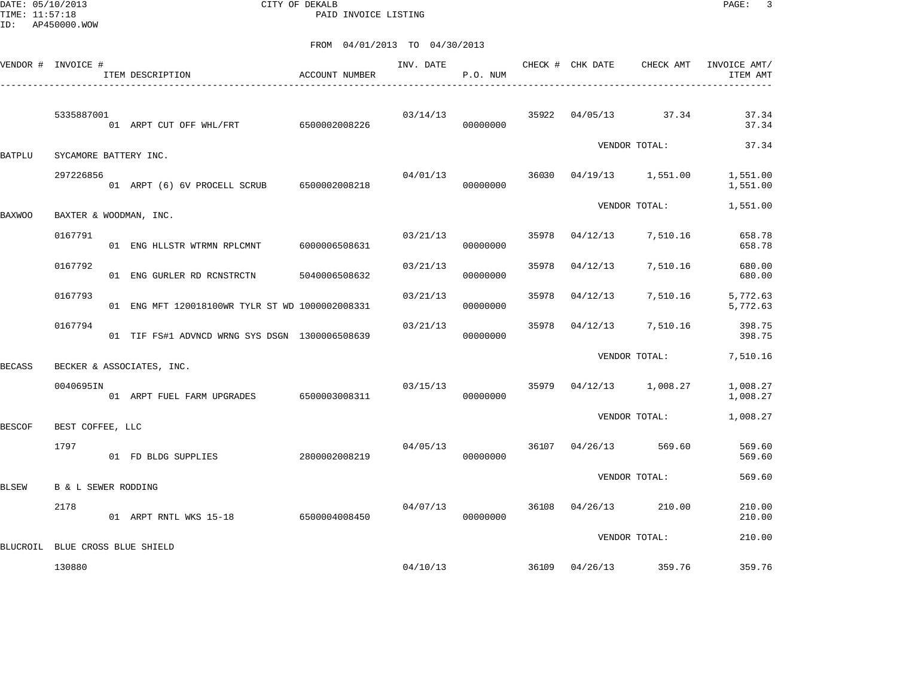DATE: 05/10/2013 CITY OF DEKALB PAGE: 3 PAID INVOICE LISTING

| VENDOR # INVOICE # |                                | ITEM DESCRIPTION                                | ACCOUNT NUMBER | INV. DATE | P.O. NUM             |       |                | CHECK # CHK DATE CHECK AMT | INVOICE AMT/<br>ITEM AMT |
|--------------------|--------------------------------|-------------------------------------------------|----------------|-----------|----------------------|-------|----------------|----------------------------|--------------------------|
|                    | 5335887001                     | -<br>01 ARPT CUT OFF WHL/FRT 6500002008226      |                |           | 03/14/13<br>00000000 |       |                | 35922 04/05/13 37.34       | 37.34<br>37.34           |
| <b>BATPLU</b>      | SYCAMORE BATTERY INC.          |                                                 |                |           |                      |       |                | VENDOR TOTAL:              | 37.34                    |
|                    | 297226856                      | 01 ARPT (6) 6V PROCELL SCRUB 6500002008218      |                | 04/01/13  | 00000000             |       |                | 36030 04/19/13 1,551.00    | 1,551.00<br>1,551.00     |
| <b>BAXWOO</b>      |                                | BAXTER & WOODMAN, INC.                          |                |           |                      |       |                | VENDOR TOTAL:              | 1,551.00                 |
|                    | 0167791                        | 01 ENG HLLSTR WTRMN RPLCMNT                     | 6000006508631  | 03/21/13  | 00000000             |       | 35978 04/12/13 | 7,510.16                   | 658.78<br>658.78         |
|                    | 0167792                        | 01 ENG GURLER RD RCNSTRCTN                      | 5040006508632  | 03/21/13  | 00000000             | 35978 | 04/12/13       | 7,510.16                   | 680.00<br>680.00         |
|                    | 0167793                        | 01 ENG MFT 120018100WR TYLR ST WD 1000002008331 |                | 03/21/13  | 00000000             | 35978 | 04/12/13       | 7,510.16                   | 5,772.63<br>5,772.63     |
|                    | 0167794                        | 01 TIF FS#1 ADVNCD WRNG SYS DSGN 1300006508639  |                | 03/21/13  | 00000000             | 35978 | 04/12/13       | 7,510.16                   | 398.75<br>398.75         |
| <b>BECASS</b>      |                                | BECKER & ASSOCIATES, INC.                       |                |           |                      |       |                | VENDOR TOTAL:              | 7,510.16                 |
|                    | 0040695IN                      | 01 ARPT FUEL FARM UPGRADES 6500003008311        |                | 03/15/13  | 00000000             |       |                | 35979 04/12/13 1,008.27    | 1,008.27<br>1,008.27     |
| <b>BESCOF</b>      | BEST COFFEE, LLC               |                                                 |                |           |                      |       |                | VENDOR TOTAL:              | 1,008.27                 |
|                    | 1797                           | 01 FD BLDG SUPPLIES                             | 2800002008219  | 04/05/13  | 00000000             |       |                | 36107 04/26/13 569.60      | 569.60<br>569.60         |
| <b>BLSEW</b>       | <b>B &amp; L SEWER RODDING</b> |                                                 |                |           |                      |       |                | VENDOR TOTAL:              | 569.60                   |
|                    | 2178                           | 01 ARPT RNTL WKS 15-18 6500004008450            |                | 04/07/13  | 00000000             |       |                | 36108 04/26/13 210.00      | 210.00<br>210.00         |
| BLUCROIL           |                                | BLUE CROSS BLUE SHIELD                          |                |           |                      |       |                | VENDOR TOTAL:              | 210.00                   |
|                    | 130880                         |                                                 |                | 04/10/13  |                      |       |                | 36109 04/26/13 359.76      | 359.76                   |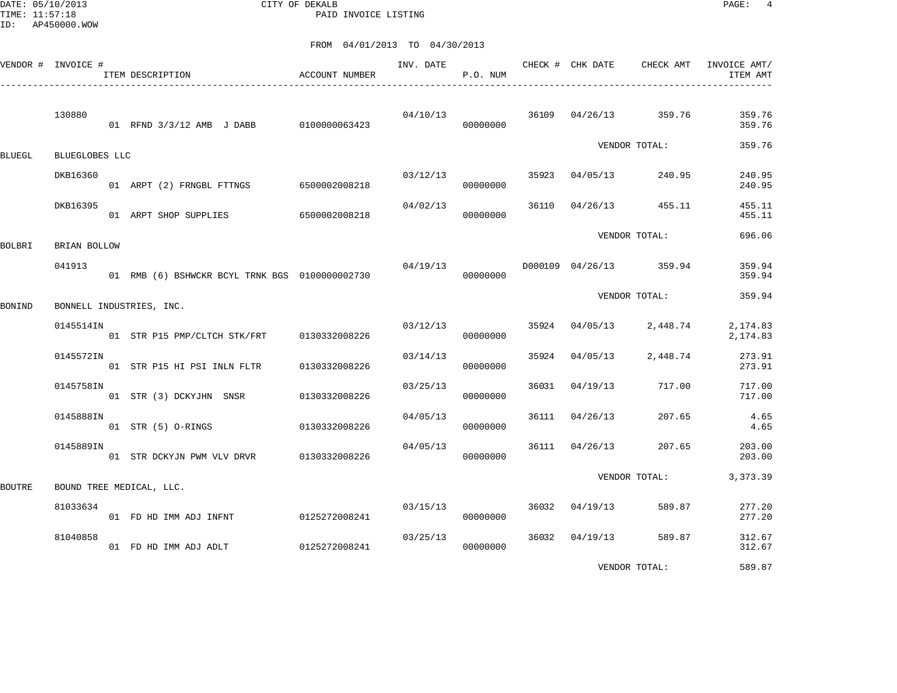DATE: 05/10/2013 CITY OF DEKALB PAGE: 4 PAID INVOICE LISTING

|               | VENDOR # INVOICE # | ITEM DESCRIPTION                               | ACCOUNT NUMBER | INV. DATE | P.O. NUM             |       | CHECK # CHK DATE | CHECK AMT               | INVOICE AMT/<br>ITEM AMT |
|---------------|--------------------|------------------------------------------------|----------------|-----------|----------------------|-------|------------------|-------------------------|--------------------------|
|               | 130880             | 01 RFND 3/3/12 AMB J DABB 0100000063423        |                |           | 04/10/13<br>00000000 |       | 36109 04/26/13   | 359.76                  | 359.76<br>359.76         |
| BLUEGL        | BLUEGLOBES LLC     |                                                |                |           |                      |       |                  | VENDOR TOTAL:           | 359.76                   |
|               | DKB16360           | 01 ARPT (2) FRNGBL FTTNGS 6500002008218        |                | 03/12/13  | 00000000             |       | 35923 04/05/13   | 240.95                  | 240.95<br>240.95         |
|               | DKB16395           | 01 ARPT SHOP SUPPLIES 6500002008218            |                | 04/02/13  | 00000000             |       | 36110 04/26/13   | 455.11                  | 455.11<br>455.11         |
| BOLBRI        | BRIAN BOLLOW       |                                                |                |           |                      |       |                  | VENDOR TOTAL:           | 696.06                   |
|               | 041913             | 01 RMB (6) BSHWCKR BCYL TRNK BGS 0100000002730 |                | 04/19/13  | 00000000             |       |                  | D000109 04/26/13 359.94 | 359.94<br>359.94         |
| BONIND        |                    | BONNELL INDUSTRIES, INC.                       |                |           |                      |       |                  | VENDOR TOTAL:           | 359.94                   |
|               | 0145514IN          | 01 STR P15 PMP/CLTCH STK/FRT                   | 0130332008226  | 03/12/13  | 00000000             |       | 35924 04/05/13   | 2,448.74                | 2,174.83<br>2,174.83     |
|               | 0145572IN          | 01 STR P15 HI PSI INLN FLTR                    | 0130332008226  | 03/14/13  | 00000000             | 35924 | 04/05/13         | 2,448.74                | 273.91<br>273.91         |
|               | 0145758IN          | 01 STR (3) DCKYJHN SNSR                        | 0130332008226  | 03/25/13  | 00000000             | 36031 | 04/19/13         | 717.00                  | 717.00<br>717.00         |
|               | 0145888IN          | 01 STR (5) O-RINGS                             | 0130332008226  | 04/05/13  | 00000000             | 36111 | 04/26/13         | 207.65                  | 4.65<br>4.65             |
|               | 0145889IN          | 01 STR DCKYJN PWM VLV DRVR                     | 0130332008226  | 04/05/13  | 00000000             | 36111 | 04/26/13         | 207.65                  | 203.00<br>203.00         |
| <b>BOUTRE</b> |                    | BOUND TREE MEDICAL, LLC.                       |                |           |                      |       |                  | VENDOR TOTAL:           | 3, 373.39                |
|               | 81033634           | 01 FD HD IMM ADJ INFNT                         | 0125272008241  | 03/15/13  | 00000000             | 36032 | 04/19/13         | 589.87                  | 277.20<br>277.20         |
|               | 81040858           | 01 FD HD IMM ADJ ADLT                          | 0125272008241  | 03/25/13  | 00000000             |       | 36032 04/19/13   | 589.87                  | 312.67<br>312.67         |
|               |                    |                                                |                |           |                      |       |                  | VENDOR TOTAL:           | 589.87                   |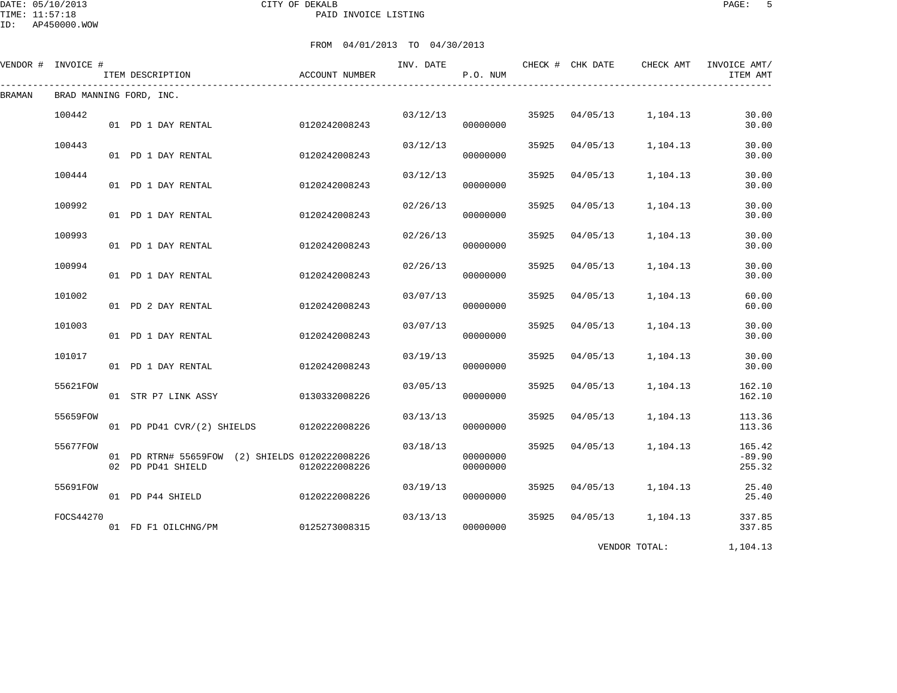#### DATE: 05/10/2013 CITY OF DEKALB PAGE: 5 PAID INVOICE LISTING

FROM 04/01/2013 TO 04/30/2013

|        | VENDOR # INVOICE # | ITEM DESCRIPTION                                                    | ACCOUNT NUMBER | INV. DATE | P.O. NUM             |       | CHECK # CHK DATE | CHECK AMT | INVOICE AMT/<br>ITEM AMT     |
|--------|--------------------|---------------------------------------------------------------------|----------------|-----------|----------------------|-------|------------------|-----------|------------------------------|
| BRAMAN |                    | BRAD MANNING FORD, INC.                                             |                |           |                      |       |                  |           |                              |
|        | 100442             | 01 PD 1 DAY RENTAL                                                  | 0120242008243  | 03/12/13  | 00000000             | 35925 | 04/05/13         | 1,104.13  | 30.00<br>30.00               |
|        | 100443             | 01 PD 1 DAY RENTAL                                                  | 0120242008243  | 03/12/13  | 00000000             | 35925 | 04/05/13         | 1,104.13  | 30.00<br>30.00               |
|        | 100444             | 01 PD 1 DAY RENTAL                                                  | 0120242008243  | 03/12/13  | 00000000             | 35925 | 04/05/13         | 1,104.13  | 30.00<br>30.00               |
|        | 100992             | 01 PD 1 DAY RENTAL                                                  | 0120242008243  | 02/26/13  | 00000000             | 35925 | 04/05/13         | 1,104.13  | 30.00<br>30.00               |
|        | 100993             | 01 PD 1 DAY RENTAL                                                  | 0120242008243  | 02/26/13  | 00000000             | 35925 | 04/05/13         | 1,104.13  | 30.00<br>30.00               |
|        | 100994             | 01 PD 1 DAY RENTAL                                                  | 0120242008243  | 02/26/13  | 00000000             | 35925 | 04/05/13         | 1,104.13  | 30.00<br>30.00               |
|        | 101002             | 01 PD 2 DAY RENTAL                                                  | 0120242008243  | 03/07/13  | 00000000             | 35925 | 04/05/13         | 1,104.13  | 60.00<br>60.00               |
|        | 101003             | 01 PD 1 DAY RENTAL                                                  | 0120242008243  | 03/07/13  | 00000000             | 35925 | 04/05/13         | 1,104.13  | 30.00<br>30.00               |
|        | 101017             | 01 PD 1 DAY RENTAL                                                  | 0120242008243  | 03/19/13  | 00000000             | 35925 | 04/05/13         | 1,104.13  | 30.00<br>30.00               |
|        | 55621FOW           | 01 STR P7 LINK ASSY                                                 | 0130332008226  | 03/05/13  | 00000000             | 35925 | 04/05/13         | 1,104.13  | 162.10<br>162.10             |
|        | 55659FOW           | 01 PD PD41 CVR/(2) SHIELDS 0120222008226                            |                | 03/13/13  | 00000000             | 35925 | 04/05/13         | 1,104.13  | 113.36<br>113.36             |
|        | 55677FOW           | 01 PD RTRN# 55659FOW (2) SHIELDS 0120222008226<br>02 PD PD41 SHIELD | 0120222008226  | 03/18/13  | 00000000<br>00000000 | 35925 | 04/05/13         | 1,104.13  | 165.42<br>$-89.90$<br>255.32 |
|        | 55691FOW           | 01 PD P44 SHIELD                                                    | 0120222008226  | 03/19/13  | 00000000             | 35925 | 04/05/13         | 1,104.13  | 25.40<br>25.40               |
|        | FOCS44270          | 01 FD F1 OILCHNG/PM                                                 | 0125273008315  | 03/13/13  | 00000000             | 35925 | 04/05/13         | 1,104.13  | 337.85<br>337.85             |

VENDOR TOTAL: 1,104.13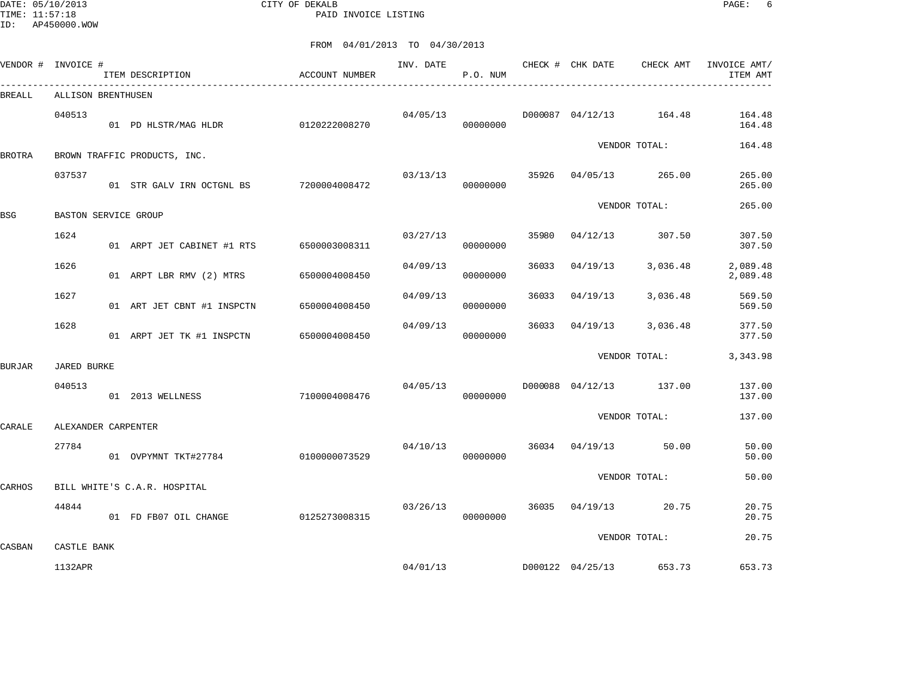DATE: 05/10/2013 CITY OF DEKALB PAGE: 6 PAID INVOICE LISTING

| VENDOR # INVOICE # |                        | ITEM DESCRIPTION                         | ACCOUNT NUMBER | INV. DATE | P.O. NUM |       | CHECK # CHK DATE | CHECK AMT               | INVOICE AMT/<br>ITEM AMT |
|--------------------|------------------------|------------------------------------------|----------------|-----------|----------|-------|------------------|-------------------------|--------------------------|
| BREALL             | ALLISON BRENTHUSEN     |                                          |                |           |          |       |                  |                         |                          |
|                    | 040513                 | 01 PD HLSTR/MAG HLDR                     | 0120222008270  | 04/05/13  | 00000000 |       |                  | D000087 04/12/13 164.48 | 164.48<br>164.48         |
| <b>BROTRA</b>      |                        | BROWN TRAFFIC PRODUCTS, INC.             |                |           |          |       |                  | VENDOR TOTAL:           | 164.48                   |
|                    | 037537                 | 01 STR GALV IRN OCTGNL BS                | 7200004008472  | 03/13/13  | 00000000 | 35926 | 04/05/13         | 265.00                  | 265.00<br>265.00         |
| <b>BSG</b>         | BASTON SERVICE GROUP   |                                          |                |           |          |       |                  | VENDOR TOTAL:           | 265.00                   |
|                    | 1624                   | 01 ARPT JET CABINET #1 RTS 6500003008311 |                | 03/27/13  | 00000000 | 35980 | 04/12/13         | 307.50                  | 307.50<br>307.50         |
|                    | 1626                   | 01 ARPT LBR RMV (2) MTRS                 | 6500004008450  | 04/09/13  | 00000000 | 36033 | 04/19/13         | 3,036.48                | 2,089.48<br>2,089.48     |
|                    | 1627                   | 01 ART JET CBNT #1 INSPCTN               | 6500004008450  | 04/09/13  | 00000000 | 36033 | 04/19/13         | 3,036.48                | 569.50<br>569.50         |
|                    | 1628                   | 01 ARPT JET TK #1 INSPCTN                | 6500004008450  | 04/09/13  | 00000000 | 36033 | 04/19/13         | 3,036.48                | 377.50<br>377.50         |
| <b>BURJAR</b>      | <b>JARED BURKE</b>     |                                          |                |           |          |       |                  | VENDOR TOTAL:           | 3,343.98                 |
|                    | 040513                 | 01 2013 WELLNESS                         | 7100004008476  | 04/05/13  | 00000000 |       |                  | D000088 04/12/13 137.00 | 137.00<br>137.00         |
| CARALE             | ALEXANDER CARPENTER    |                                          |                |           |          |       |                  | VENDOR TOTAL:           | 137.00                   |
|                    | 27784                  | 01 OVPYMNT TKT#27784                     | 0100000073529  | 04/10/13  | 00000000 | 36034 | 04/19/13         | 50.00                   | 50.00<br>50.00           |
| CARHOS             |                        | BILL WHITE'S C.A.R. HOSPITAL             |                |           |          |       |                  | VENDOR TOTAL:           | 50.00                    |
|                    | 44844                  | 01 FD FB07 OIL CHANGE                    | 0125273008315  | 03/26/13  | 00000000 |       | 36035 04/19/13   | 20.75                   | 20.75<br>20.75           |
|                    |                        |                                          |                |           |          |       |                  | VENDOR TOTAL:           | 20.75                    |
| CASBAN             | CASTLE BANK<br>1132APR |                                          |                | 04/01/13  |          |       |                  | D000122 04/25/13 653.73 | 653.73                   |
|                    |                        |                                          |                |           |          |       |                  |                         |                          |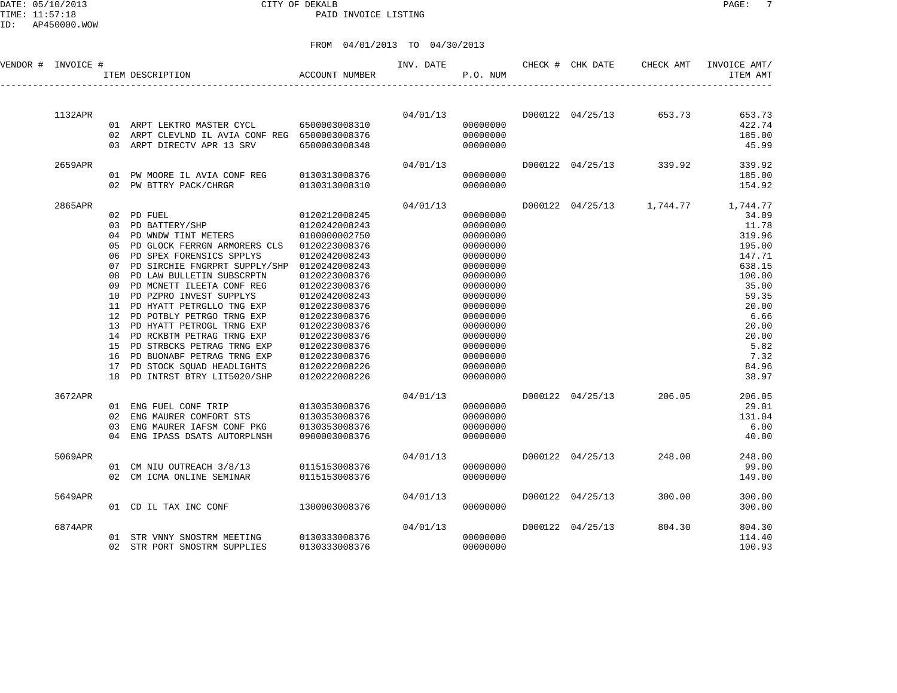#### DATE: 05/10/2013 CITY OF DEKALB PAGE: 7 PAID INVOICE LISTING

ID: AP450000.WOW

| VENDOR # INVOICE # |                                                                            | ITEM DESCRIPTION                                                                                                                                                                                                                                                                                                                                                                                                                                                                                        | <b>ACCOUNT NUMBER</b>                                                                                                                                                                                                                                                        | INV. DATE | P.O. NUM                                                                                                                                                                                                 | CHECK # CHK DATE | CHECK AMT               | INVOICE AMT/<br>ITEM AMT                                                                                                                                                                      |
|--------------------|----------------------------------------------------------------------------|---------------------------------------------------------------------------------------------------------------------------------------------------------------------------------------------------------------------------------------------------------------------------------------------------------------------------------------------------------------------------------------------------------------------------------------------------------------------------------------------------------|------------------------------------------------------------------------------------------------------------------------------------------------------------------------------------------------------------------------------------------------------------------------------|-----------|----------------------------------------------------------------------------------------------------------------------------------------------------------------------------------------------------------|------------------|-------------------------|-----------------------------------------------------------------------------------------------------------------------------------------------------------------------------------------------|
| 1132APR            | 02                                                                         | 01 ARPT LEKTRO MASTER CYCL<br>ARPT CLEVLND IL AVIA CONF REG 6500003008376<br>03 ARPT DIRECTV APR 13 SRV                                                                                                                                                                                                                                                                                                                                                                                                 | 6500003008310<br>6500003008348                                                                                                                                                                                                                                               | 04/01/13  | 00000000<br>00000000<br>00000000                                                                                                                                                                         |                  | D000122 04/25/13 653.73 | 653.73<br>422.74<br>185.00<br>45.99                                                                                                                                                           |
| 2659APR            |                                                                            | 01 PW MOORE IL AVIA CONF REG<br>02 PW BTTRY PACK/CHRGR                                                                                                                                                                                                                                                                                                                                                                                                                                                  | 0130313008376<br>0130313008310                                                                                                                                                                                                                                               | 04/01/13  | 00000000<br>00000000                                                                                                                                                                                     |                  | D000122 04/25/13 339.92 | 339.92<br>185.00<br>154.92                                                                                                                                                                    |
| 2865APR            | 05<br>06<br>07<br>08<br>09<br>10<br>11<br>12<br>13<br>14<br>15<br>16<br>17 | 02 PD FUEL<br>03 PD BATTERY/SHP<br>04 PD WNDW TINT METERS<br>PD GLOCK FERRGN ARMORERS CLS<br>PD SPEX FORENSICS SPPLYS<br>PD SIRCHIE FNGRPRT SUPPLY/SHP 0120242008243<br>PD LAW BULLETIN SUBSCRPTN<br>PD MCNETT ILEETA CONF REG<br>PD PZPRO INVEST SUPPLYS<br>PD HYATT PETRGLLO TNG EXP<br>PD POTBLY PETRGO TRNG EXP<br>PD HYATT PETROGL TRNG EXP<br>PD RCKBTM PETRAG TRNG EXP<br>PD STRBCKS PETRAG TRNG EXP<br>PD BUONABF PETRAG TRNG EXP<br>PD STOCK SQUAD HEADLIGHTS<br>18 PD INTRST BTRY LIT5020/SHP | 0120212008245<br>0120242008243<br>0100000002750<br>0120223008376<br>0120242008243<br>0120223008376<br>0120223008376<br>0120242008243<br>0120223008376<br>0120223008376<br>0120223008376<br>0120223008376<br>0120223008376<br>0120223008376<br>0120222008226<br>0120222008226 | 04/01/13  | 00000000<br>00000000<br>00000000<br>00000000<br>00000000<br>00000000<br>00000000<br>00000000<br>00000000<br>00000000<br>00000000<br>00000000<br>00000000<br>00000000<br>00000000<br>00000000<br>00000000 |                  |                         | D000122 04/25/13 1,744.77 1,744.77<br>34.09<br>11.78<br>319.96<br>195.00<br>147.71<br>638.15<br>100.00<br>35.00<br>59.35<br>20.00<br>6.66<br>20.00<br>20.00<br>5.82<br>7.32<br>84.96<br>38.97 |
| 3672APR            | 02<br>0 <sub>3</sub><br>04                                                 | 01 ENG FUEL CONF TRIP<br>ENG MAURER COMFORT STS<br>ENG MAURER IAFSM CONF PKG<br>ENG IPASS DSATS AUTORPLNSH                                                                                                                                                                                                                                                                                                                                                                                              | 0130353008376<br>0130353008376<br>0130353008376<br>0900003008376                                                                                                                                                                                                             | 04/01/13  | 00000000<br>00000000<br>00000000<br>00000000                                                                                                                                                             | D000122 04/25/13 | 206.05                  | 206.05<br>29.01<br>131.04<br>6.00<br>40.00                                                                                                                                                    |
| 5069APR            |                                                                            | 01 CM NIU OUTREACH 3/8/13 0115153008376<br>02 CM ICMA ONLINE SEMINAR                                                                                                                                                                                                                                                                                                                                                                                                                                    | 0115153008376                                                                                                                                                                                                                                                                | 04/01/13  | 00000000<br>00000000                                                                                                                                                                                     | D000122 04/25/13 | 248.00                  | 248.00<br>99.00<br>149.00                                                                                                                                                                     |
| 5649APR            |                                                                            | 01 CD IL TAX INC CONF                                                                                                                                                                                                                                                                                                                                                                                                                                                                                   | 1300003008376                                                                                                                                                                                                                                                                | 04/01/13  | 00000000                                                                                                                                                                                                 | D000122 04/25/13 | 300.00                  | 300.00<br>300.00                                                                                                                                                                              |
| 6874APR            |                                                                            | 01 STR VNNY SNOSTRM MEETING<br>02 STR PORT SNOSTRM SUPPLIES                                                                                                                                                                                                                                                                                                                                                                                                                                             | 0130333008376<br>0130333008376                                                                                                                                                                                                                                               | 04/01/13  | 00000000<br>00000000                                                                                                                                                                                     | D000122 04/25/13 | 804.30                  | 804.30<br>114.40<br>100.93                                                                                                                                                                    |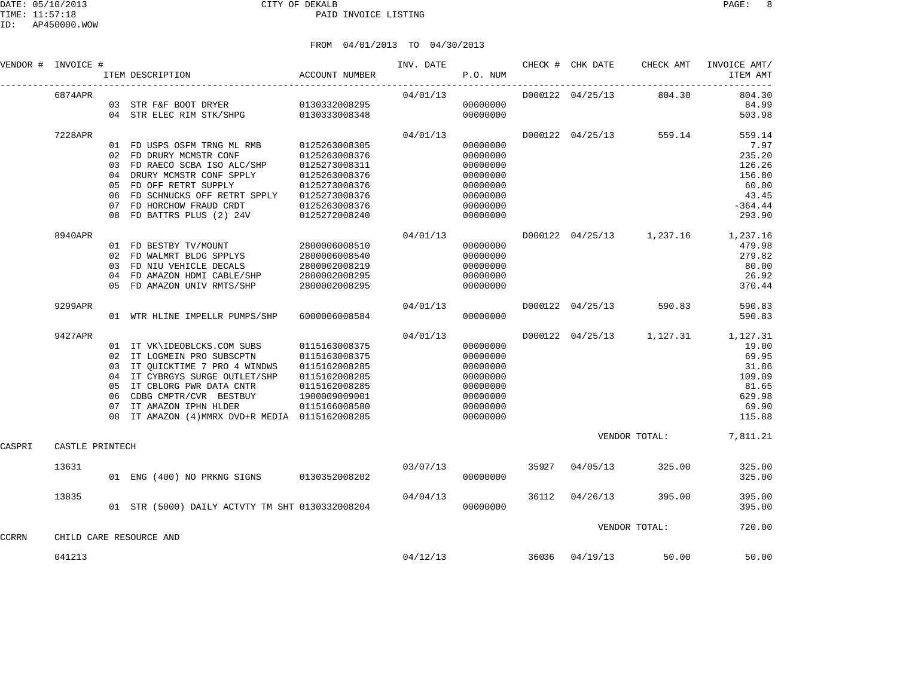### FROM 04/01/2013 TO 04/30/2013

|                    |         |     |                                              | 0 1 / 0 1 / 4 0 1 J |          |          |                            |                           |                                    |
|--------------------|---------|-----|----------------------------------------------|---------------------|----------|----------|----------------------------|---------------------------|------------------------------------|
| VENDOR # INVOICE # |         |     | ACCOUNT NUMBER<br>ITEM DESCRIPTION           |                     |          | P.O. NUM | INV. DATE CHECK # CHK DATE |                           | CHECK AMT INVOICE AMT/<br>ITEM AMT |
|                    | 6874APR | 0.3 | STR F&F BOOT DRYER 0130332008295             |                     | 04/01/13 | 00000000 | D000122 04/25/13           | 804.30                    | 804.30<br>84.99                    |
|                    |         |     | 04 STR ELEC RIM STK/SHPG 0130333008348       |                     |          | 00000000 |                            |                           | 503.98                             |
|                    | 7228APR |     |                                              |                     | 04/01/13 |          | D000122 04/25/13           | 559.14                    | 559.14                             |
|                    |         |     | 01 FD USPS OSFM TRNG ML RMB 0125263008305    |                     |          | 00000000 |                            |                           | 7.97                               |
|                    |         | 02  | FD DRURY MCMSTR CONF                         | 0125263008376       |          | 00000000 |                            |                           | 235.20                             |
|                    |         | 03  | FD RAECO SCBA ISO ALC/SHP                    | 0125273008311       |          | 00000000 |                            |                           | 126.26                             |
|                    |         | 04  | DRURY MCMSTR CONF SPPLY                      | 0125263008376       |          | 00000000 |                            |                           | 156.80                             |
|                    |         | 05  | FD OFF RETRT SUPPLY                          | 0125273008376       |          | 00000000 |                            |                           | 60.00                              |
|                    |         | 06  | FD SCHNUCKS OFF RETRT SPPLY                  | 0125273008376       |          | 00000000 |                            |                           | 43.45                              |
|                    |         | 07  | FD HORCHOW FRAUD CRDT                        | 0125263008376       |          | 00000000 |                            |                           | $-364.44$                          |
|                    |         | 08  | FD BATTRS PLUS (2) 24V                       | 0125272008240       |          | 00000000 |                            |                           | 293.90                             |
|                    | 8940APR |     |                                              |                     | 04/01/13 |          |                            | D000122 04/25/13 1,237.16 | 1,237.16                           |
|                    |         |     | 01 FD BESTBY TV/MOUNT                        | 2800006008510       |          | 00000000 |                            |                           | 479.98                             |
|                    |         | 02  | FD WALMRT BLDG SPPLYS                        | 2800006008540       |          | 00000000 |                            |                           | 279.82                             |
|                    |         | 03  | FD NIU VEHICLE DECALS                        | 2800002008219       |          | 00000000 |                            |                           | 80.00                              |
|                    |         | 04  | FD AMAZON HDMI CABLE/SHP                     | 2800002008295       |          | 00000000 |                            |                           | 26.92                              |
|                    |         | 0.5 | FD AMAZON UNIV RMTS/SHP                      | 2800002008295       |          | 00000000 |                            |                           | 370.44                             |
|                    | 9299APR |     |                                              |                     | 04/01/13 |          | D000122 04/25/13           | 590.83                    | 590.83                             |
|                    |         |     | 01 WTR HLINE IMPELLR PUMPS/SHP               | 6000006008584       |          | 00000000 |                            |                           | 590.83                             |
|                    | 9427APR |     |                                              |                     | 04/01/13 |          |                            | D000122 04/25/13 1,127.31 | 1,127.31                           |
|                    |         |     | 01 IT VK\IDEOBLCKS.COM SUBS                  | 0115163008375       |          | 00000000 |                            |                           | 19.00                              |
|                    |         |     | 02 IT LOGMEIN PRO SUBSCPTN                   | 0115163008375       |          | 00000000 |                            |                           | 69.95                              |
|                    |         | 03  | IT QUICKTIME 7 PRO 4 WINDWS                  | 0115162008285       |          | 00000000 |                            |                           | 31.86                              |
|                    |         | 04  | IT CYBRGYS SURGE OUTLET/SHP                  | 0115162008285       |          | 00000000 |                            |                           | 109.09                             |
|                    |         | 05  | IT CBLORG PWR DATA CNTR                      | 0115162008285       |          | 00000000 |                            |                           | 81.65                              |
|                    |         | 06  | CDBG CMPTR/CVR BESTBUY                       | 1900009009001       |          | 00000000 |                            |                           | 629.98                             |
|                    |         | 07  | IT AMAZON IPHN HLDER                         | 0115166008580       |          | 00000000 |                            |                           | 69.90                              |
|                    |         | 08  | IT AMAZON (4) MMRX DVD+R MEDIA 0115162008285 |                     |          | 00000000 |                            |                           | 115.88                             |

VENDOR TOTAL: THE PRINTECH STATE OF THE SERVICE OF STATE SERVICE SERVICE OF THE SERVICE OF THE SERVICE OF THE SERVICE OF THE SERVICE OF THE SERVICE OF THE SERVICE OF THE SERVICE OF THE SERVICE OF THE SERVICE OF THE SERVICE CASTLE PRINTECH

|       | 041213 |    |                         |                          |                                              | 04/12/13 |          | 36036 | 04/19/13 | 50.00         | 50.00            |
|-------|--------|----|-------------------------|--------------------------|----------------------------------------------|----------|----------|-------|----------|---------------|------------------|
| CCRRN |        |    | CHILD CARE RESOURCE AND |                          |                                              |          |          |       |          | VENDOR TOTAL: | 720.00           |
|       | 13835  | 01 |                         |                          | STR (5000) DAILY ACTVTY TM SHT 0130332008204 | 04/04/13 | 00000000 | 36112 | 04/26/13 | 395.00        | 395.00<br>395.00 |
|       | 13631  | 01 |                         | ENG (400) NO PRKNG SIGNS | 0130352008202                                | 03/07/13 | 00000000 | 35927 | 04/05/13 | 325.00        | 325.00<br>325.00 |
|       |        |    |                         |                          |                                              |          |          |       |          |               |                  |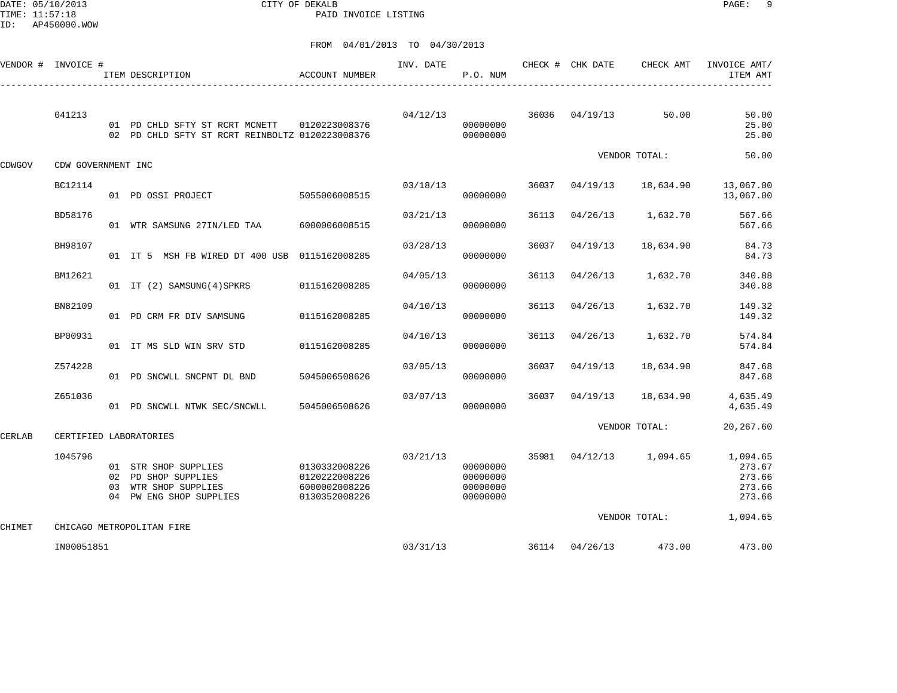DATE: 05/10/2013 CITY OF DEKALB PAGE: 9 PAID INVOICE LISTING

|               | VENDOR # INVOICE # | ACCOUNT NUMBER<br>ITEM DESCRIPTION<br>---------------------------------                          |                                                                  | INV. DATE | P.O. NUM                                     |       | CHECK # CHK DATE | CHECK AMT              | INVOICE AMT/<br>ITEM AMT                         |
|---------------|--------------------|--------------------------------------------------------------------------------------------------|------------------------------------------------------------------|-----------|----------------------------------------------|-------|------------------|------------------------|--------------------------------------------------|
|               | 041213             | 01 PD CHLD SFTY ST RCRT MCNETT  0120223008376<br>02 PD CHLD SFTY ST RCRT REINBOLTZ 0120223008376 |                                                                  | 04/12/13  | 00000000<br>00000000                         | 36036 |                  | $04/19/13$ 50.00       | 50.00<br>25.00<br>25.00                          |
| CDWGOV        | CDW GOVERNMENT INC |                                                                                                  |                                                                  |           |                                              |       |                  | VENDOR TOTAL:          | 50.00                                            |
|               | BC12114            | 01 PD OSSI PROJECT                                                                               | 5055006008515                                                    | 03/18/13  | 00000000                                     | 36037 | 04/19/13         | 18,634.90              | 13,067.00<br>13,067.00                           |
|               | BD58176            | 01 WTR SAMSUNG 27IN/LED TAA 6000006008515                                                        |                                                                  | 03/21/13  | 00000000                                     | 36113 | 04/26/13         | 1,632.70               | 567.66<br>567.66                                 |
|               | BH98107            | 01 IT 5 MSH FB WIRED DT 400 USB 0115162008285                                                    |                                                                  | 03/28/13  | 00000000                                     | 36037 | 04/19/13         | 18,634.90              | 84.73<br>84.73                                   |
|               | BM12621            | 01 IT (2) SAMSUNG (4) SPKRS 0115162008285                                                        |                                                                  | 04/05/13  | 00000000                                     | 36113 | 04/26/13         | 1,632.70               | 340.88<br>340.88                                 |
|               | BN82109            | 01 PD CRM FR DIV SAMSUNG                                                                         | 0115162008285                                                    | 04/10/13  | 00000000                                     | 36113 | 04/26/13         | 1,632.70               | 149.32<br>149.32                                 |
|               | BP00931            | 01 IT MS SLD WIN SRV STD                                                                         | 0115162008285                                                    | 04/10/13  | 00000000                                     | 36113 | 04/26/13         | 1,632.70               | 574.84<br>574.84                                 |
|               | Z574228            | 01 PD SNCWLL SNCPNT DL BND                                                                       | 5045006508626                                                    | 03/05/13  | 00000000                                     | 36037 | 04/19/13         | 18,634.90              | 847.68<br>847.68                                 |
|               | Z651036            | 01 PD SNCWLL NTWK SEC/SNCWLL 5045006508626                                                       |                                                                  | 03/07/13  | 00000000                                     | 36037 | 04/19/13         | 18,634.90              | 4,635.49<br>4,635.49                             |
| <b>CERLAB</b> |                    | CERTIFIED LABORATORIES                                                                           |                                                                  |           |                                              |       |                  | VENDOR TOTAL:          | 20,267.60                                        |
|               | 1045796            | 01 STR SHOP SUPPLIES<br>02 PD SHOP SUPPLIES<br>03 WTR SHOP SUPPLIES<br>04 PW ENG SHOP SUPPLIES   | 0130332008226<br>0120222008226<br>6000002008226<br>0130352008226 | 03/21/13  | 00000000<br>00000000<br>00000000<br>00000000 | 35981 |                  | 04/12/13 1,094.65      | 1,094.65<br>273.67<br>273.66<br>273.66<br>273.66 |
| CHIMET        |                    | CHICAGO METROPOLITAN FIRE                                                                        |                                                                  |           |                                              |       |                  | VENDOR TOTAL: 1,094.65 |                                                  |
|               | IN00051851         |                                                                                                  |                                                                  | 03/31/13  |                                              | 36114 |                  | 04/26/13 473.00        | 473.00                                           |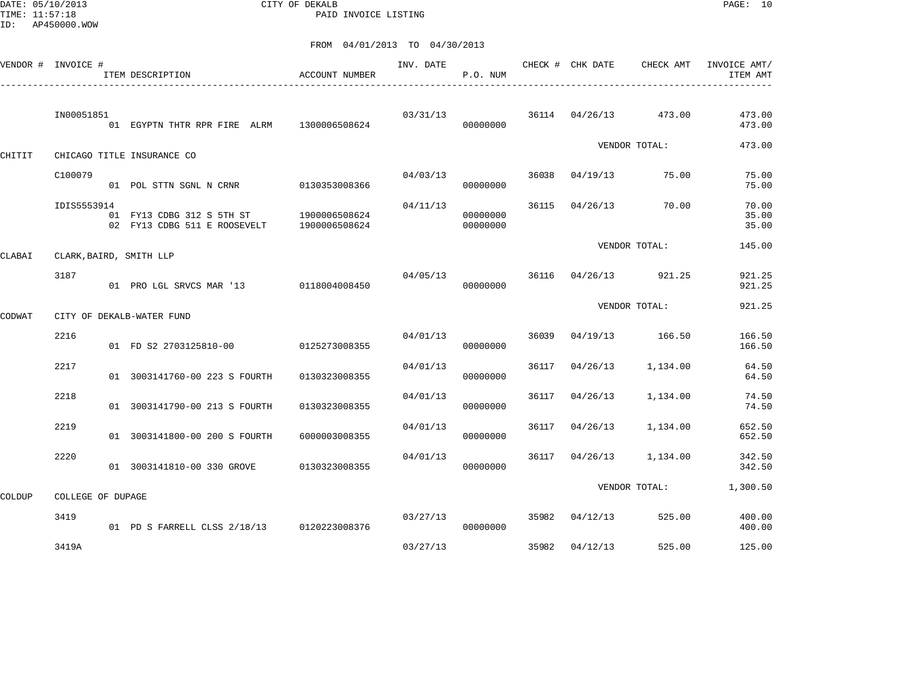DATE: 05/10/2013 CITY OF DEKALB PAGE: 10 PAID INVOICE LISTING

|        | VENDOR # INVOICE # | ITEM DESCRIPTION                                                        | ACCOUNT NUMBER | INV. DATE | P.O. NUM             |       | CHECK # CHK DATE | CHECK AMT             | INVOICE AMT/<br>ITEM AMT |
|--------|--------------------|-------------------------------------------------------------------------|----------------|-----------|----------------------|-------|------------------|-----------------------|--------------------------|
|        | IN00051851         | 01 EGYPTN THTR RPR FIRE ALRM                                            | 1300006508624  | 03/31/13  | 00000000             |       |                  | 36114 04/26/13 473.00 | 473.00<br>473.00         |
| CHITIT |                    | CHICAGO TITLE INSURANCE CO                                              |                |           |                      |       |                  | VENDOR TOTAL:         | 473.00                   |
|        | C100079            | 01 POL STTN SGNL N CRNR 0130353008366                                   |                | 04/03/13  | 00000000             | 36038 | 04/19/13         | 75.00                 | 75.00<br>75.00           |
|        | IDIS5553914        | 01 FY13 CDBG 312 S 5TH ST 1900006508624<br>02 FY13 CDBG 511 E ROOSEVELT | 1900006508624  | 04/11/13  | 00000000<br>00000000 | 36115 | 04/26/13         | 70.00                 | 70.00<br>35.00<br>35.00  |
| CLABAI |                    | CLARK, BAIRD, SMITH LLP                                                 |                |           |                      |       |                  | VENDOR TOTAL:         | 145.00                   |
|        | 3187               | 01 PRO LGL SRVCS MAR '13 0118004008450                                  |                | 04/05/13  | 00000000             |       |                  | 36116 04/26/13 921.25 | 921.25<br>921.25         |
| CODWAT |                    | CITY OF DEKALB-WATER FUND                                               |                |           |                      |       |                  | VENDOR TOTAL:         | 921.25                   |
|        | 2216               | 01 FD S2 2703125810-00                                                  | 0125273008355  | 04/01/13  | 00000000             | 36039 |                  | 04/19/13 166.50       | 166.50<br>166.50         |
|        | 2217               | 01 3003141760-00 223 S FOURTH                                           | 0130323008355  | 04/01/13  | 00000000             | 36117 | 04/26/13         | 1,134.00              | 64.50<br>64.50           |
|        | 2218               | 01 3003141790-00 213 S FOURTH                                           | 0130323008355  | 04/01/13  | 00000000             | 36117 | 04/26/13         | 1,134.00              | 74.50<br>74.50           |
|        | 2219               | 01 3003141800-00 200 S FOURTH                                           | 6000003008355  | 04/01/13  | 00000000             | 36117 | 04/26/13         | 1,134.00              | 652.50<br>652.50         |
|        | 2220               | 01 3003141810-00 330 GROVE                                              | 0130323008355  | 04/01/13  | 00000000             | 36117 | 04/26/13         | 1,134.00              | 342.50<br>342.50         |
| COLDUP | COLLEGE OF DUPAGE  |                                                                         |                |           |                      |       |                  | VENDOR TOTAL:         | 1,300.50                 |
|        | 3419               | 01 PD S FARRELL CLSS 2/18/13 0120223008376                              |                | 03/27/13  | 00000000             |       | 35982 04/12/13   | 525.00                | 400.00<br>400.00         |
|        | 3419A              |                                                                         |                | 03/27/13  |                      |       | 35982 04/12/13   | 525.00                | 125.00                   |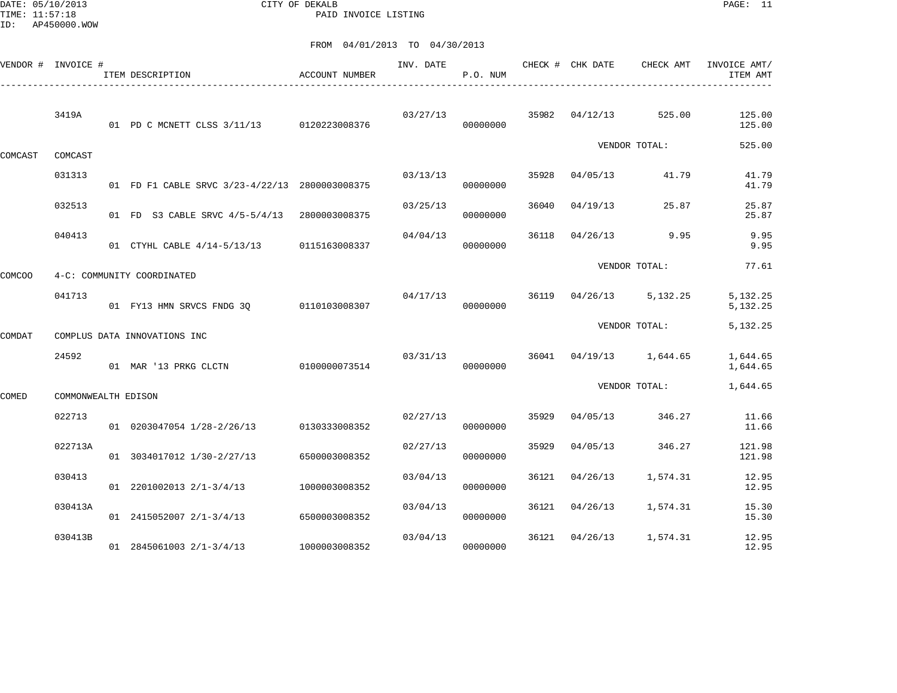DATE: 05/10/2013 CITY OF DEKALB PAGE: 11 PAID INVOICE LISTING

|         | VENDOR # INVOICE #  | ITEM DESCRIPTION                               | ACCOUNT NUMBER | INV. DATE | P.O. NUM |       | CHECK # CHK DATE | CHECK AMT           | INVOICE AMT/<br>ITEM AMT |
|---------|---------------------|------------------------------------------------|----------------|-----------|----------|-------|------------------|---------------------|--------------------------|
|         | 3419A               | 01 PD C MCNETT CLSS 3/11/13 0120223008376      |                | 03/27/13  | 00000000 | 35982 | 04/12/13         | 525.00              | 125.00<br>125.00         |
| COMCAST | COMCAST             |                                                |                |           |          |       |                  | VENDOR TOTAL:       | 525.00                   |
|         | 031313              | 01 FD F1 CABLE SRVC 3/23-4/22/13 2800003008375 |                | 03/13/13  | 00000000 | 35928 | 04/05/13         | 41.79               | 41.79<br>41.79           |
|         | 032513              | 01 FD S3 CABLE SRVC 4/5-5/4/13                 | 2800003008375  | 03/25/13  | 00000000 | 36040 | 04/19/13         | 25.87               | 25.87<br>25.87           |
|         | 040413              | 01 CTYHL CABLE 4/14-5/13/13                    | 0115163008337  | 04/04/13  | 00000000 | 36118 | 04/26/13         | 9.95                | 9.95<br>9.95             |
| COMCOO  |                     | 4-C: COMMUNITY COORDINATED                     |                |           |          |       |                  | VENDOR TOTAL:       | 77.61                    |
|         | 041713              | 01 FY13 HMN SRVCS FNDG 30                      | 0110103008307  | 04/17/13  | 00000000 | 36119 | 04/26/13         | 5,132.25            | 5,132.25<br>5,132.25     |
| COMDAT  |                     | COMPLUS DATA INNOVATIONS INC                   |                |           |          |       |                  | VENDOR TOTAL:       | 5,132.25                 |
|         | 24592               | 01 MAR '13 PRKG CLCTN                          | 0100000073514  | 03/31/13  | 00000000 | 36041 |                  | $04/19/13$ 1,644.65 | 1,644.65<br>1,644.65     |
| COMED   | COMMONWEALTH EDISON |                                                |                |           |          |       |                  | VENDOR TOTAL:       | 1,644.65                 |
|         | 022713              | 01 0203047054 1/28-2/26/13                     | 0130333008352  | 02/27/13  | 00000000 | 35929 | 04/05/13         | 346.27              | 11.66<br>11.66           |
|         | 022713A             | 01 3034017012 1/30-2/27/13                     | 6500003008352  | 02/27/13  | 00000000 | 35929 | 04/05/13         | 346.27              | 121.98<br>121.98         |
|         | 030413              | 01 2201002013 2/1-3/4/13                       | 1000003008352  | 03/04/13  | 00000000 | 36121 | 04/26/13         | 1,574.31            | 12.95<br>12.95           |
|         | 030413A             | 01 2415052007 2/1-3/4/13                       | 6500003008352  | 03/04/13  | 00000000 | 36121 | 04/26/13         | 1,574.31            | 15.30<br>15.30           |
|         | 030413B             | 01 2845061003 2/1-3/4/13                       | 1000003008352  | 03/04/13  | 00000000 | 36121 | 04/26/13         | 1,574.31            | 12.95<br>12.95           |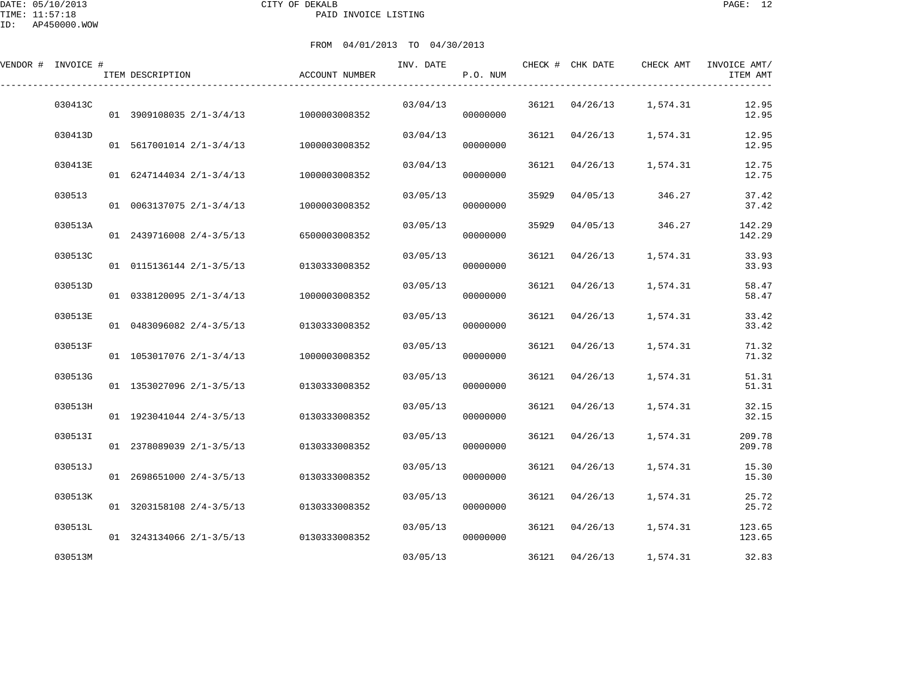| VENDOR # INVOICE # | ITEM DESCRIPTION           | ACCOUNT NUMBER | INV. DATE | P.O. NUM |       | CHECK # CHK DATE | CHECK AMT | INVOICE AMT/<br>ITEM AMT |
|--------------------|----------------------------|----------------|-----------|----------|-------|------------------|-----------|--------------------------|
| 030413C            | 01 3909108035 2/1-3/4/13   | 1000003008352  | 03/04/13  | 00000000 | 36121 | 04/26/13         | 1,574.31  | 12.95<br>12.95           |
| 030413D            | 01 5617001014 2/1-3/4/13   | 1000003008352  | 03/04/13  | 00000000 |       | 36121 04/26/13   | 1,574.31  | 12.95<br>12.95           |
| 030413E            | 01 6247144034 2/1-3/4/13   | 1000003008352  | 03/04/13  | 00000000 | 36121 | 04/26/13         | 1,574.31  | 12.75<br>12.75           |
| 030513             | $01$ 0063137075 2/1-3/4/13 | 1000003008352  | 03/05/13  | 00000000 | 35929 | 04/05/13         | 346.27    | 37.42<br>37.42           |
| 030513A            | 01 2439716008 2/4-3/5/13   | 6500003008352  | 03/05/13  | 00000000 | 35929 | 04/05/13         | 346.27    | 142.29<br>142.29         |
| 030513C            | 01 0115136144 2/1-3/5/13   | 0130333008352  | 03/05/13  | 00000000 | 36121 | 04/26/13         | 1,574.31  | 33.93<br>33.93           |
| 030513D            | $01$ 0338120095 2/1-3/4/13 | 1000003008352  | 03/05/13  | 00000000 | 36121 | 04/26/13         | 1,574.31  | 58.47<br>58.47           |
| 030513E            | 01 0483096082 2/4-3/5/13   | 0130333008352  | 03/05/13  | 00000000 | 36121 | 04/26/13         | 1,574.31  | 33.42<br>33.42           |
| 030513F            | 01 1053017076 2/1-3/4/13   | 1000003008352  | 03/05/13  | 00000000 | 36121 | 04/26/13         | 1,574.31  | 71.32<br>71.32           |
| 030513G            | 01 1353027096 2/1-3/5/13   | 0130333008352  | 03/05/13  | 00000000 | 36121 | 04/26/13         | 1,574.31  | 51.31<br>51.31           |
| 030513H            | 01 1923041044 2/4-3/5/13   | 0130333008352  | 03/05/13  | 00000000 | 36121 | 04/26/13         | 1,574.31  | 32.15<br>32.15           |
| 030513I            | 01 2378089039 2/1-3/5/13   | 0130333008352  | 03/05/13  | 00000000 | 36121 | 04/26/13         | 1,574.31  | 209.78<br>209.78         |
| 030513J            | 01 2698651000 2/4-3/5/13   | 0130333008352  | 03/05/13  | 00000000 | 36121 | 04/26/13         | 1,574.31  | 15.30<br>15.30           |
| 030513K            | 01 3203158108 2/4-3/5/13   | 0130333008352  | 03/05/13  | 00000000 | 36121 | 04/26/13         | 1,574.31  | 25.72<br>25.72           |
| 030513L            | 01 3243134066 2/1-3/5/13   | 0130333008352  | 03/05/13  | 00000000 |       | 36121 04/26/13   | 1,574.31  | 123.65<br>123.65         |
| 030513M            |                            |                | 03/05/13  |          |       | 36121 04/26/13   | 1,574.31  | 32.83                    |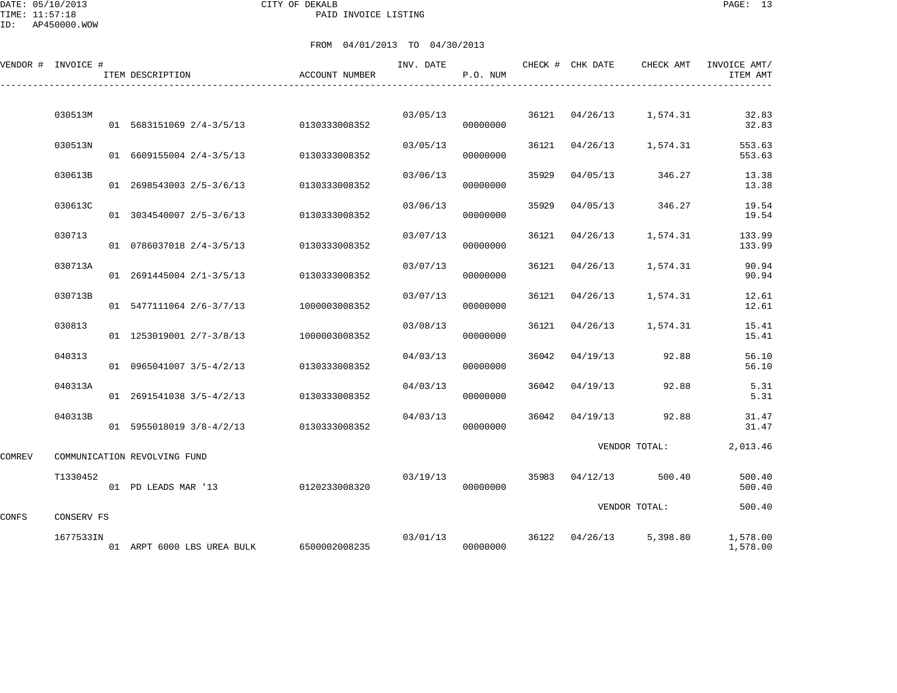|        | VENDOR # INVOICE # | ITEM DESCRIPTION                       | ACCOUNT NUMBER | INV. DATE | P.O. NUM             |       |                | CHECK # CHK DATE CHECK AMT | INVOICE AMT/<br>ITEM AMT |
|--------|--------------------|----------------------------------------|----------------|-----------|----------------------|-------|----------------|----------------------------|--------------------------|
|        | 030513M            |                                        |                | 03/05/13  |                      |       | 36121 04/26/13 | 1,574.31                   | 32.83                    |
|        |                    | 01 5683151069 2/4-3/5/13 0130333008352 |                |           | 00000000             |       |                |                            | 32.83                    |
|        | 030513N            | 01 6609155004 2/4-3/5/13               | 0130333008352  | 03/05/13  | 00000000             | 36121 | 04/26/13       | 1,574.31                   | 553.63<br>553.63         |
|        | 030613B            | 01 2698543003 2/5-3/6/13               | 0130333008352  | 03/06/13  | 00000000             | 35929 | 04/05/13       | 346.27                     | 13.38<br>13.38           |
|        | 030613C            | 01 3034540007 2/5-3/6/13               | 0130333008352  | 03/06/13  | 00000000             | 35929 | 04/05/13       | 346.27                     | 19.54<br>19.54           |
|        | 030713             | 01 0786037018 2/4-3/5/13               | 0130333008352  | 03/07/13  | 00000000             | 36121 | 04/26/13       | 1,574.31                   | 133.99<br>133.99         |
|        | 030713A            | 01 2691445004 2/1-3/5/13               | 0130333008352  | 03/07/13  | 00000000             | 36121 | 04/26/13       | 1,574.31                   | 90.94<br>90.94           |
|        | 030713B            | 01 5477111064 2/6-3/7/13               | 1000003008352  | 03/07/13  | 00000000             | 36121 | 04/26/13       | 1,574.31                   | 12.61<br>12.61           |
|        | 030813             | 01 1253019001 2/7-3/8/13               | 1000003008352  | 03/08/13  | 00000000             | 36121 | 04/26/13       | 1,574.31                   | 15.41<br>15.41           |
|        | 040313             | 01 0965041007 3/5-4/2/13               | 0130333008352  | 04/03/13  | 00000000             | 36042 | 04/19/13       | 92.88                      | 56.10<br>56.10           |
|        | 040313A            | 01 2691541038 3/5-4/2/13               | 0130333008352  | 04/03/13  | 00000000             |       | 36042 04/19/13 | 92.88                      | 5.31<br>5.31             |
|        | 040313B            | 01 5955018019 3/8-4/2/13               | 0130333008352  | 04/03/13  | 00000000             | 36042 | 04/19/13       | 92.88                      | 31.47<br>31.47           |
| COMREV |                    | COMMUNICATION REVOLVING FUND           |                |           |                      |       |                | VENDOR TOTAL:              | 2,013.46                 |
|        | T1330452           | 01 PD LEADS MAR '13                    | 0120233008320  | 03/19/13  | 00000000             |       | 35983 04/12/13 | 500.40                     | 500.40<br>500.40         |
|        |                    |                                        |                |           |                      |       |                | VENDOR TOTAL:              | 500.40                   |
| CONFS  | CONSERV FS         |                                        |                |           |                      |       |                |                            |                          |
|        | 1677533IN          | 01 ARPT 6000 LBS UREA BULK             | 6500002008235  |           | 03/01/13<br>00000000 |       |                | 36122 04/26/13 5,398.80    | 1,578.00<br>1,578.00     |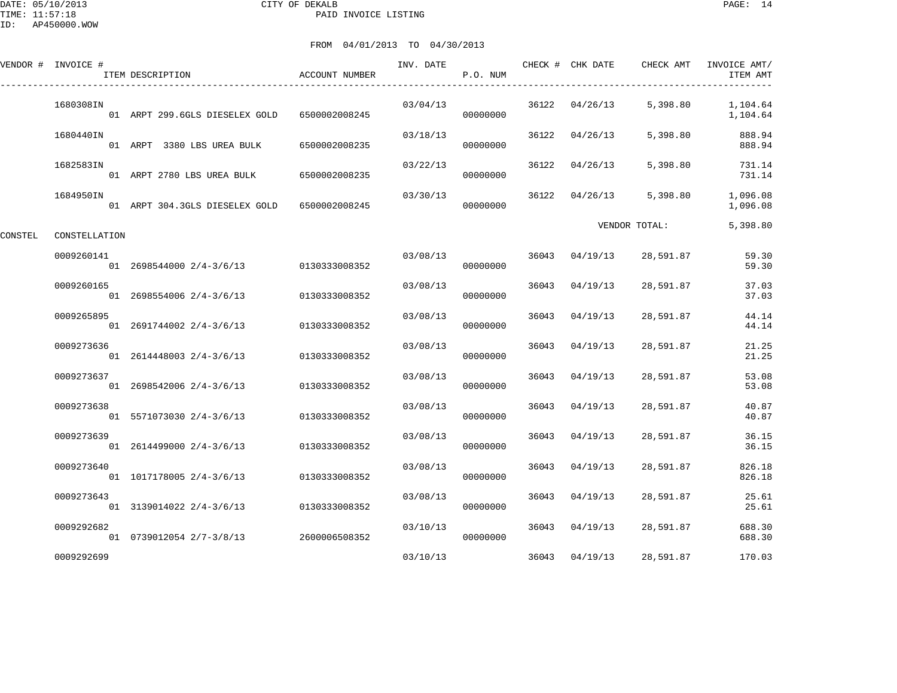DATE: 05/10/2013 CITY OF DEKALB PAGE: 14 PAID INVOICE LISTING

FROM 04/01/2013 TO 04/30/2013

|         | VENDOR # INVOICE # | ITEM DESCRIPTION                             | ACCOUNT NUMBER | INV. DATE | P.O. NUM |       | CHECK # CHK DATE | CHECK AMT     | INVOICE AMT/<br>ITEM AMT |
|---------|--------------------|----------------------------------------------|----------------|-----------|----------|-------|------------------|---------------|--------------------------|
|         | 1680308IN          | 01 ARPT 299.6GLS DIESELEX GOLD 6500002008245 |                | 03/04/13  | 00000000 |       | 36122 04/26/13   | 5,398.80      | 1,104.64<br>1,104.64     |
|         | 1680440IN          | 01 ARPT 3380 LBS UREA BULK                   | 6500002008235  | 03/18/13  | 00000000 | 36122 | 04/26/13         | 5,398.80      | 888.94<br>888.94         |
|         | 1682583IN          | 01 ARPT 2780 LBS UREA BULK                   | 6500002008235  | 03/22/13  | 00000000 | 36122 | 04/26/13         | 5,398.80      | 731.14<br>731.14         |
|         | 1684950IN          | 01 ARPT 304.3GLS DIESELEX GOLD               | 6500002008245  | 03/30/13  | 00000000 | 36122 | 04/26/13         | 5,398.80      | 1,096.08<br>1,096.08     |
| CONSTEL | CONSTELLATION      |                                              |                |           |          |       |                  | VENDOR TOTAL: | 5,398.80                 |
|         | 0009260141         | 01 2698544000 2/4-3/6/13 0130333008352       |                | 03/08/13  | 00000000 | 36043 | 04/19/13         | 28,591.87     | 59.30<br>59.30           |
|         | 0009260165         | 01 2698554006 2/4-3/6/13                     | 0130333008352  | 03/08/13  | 00000000 | 36043 | 04/19/13         | 28,591.87     | 37.03<br>37.03           |
|         | 0009265895         | 01 2691744002 2/4-3/6/13                     | 0130333008352  | 03/08/13  | 00000000 | 36043 | 04/19/13         | 28,591.87     | 44.14<br>44.14           |
|         | 0009273636         | 01 2614448003 2/4-3/6/13                     | 0130333008352  | 03/08/13  | 00000000 | 36043 | 04/19/13         | 28,591.87     | 21.25<br>21.25           |
|         | 0009273637         | 01 2698542006 2/4-3/6/13                     | 0130333008352  | 03/08/13  | 00000000 | 36043 | 04/19/13         | 28,591.87     | 53.08<br>53.08           |
|         | 0009273638         | 01 5571073030 2/4-3/6/13                     | 0130333008352  | 03/08/13  | 00000000 | 36043 | 04/19/13         | 28,591.87     | 40.87<br>40.87           |
|         | 0009273639         | 01 2614499000 2/4-3/6/13                     | 0130333008352  | 03/08/13  | 00000000 | 36043 | 04/19/13         | 28,591.87     | 36.15<br>36.15           |
|         | 0009273640         | 01 1017178005 2/4-3/6/13                     | 0130333008352  | 03/08/13  | 00000000 | 36043 | 04/19/13         | 28,591.87     | 826.18<br>826.18         |
|         | 0009273643         | 01 3139014022 2/4-3/6/13 0130333008352       |                | 03/08/13  | 00000000 | 36043 | 04/19/13         | 28,591.87     | 25.61<br>25.61           |
|         | 0009292682         |                                              |                | 03/10/13  |          | 36043 | 04/19/13         | 28,591.87     | 688.30                   |

01 0739012054 2/7-3/8/13 2600006508352 00000000 688.30

0009292699 03/10/13 36043 04/19/13 28,591.87 170.03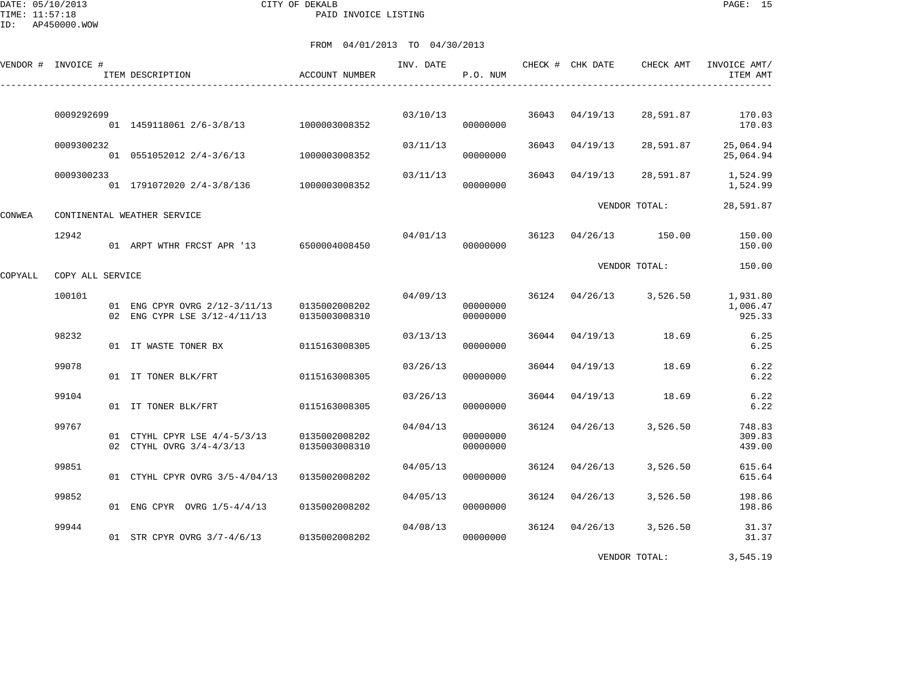DATE: 05/10/2013 CITY OF DEKALB PAGE: 15 PAID INVOICE LISTING

ID: AP450000.WOW

|         | VENDOR # INVOICE # | ITEM DESCRIPTION                                                                          | <b>ACCOUNT NUMBER</b> | INV. DATE | P.O. NUM             |       | CHECK # CHK DATE | CHECK AMT                          | INVOICE AMT/<br>ITEM AMT       |
|---------|--------------------|-------------------------------------------------------------------------------------------|-----------------------|-----------|----------------------|-------|------------------|------------------------------------|--------------------------------|
|         | 0009292699         | 01 1459118061 2/6-3/8/13 1000003008352                                                    |                       |           | 03/10/13<br>00000000 |       | 36043 04/19/13   |                                    | 28,591.87 170.03<br>170.03     |
|         | 0009300232         | 01 0551052012 2/4-3/6/13 1000003008352                                                    |                       | 03/11/13  | 00000000             |       | 36043 04/19/13   | 28,591.87                          | 25,064.94<br>25,064.94         |
|         | 0009300233         | 01 1791072020 2/4-3/8/136 1000003008352                                                   |                       | 03/11/13  | 00000000             |       | 36043 04/19/13   | 28,591.87                          | 1,524.99<br>1,524.99           |
| CONWEA  |                    | CONTINENTAL WEATHER SERVICE                                                               |                       |           |                      |       |                  | VENDOR TOTAL:                      | 28,591.87                      |
|         | 12942              | 01 ARPT WTHR FRCST APR '13 6500004008450                                                  |                       |           | 00000000             |       |                  | $04/01/13$ 36123 $04/26/13$ 150.00 | 150.00<br>150.00               |
| COPYALL | COPY ALL SERVICE   |                                                                                           |                       |           |                      |       |                  | VENDOR TOTAL:                      | 150.00                         |
|         | 100101             | 01 ENG CPYR OVRG 2/12-3/11/13 0135002008202<br>02 ENG CYPR LSE 3/12-4/11/13 0135003008310 |                       | 04/09/13  | 00000000<br>00000000 |       |                  | 36124 04/26/13 3,526.50            | 1,931.80<br>1,006.47<br>925.33 |
|         | 98232              | 01 IT WASTE TONER BX                                                                      | 0115163008305         | 03/13/13  | 00000000             |       |                  | 36044 04/19/13 18.69               | 6.25<br>6.25                   |
|         | 99078              | 01 IT TONER BLK/FRT                                                                       | 0115163008305         | 03/26/13  | 00000000             |       | 36044 04/19/13   | 18.69                              | 6.22<br>6.22                   |
|         | 99104              | 01 IT TONER BLK/FRT                                                                       | 0115163008305         | 03/26/13  | 00000000             | 36044 |                  | $04/19/13$ 18.69                   | 6.22<br>6.22                   |
|         | 99767              | 01 CTYHL CPYR LSE 4/4-5/3/13 0135002008202<br>02 CTYHL OVRG 3/4-4/3/13                    | 0135003008310         | 04/04/13  | 00000000<br>00000000 |       | 36124 04/26/13   | 3,526.50                           | 748.83<br>309.83<br>439.00     |
|         | 99851              | 01 CTYHL CPYR OVRG 3/5-4/04/13                                                            | 0135002008202         | 04/05/13  | 00000000             |       | 36124 04/26/13   | 3,526.50                           | 615.64<br>615.64               |
|         | 99852              | 01 ENG CPYR OVRG 1/5-4/4/13 0135002008202                                                 |                       | 04/05/13  | 00000000             |       | 36124 04/26/13   | 3,526.50                           | 198.86<br>198.86               |
|         | 99944              | 01 STR CPYR OVRG 3/7-4/6/13 0135002008202                                                 |                       | 04/08/13  | 00000000             |       |                  | 36124 04/26/13 3,526.50            | 31.37<br>31.37                 |
|         |                    |                                                                                           |                       |           |                      |       |                  | VENDOR TOTAL:                      | 3,545.19                       |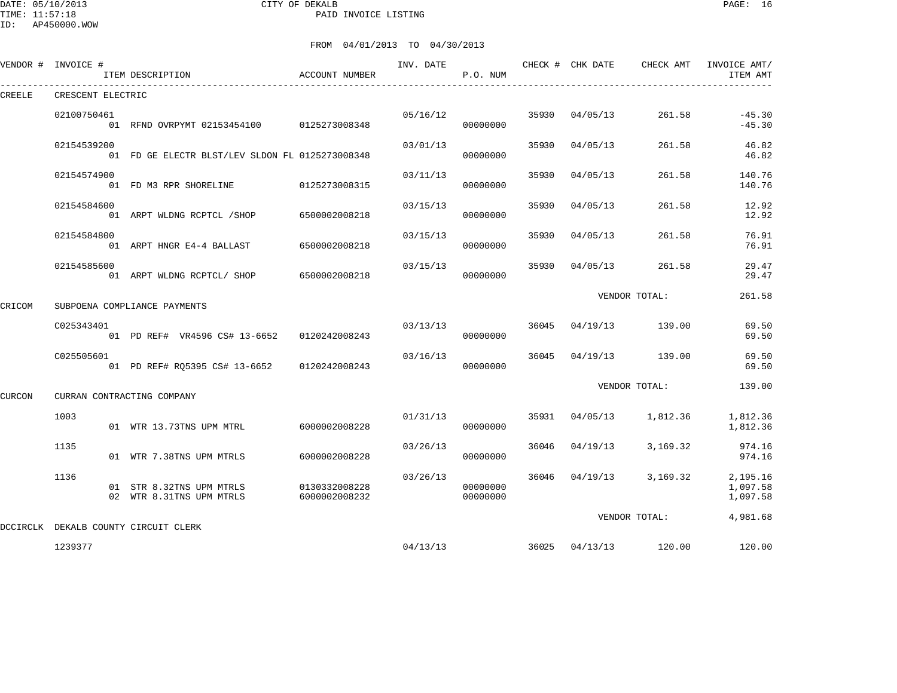DATE: 05/10/2013 CITY OF DEKALB PAGE: 16 PAID INVOICE LISTING

|        | VENDOR # INVOICE # | ITEM DESCRIPTION                                     | ACCOUNT NUMBER                 | INV. DATE | P.O. NUM             |       | CHECK # CHK DATE | CHECK AMT                          | INVOICE AMT/<br>ITEM AMT         |
|--------|--------------------|------------------------------------------------------|--------------------------------|-----------|----------------------|-------|------------------|------------------------------------|----------------------------------|
| CREELE | CRESCENT ELECTRIC  |                                                      |                                |           |                      |       |                  |                                    |                                  |
|        | 02100750461        | 01 RFND OVRPYMT 02153454100 0125273008348            |                                |           | 05/16/12<br>00000000 | 35930 | 04/05/13         | 261.58                             | $-45.30$<br>$-45.30$             |
|        | 02154539200        | 01 FD GE ELECTR BLST/LEV SLDON FL 0125273008348      |                                | 03/01/13  | 00000000             | 35930 | 04/05/13         | 261.58                             | 46.82<br>46.82                   |
|        | 02154574900        | 01 FD M3 RPR SHORELINE                               | 0125273008315                  | 03/11/13  | 00000000             | 35930 | 04/05/13         | 261.58                             | 140.76<br>140.76                 |
|        | 02154584600        | 01 ARPT WLDNG RCPTCL /SHOP                           | 6500002008218                  | 03/15/13  | 00000000             | 35930 | 04/05/13         | 261.58                             | 12.92<br>12.92                   |
|        | 02154584800        | 01 ARPT HNGR E4-4 BALLAST                            | 6500002008218                  | 03/15/13  | 00000000             | 35930 | 04/05/13         | 261.58                             | 76.91<br>76.91                   |
|        | 02154585600        | 01 ARPT WLDNG RCPTCL/ SHOP                           | 6500002008218                  | 03/15/13  | 00000000             | 35930 | 04/05/13         | 261.58                             | 29.47<br>29.47                   |
| CRICOM |                    | SUBPOENA COMPLIANCE PAYMENTS                         |                                |           |                      |       |                  | VENDOR TOTAL:                      | 261.58                           |
|        | C025343401         | 01 PD REF# VR4596 CS# 13-6652 0120242008243          |                                | 03/13/13  | 00000000             | 36045 |                  | $04/19/13$ 139.00                  | 69.50<br>69.50                   |
|        | C025505601         | 01 PD REF# RQ5395 CS# 13-6652                        | 0120242008243                  | 03/16/13  | 00000000             | 36045 |                  | 04/19/13 139.00                    | 69.50<br>69.50                   |
| CURCON |                    | CURRAN CONTRACTING COMPANY                           |                                |           |                      |       |                  | VENDOR TOTAL:                      | 139.00                           |
|        | 1003               | 01 WTR 13.73TNS UPM MTRL                             | 6000002008228                  | 01/31/13  | 00000000             |       |                  | 35931 04/05/13 1,812.36            | 1,812.36<br>1,812.36             |
|        | 1135               | 01 WTR 7.38TNS UPM MTRLS                             | 6000002008228                  | 03/26/13  | 00000000             | 36046 | 04/19/13         | 3,169.32                           | 974.16<br>974.16                 |
|        | 1136               | 01 STR 8.32TNS UPM MTRLS<br>02 WTR 8.31TNS UPM MTRLS | 0130332008228<br>6000002008232 | 03/26/13  | 00000000<br>00000000 |       |                  | 36046 04/19/13 3,169.32            | 2,195.16<br>1,097.58<br>1,097.58 |
|        |                    | DCCIRCLK DEKALB COUNTY CIRCUIT CLERK                 |                                |           |                      |       |                  | VENDOR TOTAL:                      | 4,981.68                         |
|        | 1239377            |                                                      |                                |           |                      |       |                  | $04/13/13$ 36025 $04/13/13$ 120.00 | 120.00                           |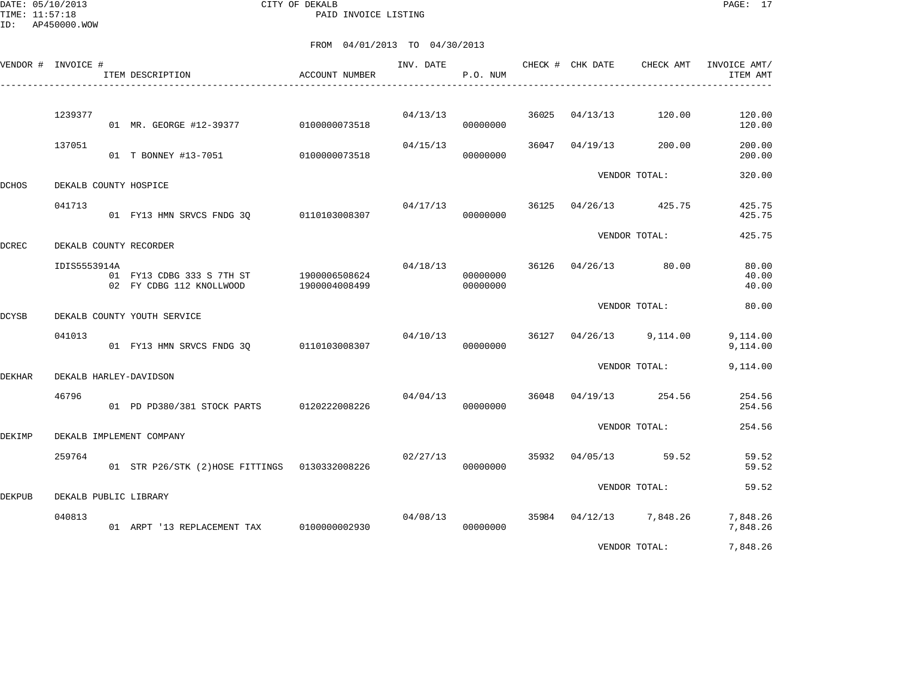DATE: 05/10/2013 CITY OF DEKALB PAGE: 17 PAID INVOICE LISTING

|               | VENDOR # INVOICE # | ITEM DESCRIPTION                                      | ACCOUNT NUMBER                 | INV. DATE | P.O. NUM             |       | CHECK # CHK DATE | CHECK AMT               | INVOICE AMT/<br>ITEM AMT |
|---------------|--------------------|-------------------------------------------------------|--------------------------------|-----------|----------------------|-------|------------------|-------------------------|--------------------------|
|               | 1239377            | 01 MR. GEORGE #12-39377 0100000073518                 |                                |           | 04/13/13<br>00000000 | 36025 | 04/13/13         | 120.00                  | 120.00<br>120.00         |
|               | 137051             | 01 T BONNEY #13-7051 0100000073518                    |                                | 04/15/13  | 00000000             |       | 36047 04/19/13   | 200.00                  | 200.00<br>200.00         |
| <b>DCHOS</b>  |                    | DEKALB COUNTY HOSPICE                                 |                                |           |                      |       |                  | VENDOR TOTAL:           | 320.00                   |
|               | 041713             | 01 FY13 HMN SRVCS FNDG 30 0110103008307               |                                |           | 04/17/13<br>00000000 | 36125 | 04/26/13         | 425.75                  | 425.75<br>425.75         |
| <b>DCREC</b>  |                    | DEKALB COUNTY RECORDER                                |                                |           |                      |       |                  | VENDOR TOTAL:           | 425.75                   |
|               | IDIS5553914A       | 01 FY13 CDBG 333 S 7TH ST<br>02 FY CDBG 112 KNOLLWOOD | 1900006508624<br>1900004008499 | 04/18/13  | 00000000<br>00000000 |       |                  | 36126 04/26/13 80.00    | 80.00<br>40.00<br>40.00  |
| <b>DCYSB</b>  |                    | DEKALB COUNTY YOUTH SERVICE                           |                                |           |                      |       |                  | VENDOR TOTAL:           | 80.00                    |
|               | 041013             | 01 FY13 HMN SRVCS FNDG 30                             | 0110103008307                  |           | 04/10/13<br>00000000 | 36127 |                  | $04/26/13$ 9,114.00     | 9,114.00<br>9,114.00     |
| <b>DEKHAR</b> |                    | DEKALB HARLEY-DAVIDSON                                |                                |           |                      |       |                  | VENDOR TOTAL:           | 9,114.00                 |
|               | 46796              | 01 PD PD380/381 STOCK PARTS 0120222008226             |                                | 04/04/13  | 00000000             |       |                  | 36048 04/19/13 254.56   | 254.56<br>254.56         |
| DEKIMP        |                    | DEKALB IMPLEMENT COMPANY                              |                                |           |                      |       |                  | VENDOR TOTAL:           | 254.56                   |
|               | 259764             | 01 STR P26/STK (2)HOSE FITTINGS 0130332008226         |                                | 02/27/13  | 00000000             | 35932 |                  | $04/05/13$ 59.52        | 59.52<br>59.52           |
| <b>DEKPUB</b> |                    | DEKALB PUBLIC LIBRARY                                 |                                |           |                      |       |                  | VENDOR TOTAL:           | 59.52                    |
|               | 040813             | 01 ARPT '13 REPLACEMENT TAX                           | 0100000002930                  | 04/08/13  | 00000000             |       |                  | 35984 04/12/13 7,848.26 | 7,848.26<br>7,848.26     |
|               |                    |                                                       |                                |           |                      |       |                  | VENDOR TOTAL:           | 7,848.26                 |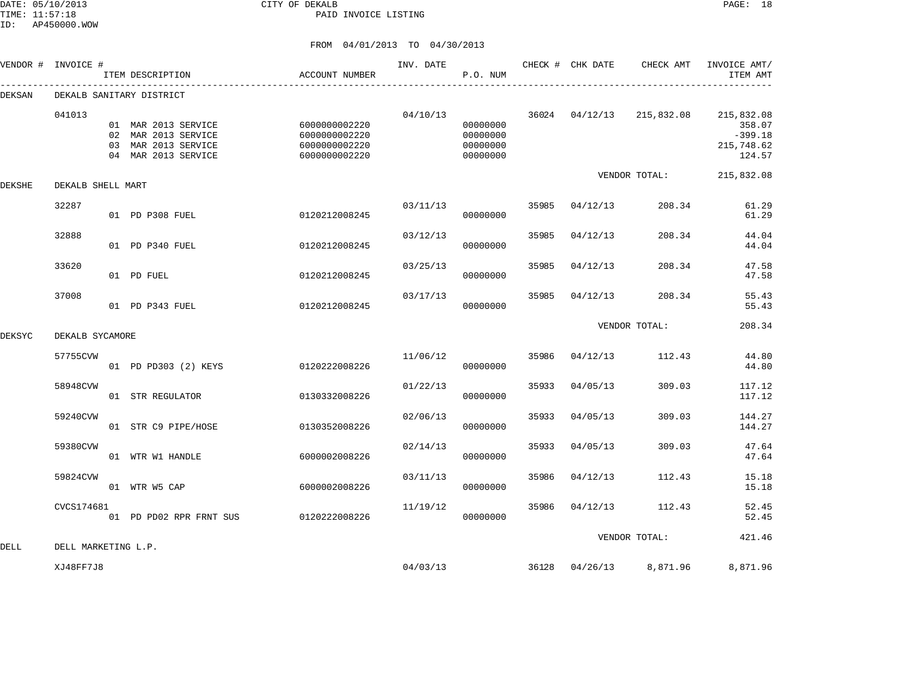DATE: 05/10/2013 CITY OF DEKALB PAGE: 18 PAID INVOICE LISTING

|        | VENDOR # INVOICE #  | ITEM DESCRIPTION                                                                         | ACCOUNT NUMBER                                                   | INV. DATE | P.O. NUM                                     |       |                | CHECK # CHK DATE CHECK AMT | INVOICE AMT/<br>ITEM AMT                                  |
|--------|---------------------|------------------------------------------------------------------------------------------|------------------------------------------------------------------|-----------|----------------------------------------------|-------|----------------|----------------------------|-----------------------------------------------------------|
| DEKSAN |                     | DEKALB SANITARY DISTRICT                                                                 |                                                                  |           |                                              |       |                |                            |                                                           |
|        | 041013              | 01 MAR 2013 SERVICE<br>02 MAR 2013 SERVICE<br>03 MAR 2013 SERVICE<br>04 MAR 2013 SERVICE | 6000000002220<br>6000000002220<br>6000000002220<br>6000000002220 | 04/10/13  | 00000000<br>00000000<br>00000000<br>00000000 |       | 36024 04/12/13 | 215,832.08                 | 215,832.08<br>358.07<br>$-399.18$<br>215,748.62<br>124.57 |
| DEKSHE | DEKALB SHELL MART   |                                                                                          |                                                                  |           |                                              |       |                | VENDOR TOTAL:              | 215,832.08                                                |
|        | 32287               | 01 PD P308 FUEL                                                                          | 0120212008245                                                    | 03/11/13  | 00000000                                     | 35985 | 04/12/13       | 208.34                     | 61.29<br>61.29                                            |
|        | 32888               | 01 PD P340 FUEL                                                                          | 0120212008245                                                    | 03/12/13  | 00000000                                     | 35985 | 04/12/13       | 208.34                     | 44.04<br>44.04                                            |
|        | 33620               | 01 PD FUEL                                                                               | 0120212008245                                                    | 03/25/13  | 00000000                                     | 35985 | 04/12/13       | 208.34                     | 47.58<br>47.58                                            |
|        | 37008               | 01 PD P343 FUEL                                                                          | 0120212008245                                                    | 03/17/13  | 00000000                                     | 35985 | 04/12/13       | 208.34                     | 55.43<br>55.43                                            |
| DEKSYC | DEKALB SYCAMORE     |                                                                                          |                                                                  |           |                                              |       |                | VENDOR TOTAL:              | 208.34                                                    |
|        | 57755CVW            | 01 PD PD303 (2) KEYS                                                                     | 0120222008226                                                    | 11/06/12  | 00000000                                     | 35986 | 04/12/13       | 112.43                     | 44.80<br>44.80                                            |
|        | 58948CVW            | 01 STR REGULATOR                                                                         | 0130332008226                                                    | 01/22/13  | 00000000                                     | 35933 | 04/05/13       | 309.03                     | 117.12<br>117.12                                          |
|        | 59240CVW            | 01 STR C9 PIPE/HOSE                                                                      | 0130352008226                                                    | 02/06/13  | 00000000                                     | 35933 | 04/05/13       | 309.03                     | 144.27<br>144.27                                          |
|        | 59380CVW            | 01 WTR W1 HANDLE                                                                         | 6000002008226                                                    | 02/14/13  | 00000000                                     | 35933 | 04/05/13       | 309.03                     | 47.64<br>47.64                                            |
|        | 59824CVW            | 01 WTR W5 CAP                                                                            | 6000002008226                                                    | 03/11/13  | 00000000                                     | 35986 | 04/12/13       | 112.43                     | 15.18<br>15.18                                            |
|        | CVCS174681          | 01 PD PD02 RPR FRNT SUS                                                                  | 0120222008226                                                    | 11/19/12  | 00000000                                     | 35986 | 04/12/13       | 112.43                     | 52.45<br>52.45                                            |
| DELL   | DELL MARKETING L.P. |                                                                                          |                                                                  |           |                                              |       |                | VENDOR TOTAL:              | 421.46                                                    |
|        | XJ48FF7J8           |                                                                                          |                                                                  | 04/03/13  |                                              |       | 36128 04/26/13 | 8,871.96                   | 8,871.96                                                  |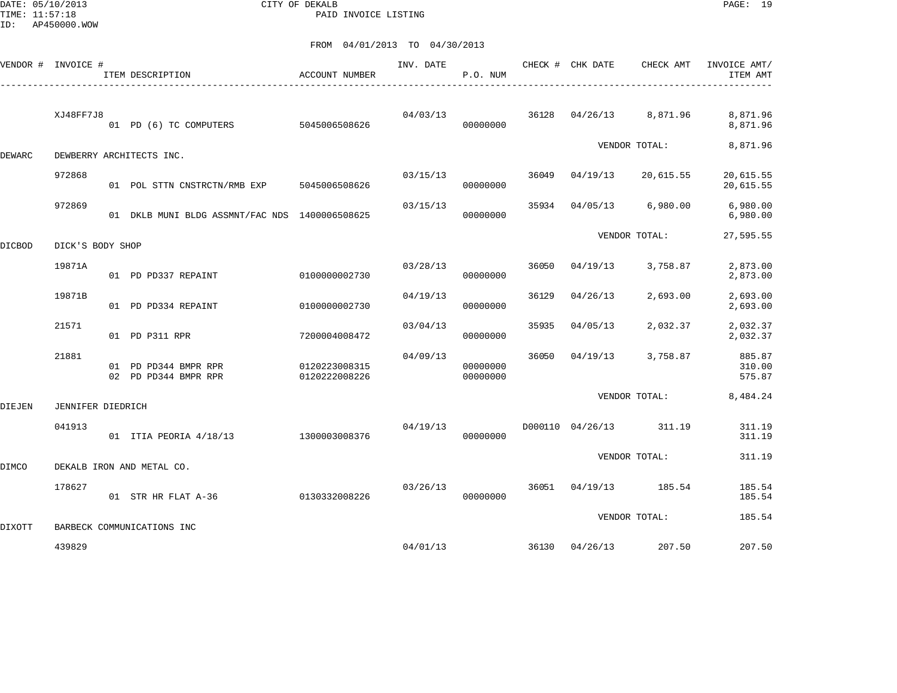DATE: 05/10/2013 CITY OF DEKALB PAGE: 19 PAID INVOICE LISTING

|  |  | FROM 04/01/2013 TO 04/30/2013<br>. |  |  |
|--|--|------------------------------------|--|--|
|--|--|------------------------------------|--|--|

|               | VENDOR # INVOICE #       | ITEM DESCRIPTION                               | ACCOUNT NUMBER                 | INV. DATE | P.O. NUM             |       | CHECK # CHK DATE | CHECK AMT               | INVOICE AMT/<br>ITEM AMT   |
|---------------|--------------------------|------------------------------------------------|--------------------------------|-----------|----------------------|-------|------------------|-------------------------|----------------------------|
|               | XJ48FF7J8                | 01 PD (6) TC COMPUTERS 5045006508626           |                                | 04/03/13  | 00000000             | 36128 | 04/26/13         | 8,871.96                | 8,871.96<br>8,871.96       |
| DEWARC        |                          | DEWBERRY ARCHITECTS INC.                       |                                |           |                      |       |                  | VENDOR TOTAL:           | 8,871.96                   |
|               | 972868                   | 01 POL STTN CNSTRCTN/RMB EXP 5045006508626     |                                | 03/15/13  | 00000000             | 36049 | 04/19/13         | 20,615.55               | 20,615.55<br>20,615.55     |
|               | 972869                   | 01 DKLB MUNI BLDG ASSMNT/FAC NDS 1400006508625 |                                | 03/15/13  | 00000000             | 35934 | 04/05/13         | 6,980.00                | 6,980.00<br>6,980.00       |
| <b>DICBOD</b> | DICK'S BODY SHOP         |                                                |                                |           |                      |       |                  | VENDOR TOTAL:           | 27,595.55                  |
|               | 19871A                   | 01 PD PD337 REPAINT                            | 0100000002730                  | 03/28/13  | 00000000             | 36050 | 04/19/13         | 3,758.87                | 2,873.00<br>2,873.00       |
|               | 19871B                   | 01 PD PD334 REPAINT                            | 0100000002730                  | 04/19/13  | 00000000             | 36129 | 04/26/13         | 2,693.00                | 2,693.00<br>2,693.00       |
|               | 21571                    | 01 PD P311 RPR                                 | 7200004008472                  | 03/04/13  | 00000000             | 35935 | 04/05/13         | 2,032.37                | 2,032.37<br>2,032.37       |
|               | 21881                    | 01 PD PD344 BMPR RPR<br>02 PD PD344 BMPR RPR   | 0120223008315<br>0120222008226 | 04/09/13  | 00000000<br>00000000 | 36050 | 04/19/13         | 3,758.87                | 885.87<br>310.00<br>575.87 |
| DIEJEN        | <b>JENNIFER DIEDRICH</b> |                                                |                                |           |                      |       |                  | VENDOR TOTAL:           | 8,484.24                   |
|               | 041913                   | 01 ITIA PEORIA 4/18/13                         | 1300003008376                  | 04/19/13  | 00000000             |       |                  | D000110 04/26/13 311.19 | 311.19<br>311.19           |
| DIMCO         |                          | DEKALB IRON AND METAL CO.                      |                                |           |                      |       |                  | VENDOR TOTAL:           | 311.19                     |
|               | 178627                   | 01 STR HR FLAT A-36                            | 0130332008226                  | 03/26/13  | 00000000             |       | 36051 04/19/13   | 185.54                  | 185.54<br>185.54           |
| <b>DIXOTT</b> |                          | BARBECK COMMUNICATIONS INC                     |                                |           |                      |       |                  | VENDOR TOTAL:           | 185.54                     |
|               | 439829                   |                                                |                                | 04/01/13  |                      |       | 36130 04/26/13   | 207.50                  | 207.50                     |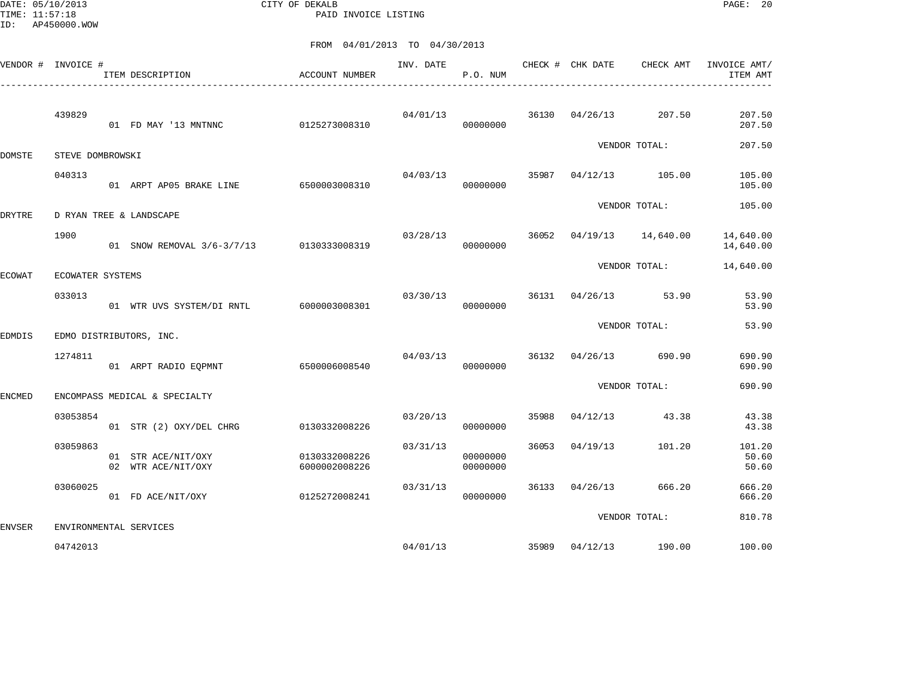DATE: 05/10/2013 CITY OF DEKALB PAGE: 20 PAID INVOICE LISTING

|               | VENDOR # INVOICE # | ITEM DESCRIPTION                         | ACCOUNT NUMBER                 | INV. DATE | P.O. NUM             |       | CHECK # CHK DATE | CHECK AMT             | INVOICE AMT/<br>ITEM AMT |
|---------------|--------------------|------------------------------------------|--------------------------------|-----------|----------------------|-------|------------------|-----------------------|--------------------------|
|               | 439829             | 01 FD MAY '13 MNTNNC                     | 0125273008310                  | 04/01/13  | 00000000             | 36130 | 04/26/13         | 207.50                | 207.50<br>207.50         |
| DOMSTE        | STEVE DOMBROWSKI   |                                          |                                |           |                      |       |                  | VENDOR TOTAL:         | 207.50                   |
|               | 040313             | 01 ARPT AP05 BRAKE LINE                  | 6500003008310                  | 04/03/13  | 00000000             | 35987 |                  | $04/12/13$ 105.00     | 105.00<br>105.00         |
| DRYTRE        |                    | D RYAN TREE & LANDSCAPE                  |                                |           |                      |       |                  | VENDOR TOTAL:         | 105.00                   |
|               | 1900               | 01 SNOW REMOVAL 3/6-3/7/13 0130333008319 |                                | 03/28/13  | 00000000             | 36052 | 04/19/13         | 14,640.00             | 14,640.00<br>14,640.00   |
| ECOWAT        | ECOWATER SYSTEMS   |                                          |                                |           |                      |       |                  | VENDOR TOTAL:         | 14,640.00                |
|               | 033013             | 01 WTR UVS SYSTEM/DI RNTL 6000003008301  |                                | 03/30/13  | 00000000             | 36131 |                  | 04/26/13 53.90        | 53.90<br>53.90           |
| EDMDIS        |                    | EDMO DISTRIBUTORS, INC.                  |                                |           |                      |       |                  | VENDOR TOTAL:         | 53.90                    |
|               | 1274811            | 01 ARPT RADIO EQPMNT                     | 6500006008540                  | 04/03/13  | 00000000             |       |                  | 36132 04/26/13 690.90 | 690.90<br>690.90         |
| <b>ENCMED</b> |                    | ENCOMPASS MEDICAL & SPECIALTY            |                                |           |                      |       |                  | VENDOR TOTAL:         | 690.90                   |
|               | 03053854           | 01 STR (2) OXY/DEL CHRG                  | 0130332008226                  | 03/20/13  | 00000000             | 35988 | 04/12/13         | 43.38                 | 43.38<br>43.38           |
|               | 03059863           | 01 STR ACE/NIT/OXY<br>02 WTR ACE/NIT/OXY | 0130332008226<br>6000002008226 | 03/31/13  | 00000000<br>00000000 | 36053 | 04/19/13         | 101.20                | 101.20<br>50.60<br>50.60 |
|               | 03060025           | 01 FD ACE/NIT/OXY                        | 0125272008241                  | 03/31/13  | 00000000             | 36133 | 04/26/13         | 666.20                | 666.20<br>666.20         |
| <b>ENVSER</b> |                    | ENVIRONMENTAL SERVICES                   |                                |           |                      |       |                  | VENDOR TOTAL:         | 810.78                   |
|               | 04742013           |                                          |                                | 04/01/13  |                      | 35989 |                  | 04/12/13 190.00       | 100.00                   |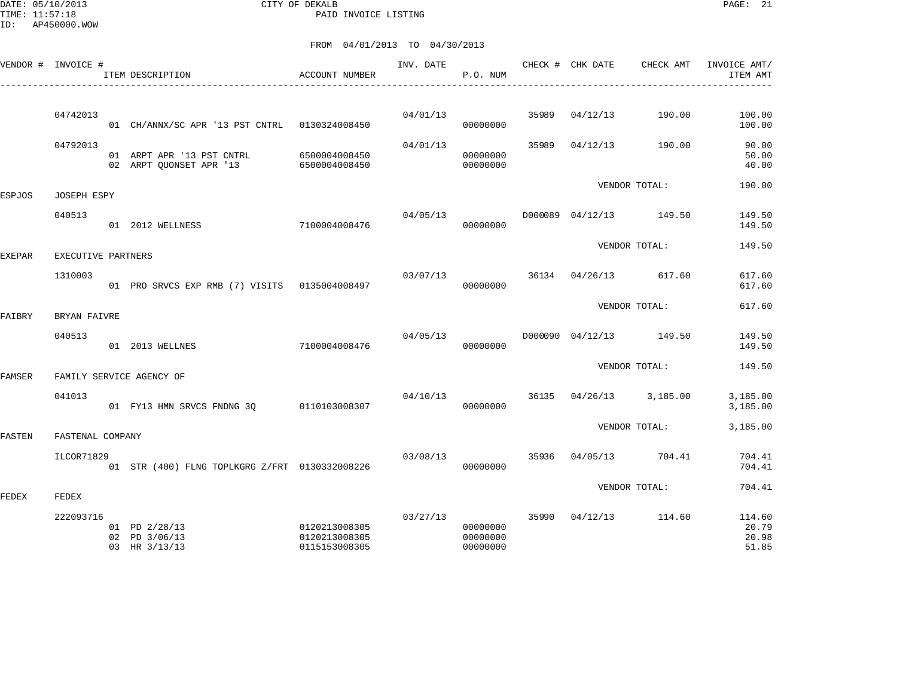DATE: 05/10/2013 CITY OF DEKALB PAGE: 21 PAID INVOICE LISTING

ID: AP450000.WOW

|        | VENDOR # INVOICE # | ITEM DESCRIPTION                                     | ACCOUNT NUMBER                                  | INV. DATE | P.O. NUM                         |       | CHECK # CHK DATE | CHECK AMT               | INVOICE AMT/<br>ITEM AMT          |
|--------|--------------------|------------------------------------------------------|-------------------------------------------------|-----------|----------------------------------|-------|------------------|-------------------------|-----------------------------------|
|        |                    |                                                      |                                                 |           |                                  |       |                  |                         |                                   |
|        | 04742013           | 01 CH/ANNX/SC APR '13 PST CNTRL 0130324008450        |                                                 | 04/01/13  | 00000000                         | 35989 | 04/12/13         | 190.00                  | 100.00<br>100.00                  |
|        | 04792013           | 01 ARPT APR '13 PST CNTRL<br>02 ARPT OUONSET APR '13 | 6500004008450<br>6500004008450                  | 04/01/13  | 00000000<br>00000000             | 35989 | 04/12/13         | 190.00                  | 90.00<br>50.00<br>40.00           |
| ESPJOS | JOSEPH ESPY        |                                                      |                                                 |           |                                  |       |                  | VENDOR TOTAL:           | 190.00                            |
|        | 040513             |                                                      |                                                 | 04/05/13  |                                  |       |                  | D000089 04/12/13 149.50 | 149.50                            |
|        |                    | 01 2012 WELLNESS                                     | 7100004008476                                   |           | 00000000                         |       |                  |                         | 149.50                            |
| EXEPAR | EXECUTIVE PARTNERS |                                                      |                                                 |           |                                  |       |                  | VENDOR TOTAL:           | 149.50                            |
|        | 1310003            |                                                      |                                                 | 03/07/13  |                                  |       | 36134 04/26/13   | 617.60                  | 617.60                            |
|        |                    | 01 PRO SRVCS EXP RMB (7) VISITS 0135004008497        |                                                 |           | 00000000                         |       |                  |                         | 617.60                            |
| FAIBRY | BRYAN FAIVRE       |                                                      |                                                 |           |                                  |       |                  | VENDOR TOTAL:           | 617.60                            |
|        | 040513             |                                                      |                                                 |           | 04/05/13                         |       |                  | D000090 04/12/13 149.50 | 149.50                            |
|        |                    | 01 2013 WELLNES                                      | 7100004008476                                   |           | 00000000                         |       |                  |                         | 149.50                            |
| FAMSER |                    | FAMILY SERVICE AGENCY OF                             |                                                 |           |                                  |       |                  | VENDOR TOTAL:           | 149.50                            |
|        |                    |                                                      |                                                 |           |                                  |       |                  |                         |                                   |
|        | 041013             | 01 FY13 HMN SRVCS FNDNG 30                           | 0110103008307                                   | 04/10/13  | 00000000                         |       |                  | 36135 04/26/13 3,185.00 | 3,185.00<br>3,185.00              |
| FASTEN | FASTENAL COMPANY   |                                                      |                                                 |           |                                  |       |                  | VENDOR TOTAL:           | 3,185.00                          |
|        |                    |                                                      |                                                 |           |                                  |       |                  |                         |                                   |
|        | ILCOR71829         | 01 STR (400) FLNG TOPLKGRG Z/FRT 0130332008226       |                                                 | 03/08/13  | 00000000                         | 35936 | 04/05/13         | 704.41                  | 704.41<br>704.41                  |
|        |                    |                                                      |                                                 |           |                                  |       |                  | VENDOR TOTAL:           | 704.41                            |
| FEDEX  | FEDEX              |                                                      |                                                 |           |                                  |       |                  |                         |                                   |
|        | 222093716          | 01 PD 2/28/13<br>02 PD 3/06/13<br>03 HR 3/13/13      | 0120213008305<br>0120213008305<br>0115153008305 | 03/27/13  | 00000000<br>00000000<br>00000000 |       |                  | 35990 04/12/13 114.60   | 114.60<br>20.79<br>20.98<br>51.85 |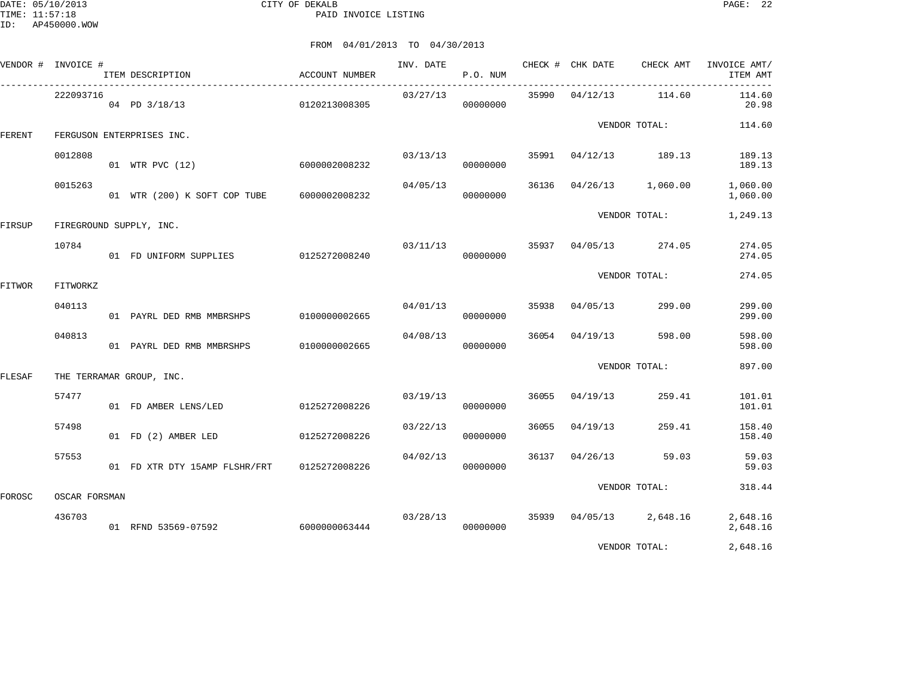DATE: 05/10/2013 CITY OF DEKALB PAGE: 22 PAID INVOICE LISTING

|        | VENDOR # INVOICE # | ITEM DESCRIPTION                           | ACCOUNT NUMBER | INV. DATE | P.O. NUM             |       | CHECK # CHK DATE | CHECK AMT           | INVOICE AMT/<br>ITEM AMT |
|--------|--------------------|--------------------------------------------|----------------|-----------|----------------------|-------|------------------|---------------------|--------------------------|
|        | 222093716          | 04 PD 3/18/13                              | 0120213008305  | 03/27/13  | 00000000             |       | 35990 04/12/13   | 114.60              | 114.60<br>20.98          |
| FERENT |                    | FERGUSON ENTERPRISES INC.                  |                |           |                      |       |                  | VENDOR TOTAL:       | 114.60                   |
|        | 0012808            | 01 WTR PVC (12)                            | 6000002008232  |           | 03/13/13<br>00000000 | 35991 |                  | 04/12/13 189.13     | 189.13<br>189.13         |
|        | 0015263            | 01 WTR (200) K SOFT COP TUBE 6000002008232 |                | 04/05/13  | 00000000             | 36136 |                  | 04/26/13 1,060.00   | 1,060.00<br>1,060.00     |
| FIRSUP |                    | FIREGROUND SUPPLY, INC.                    |                |           |                      |       |                  | VENDOR TOTAL:       | 1,249.13                 |
|        | 10784              | 01 FD UNIFORM SUPPLIES 0125272008240       |                | 03/11/13  | 00000000             | 35937 | 04/05/13         | 274.05              | 274.05<br>274.05         |
| FITWOR | FITWORKZ           |                                            |                |           |                      |       |                  | VENDOR TOTAL:       | 274.05                   |
|        | 040113             | 01 PAYRL DED RMB MMBRSHPS                  | 0100000002665  | 04/01/13  | 00000000             | 35938 | 04/05/13         | 299.00              | 299.00<br>299.00         |
|        | 040813             | 01 PAYRL DED RMB MMBRSHPS                  | 0100000002665  | 04/08/13  | 00000000             | 36054 | 04/19/13         | 598.00              | 598.00<br>598.00         |
| FLESAF |                    | THE TERRAMAR GROUP, INC.                   |                |           |                      |       |                  | VENDOR TOTAL:       | 897.00                   |
|        | 57477              | 01 FD AMBER LENS/LED                       | 0125272008226  | 03/19/13  | 00000000             | 36055 | 04/19/13         | 259.41              | 101.01<br>101.01         |
|        | 57498              | 01 FD (2) AMBER LED                        | 0125272008226  | 03/22/13  | 00000000             | 36055 | 04/19/13         | 259.41              | 158.40<br>158.40         |
|        | 57553              | 01 FD XTR DTY 15AMP FLSHR/FRT              | 0125272008226  | 04/02/13  | 00000000             | 36137 | 04/26/13         | 59.03               | 59.03<br>59.03           |
| FOROSC | OSCAR FORSMAN      |                                            |                |           |                      |       |                  | VENDOR TOTAL:       | 318.44                   |
|        | 436703             | 01 RFND 53569-07592                        | 6000000063444  | 03/28/13  | 00000000             | 35939 |                  | $04/05/13$ 2,648.16 | 2,648.16<br>2,648.16     |
|        |                    |                                            |                |           |                      |       |                  | VENDOR TOTAL:       | 2,648.16                 |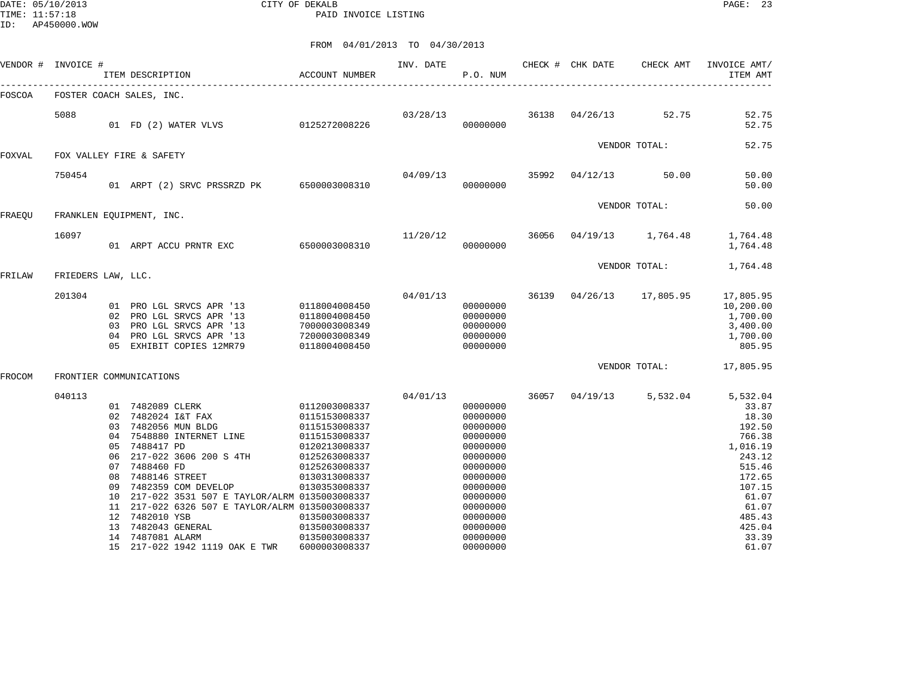DATE: 05/10/2013 CITY OF DEKALB PAGE: 23 PAID INVOICE LISTING

|        | VENDOR # INVOICE #       |                                                    | ITEM DESCRIPTION                                                                 |                                                                                                                                                                                                                                                            | <b>ACCOUNT NUMBER</b>                                                                                                                                                                                    | INV. DATE | P.O. NUM                                                                                                                                                             | CHECK # CHK DATE        | CHECK AMT                | INVOICE AMT/<br>ITEM AMT                                                                                                                          |
|--------|--------------------------|----------------------------------------------------|----------------------------------------------------------------------------------|------------------------------------------------------------------------------------------------------------------------------------------------------------------------------------------------------------------------------------------------------------|----------------------------------------------------------------------------------------------------------------------------------------------------------------------------------------------------------|-----------|----------------------------------------------------------------------------------------------------------------------------------------------------------------------|-------------------------|--------------------------|---------------------------------------------------------------------------------------------------------------------------------------------------|
| FOSCOA | FOSTER COACH SALES, INC. |                                                    |                                                                                  |                                                                                                                                                                                                                                                            |                                                                                                                                                                                                          |           |                                                                                                                                                                      |                         |                          |                                                                                                                                                   |
|        | 5088                     |                                                    |                                                                                  | 01 FD (2) WATER VLVS                                                                                                                                                                                                                                       | 0125272008226                                                                                                                                                                                            |           | 00000000                                                                                                                                                             | 03/28/13 36138 04/26/13 | 52.75                    | 52.75<br>52.75                                                                                                                                    |
| FOXVAL | FOX VALLEY FIRE & SAFETY |                                                    |                                                                                  |                                                                                                                                                                                                                                                            |                                                                                                                                                                                                          |           |                                                                                                                                                                      |                         | VENDOR TOTAL:            | 52.75                                                                                                                                             |
|        |                          |                                                    |                                                                                  |                                                                                                                                                                                                                                                            |                                                                                                                                                                                                          |           |                                                                                                                                                                      |                         |                          |                                                                                                                                                   |
|        | 750454                   |                                                    |                                                                                  | 01 ARPT (2) SRVC PRSSRZD PK 6500003008310                                                                                                                                                                                                                  |                                                                                                                                                                                                          | 04/09/13  | 00000000                                                                                                                                                             |                         | 35992 04/12/13 50.00     | 50.00<br>50.00                                                                                                                                    |
| FRAEOU | FRANKLEN EQUIPMENT, INC. |                                                    |                                                                                  |                                                                                                                                                                                                                                                            |                                                                                                                                                                                                          |           |                                                                                                                                                                      |                         | VENDOR TOTAL:            | 50.00                                                                                                                                             |
|        |                          |                                                    |                                                                                  |                                                                                                                                                                                                                                                            |                                                                                                                                                                                                          |           |                                                                                                                                                                      |                         |                          |                                                                                                                                                   |
|        | 16097                    |                                                    |                                                                                  | 01 ARPT ACCU PRNTR EXC 6500003008310                                                                                                                                                                                                                       |                                                                                                                                                                                                          | 11/20/12  | 36056<br>00000000                                                                                                                                                    |                         | 04/19/13 1,764.48        | 1,764.48<br>1,764.48                                                                                                                              |
|        |                          |                                                    |                                                                                  |                                                                                                                                                                                                                                                            |                                                                                                                                                                                                          |           |                                                                                                                                                                      |                         | VENDOR TOTAL:            | 1,764.48                                                                                                                                          |
| FRILAW | FRIEDERS LAW, LLC.       |                                                    |                                                                                  |                                                                                                                                                                                                                                                            |                                                                                                                                                                                                          |           |                                                                                                                                                                      |                         |                          |                                                                                                                                                   |
|        | 201304                   | 04                                                 |                                                                                  | 01 PRO LGL SRVCS APR '13<br>02 PRO LGL SRVCS APR '13<br>03 PRO LGL SRVCS APR '13<br>PRO LGL SRVCS APR '13<br>05 EXHIBIT COPIES 12MR79                                                                                                                      | 0118004008450<br>0118004008450<br>7000003008349<br>7200003008349<br>0118004008450                                                                                                                        | 04/01/13  | 00000000<br>00000000<br>00000000<br>00000000<br>00000000                                                                                                             |                         | 36139 04/26/13 17,805.95 | 17,805.95<br>10,200.00<br>1,700.00<br>3,400.00<br>1,700.00<br>805.95                                                                              |
|        |                          |                                                    |                                                                                  |                                                                                                                                                                                                                                                            |                                                                                                                                                                                                          |           |                                                                                                                                                                      |                         | VENDOR TOTAL:            | 17,805.95                                                                                                                                         |
| FROCOM | FRONTIER COMMUNICATIONS  |                                                    |                                                                                  |                                                                                                                                                                                                                                                            |                                                                                                                                                                                                          |           |                                                                                                                                                                      |                         |                          |                                                                                                                                                   |
|        | 040113                   | 02<br>03<br>04<br>05<br>06<br>07<br>08<br>09<br>13 | 7488417 PD<br>7488460 FD<br>7488146 STREET<br>12 7482010 YSB<br>14 7487081 ALARM | 01 7482089 CLERK<br>7482024 I&T FAX<br>7482056 MUN BLDG<br>7548880 INTERNET LINE<br>217-022 3606 200 S 4TH<br>7482359 COM DEVELOP<br>10 217-022 3531 507 E TAYLOR/ALRM 0135003008337<br>11 217-022 6326 507 E TAYLOR/ALRM 0135003008337<br>7482043 GENERAL | 0112003008337<br>0115153008337<br>0115153008337<br>0115153008337<br>0120213008337<br>0125263008337<br>0125263008337<br>0130313008337<br>0130353008337<br>0135003008337<br>0135003008337<br>0135003008337 | 04/01/13  | 00000000<br>00000000<br>00000000<br>00000000<br>00000000<br>00000000<br>00000000<br>00000000<br>00000000<br>00000000<br>00000000<br>00000000<br>00000000<br>00000000 |                         | 36057 04/19/13 5,532.04  | 5,532.04<br>33.87<br>18.30<br>192.50<br>766.38<br>1,016.19<br>243.12<br>515.46<br>172.65<br>107.15<br>61.07<br>61.07<br>485.43<br>425.04<br>33.39 |
|        |                          |                                                    |                                                                                  | 15 217-022 1942 1119 OAK E TWR                                                                                                                                                                                                                             | 6000003008337                                                                                                                                                                                            |           | 00000000                                                                                                                                                             |                         |                          | 61.07                                                                                                                                             |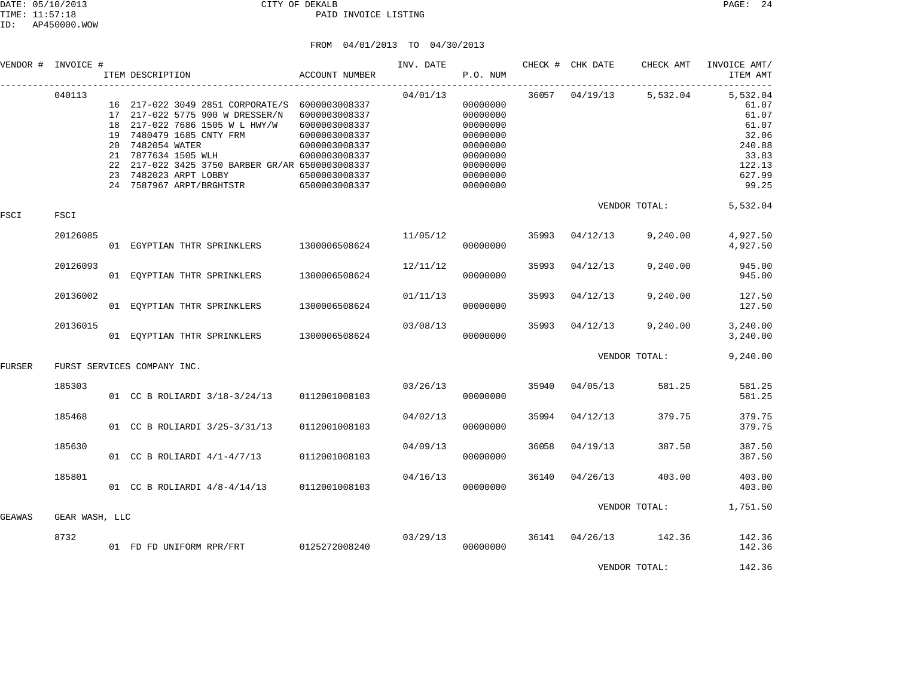|        | VENDOR # INVOICE # | ITEM DESCRIPTION                                                                                                                                                                                                                                                                                   | ACCOUNT NUMBER                                                                                                      | INV. DATE | P.O. NUM                                                                                                 |       | CHECK # CHK DATE | CHECK AMT               | INVOICE AMT/<br>ITEM AMT<br>$- - - - -$                                                      |
|--------|--------------------|----------------------------------------------------------------------------------------------------------------------------------------------------------------------------------------------------------------------------------------------------------------------------------------------------|---------------------------------------------------------------------------------------------------------------------|-----------|----------------------------------------------------------------------------------------------------------|-------|------------------|-------------------------|----------------------------------------------------------------------------------------------|
|        | 040113             | 16 217-022 3049 2851 CORPORATE/S 6000003008337<br>17 217-022 5775 900 W DRESSER/N<br>18 217-022 7686 1505 W L HWY/W<br>19 7480479 1685 CNTY FRM<br>20 7482054 WATER<br>21 7877634 1505 WLH<br>22 217-022 3425 3750 BARBER GR/AR 6500003008337<br>23 7482023 ARPT LOBBY<br>24 7587967 ARPT/BRGHTSTR | 6000003008337<br>6000003008337<br>6000003008337<br>6000003008337<br>6000003008337<br>6500003008337<br>6500003008337 | 04/01/13  | 00000000<br>00000000<br>00000000<br>00000000<br>00000000<br>00000000<br>00000000<br>00000000<br>00000000 |       |                  | 36057 04/19/13 5,532.04 | 5,532.04<br>61.07<br>61.07<br>61.07<br>32.06<br>240.88<br>33.83<br>122.13<br>627.99<br>99.25 |
| FSCI   | FSCI               |                                                                                                                                                                                                                                                                                                    |                                                                                                                     |           |                                                                                                          |       |                  | VENDOR TOTAL:           | 5,532.04                                                                                     |
|        | 20126085           | 01 EGYPTIAN THTR SPRINKLERS                                                                                                                                                                                                                                                                        | 1300006508624                                                                                                       | 11/05/12  | 00000000                                                                                                 | 35993 | 04/12/13         | 9,240.00                | 4,927.50<br>4,927.50                                                                         |
|        | 20126093           | 01 EQYPTIAN THTR SPRINKLERS                                                                                                                                                                                                                                                                        | 1300006508624                                                                                                       | 12/11/12  | 00000000                                                                                                 | 35993 | 04/12/13         | 9,240.00                | 945.00<br>945.00                                                                             |
|        | 20136002           | 01 EOYPTIAN THTR SPRINKLERS                                                                                                                                                                                                                                                                        | 1300006508624                                                                                                       | 01/11/13  | 00000000                                                                                                 | 35993 | 04/12/13         | 9,240.00                | 127.50<br>127.50                                                                             |
|        | 20136015           | 01 EQYPTIAN THTR SPRINKLERS                                                                                                                                                                                                                                                                        | 1300006508624                                                                                                       | 03/08/13  | 00000000                                                                                                 | 35993 | 04/12/13         | 9,240.00                | 3,240.00<br>3,240.00                                                                         |
| FURSER |                    | FURST SERVICES COMPANY INC.                                                                                                                                                                                                                                                                        |                                                                                                                     |           |                                                                                                          |       |                  | VENDOR TOTAL:           | 9,240.00                                                                                     |
|        | 185303             | 01 CC B ROLIARDI 3/18-3/24/13                                                                                                                                                                                                                                                                      | 0112001008103                                                                                                       | 03/26/13  | 00000000                                                                                                 | 35940 | 04/05/13         | 581.25                  | 581.25<br>581.25                                                                             |
|        | 185468             | 01 CC B ROLIARDI 3/25-3/31/13                                                                                                                                                                                                                                                                      | 0112001008103                                                                                                       | 04/02/13  | 00000000                                                                                                 | 35994 | 04/12/13         | 379.75                  | 379.75<br>379.75                                                                             |
|        | 185630             | 01 CC B ROLIARDI $4/1-4/7/13$                                                                                                                                                                                                                                                                      | 0112001008103                                                                                                       | 04/09/13  | 00000000                                                                                                 | 36058 | 04/19/13         | 387.50                  | 387.50<br>387.50                                                                             |
|        | 185801             | 01 CC B ROLIARDI 4/8-4/14/13                                                                                                                                                                                                                                                                       | 0112001008103                                                                                                       | 04/16/13  | 00000000                                                                                                 | 36140 | 04/26/13         | 403.00                  | 403.00<br>403.00                                                                             |
| GEAWAS | GEAR WASH, LLC     |                                                                                                                                                                                                                                                                                                    |                                                                                                                     |           |                                                                                                          |       |                  | VENDOR TOTAL:           | 1,751.50                                                                                     |
|        | 8732               | 01 FD FD UNIFORM RPR/FRT 0125272008240                                                                                                                                                                                                                                                             |                                                                                                                     | 03/29/13  | 00000000                                                                                                 | 36141 | 04/26/13         | 142.36                  | 142.36<br>142.36                                                                             |
|        |                    |                                                                                                                                                                                                                                                                                                    |                                                                                                                     |           |                                                                                                          |       |                  | VENDOR TOTAL:           | 142.36                                                                                       |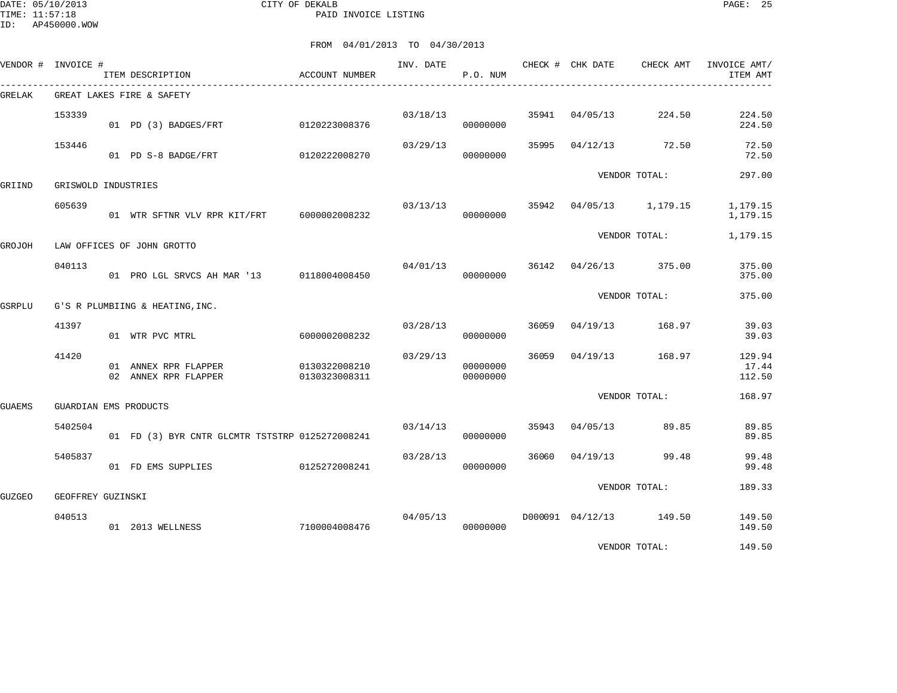DATE: 05/10/2013 CITY OF DEKALB PAGE: 25 PAID INVOICE LISTING

|        | VENDOR # INVOICE #    | ITEM DESCRIPTION                                | ACCOUNT NUMBER                 | INV. DATE | P.O. NUM             |       | CHECK # CHK DATE | CHECK AMT               | INVOICE AMT/<br>ITEM AMT  |
|--------|-----------------------|-------------------------------------------------|--------------------------------|-----------|----------------------|-------|------------------|-------------------------|---------------------------|
| GRELAK |                       | GREAT LAKES FIRE & SAFETY                       |                                |           |                      |       |                  |                         |                           |
|        | 153339                | 01 PD (3) BADGES/FRT                            | 0120223008376                  |           | 03/18/13<br>00000000 |       | 35941 04/05/13   | 224.50                  | 224.50<br>224.50          |
|        | 153446                | 01 PD S-8 BADGE/FRT                             | 0120222008270                  | 03/29/13  | 00000000             |       |                  | 35995 04/12/13 72.50    | 72.50<br>72.50            |
| GRIIND | GRISWOLD INDUSTRIES   |                                                 |                                |           |                      |       |                  | VENDOR TOTAL:           | 297.00                    |
|        |                       |                                                 |                                |           |                      |       |                  |                         |                           |
|        | 605639                | 01 WTR SFTNR VLV RPR KIT/FRT 6000002008232      |                                |           | 03/13/13<br>00000000 | 35942 |                  | 04/05/13 1,179.15       | 1,179.15<br>1,179.15      |
| GROJOH |                       | LAW OFFICES OF JOHN GROTTO                      |                                |           |                      |       |                  | VENDOR TOTAL:           | 1,179.15                  |
|        | 040113                | 01 PRO LGL SRVCS AH MAR '13 0118004008450       |                                | 04/01/13  | 00000000             |       |                  | 36142 04/26/13 375.00   | 375.00<br>375.00          |
| GSRPLU |                       | G'S R PLUMBIING & HEATING, INC.                 |                                |           |                      |       |                  | VENDOR TOTAL:           | 375.00                    |
|        | 41397                 | 01 WTR PVC MTRL                                 | 6000002008232                  | 03/28/13  | 00000000             | 36059 |                  | 04/19/13 168.97         | 39.03<br>39.03            |
|        | 41420                 | 01 ANNEX RPR FLAPPER<br>02 ANNEX RPR FLAPPER    | 0130322008210<br>0130323008311 | 03/29/13  | 00000000<br>00000000 |       | 36059 04/19/13   | 168.97                  | 129.94<br>17.44<br>112.50 |
| GUAEMS | GUARDIAN EMS PRODUCTS |                                                 |                                |           |                      |       |                  | VENDOR TOTAL:           | 168.97                    |
|        | 5402504               | 01 FD (3) BYR CNTR GLCMTR TSTSTRP 0125272008241 |                                | 03/14/13  | 00000000             |       | 35943 04/05/13   | 89.85                   | 89.85<br>89.85            |
|        | 5405837               | 01 FD EMS SUPPLIES                              | 0125272008241                  | 03/28/13  | 00000000             | 36060 | 04/19/13         | 99.48                   | 99.48<br>99.48            |
| GUZGEO | GEOFFREY GUZINSKI     |                                                 |                                |           |                      |       |                  | VENDOR TOTAL:           | 189.33                    |
|        |                       |                                                 |                                |           |                      |       |                  |                         |                           |
|        | 040513                | 01 2013 WELLNESS                                | 7100004008476                  | 04/05/13  | 00000000             |       |                  | D000091 04/12/13 149.50 | 149.50<br>149.50          |
|        |                       |                                                 |                                |           |                      |       |                  | VENDOR TOTAL:           | 149.50                    |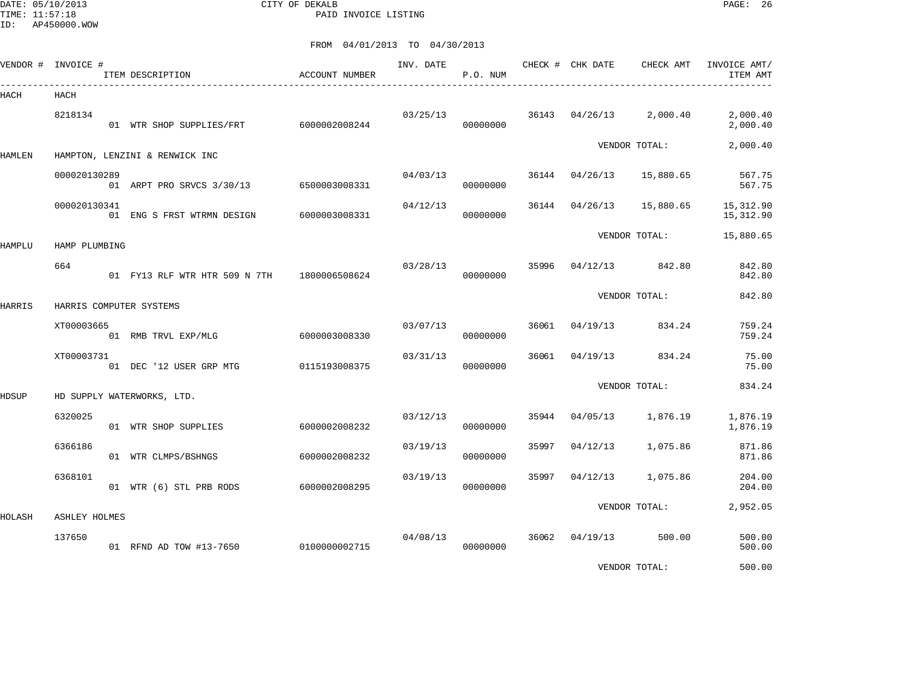DATE: 05/10/2013 CITY OF DEKALB PAGE: 26 PAID INVOICE LISTING

|        | VENDOR # INVOICE #      | ITEM DESCRIPTION                            | <b>ACCOUNT NUMBER</b> | INV. DATE | P.O. NUM |       | CHECK # CHK DATE | CHECK AMT     | INVOICE AMT/<br>ITEM AMT |
|--------|-------------------------|---------------------------------------------|-----------------------|-----------|----------|-------|------------------|---------------|--------------------------|
| HACH   | HACH                    |                                             |                       |           |          |       |                  |               |                          |
|        | 8218134                 | 01 WTR SHOP SUPPLIES/FRT 6000002008244      |                       | 03/25/13  | 00000000 | 36143 | 04/26/13         | 2,000.40      | 2,000.40<br>2,000.40     |
| HAMLEN |                         | HAMPTON, LENZINI & RENWICK INC              |                       |           |          |       |                  | VENDOR TOTAL: | 2,000.40                 |
|        | 000020130289            | 01 ARPT PRO SRVCS 3/30/13                   | 6500003008331         | 04/03/13  | 00000000 | 36144 | 04/26/13         | 15,880.65     | 567.75<br>567.75         |
|        | 000020130341            | 01 ENG S FRST WTRMN DESIGN                  | 6000003008331         | 04/12/13  | 00000000 | 36144 | 04/26/13         | 15,880.65     | 15, 312.90<br>15,312.90  |
| HAMPLU | HAMP PLUMBING           |                                             |                       |           |          |       |                  | VENDOR TOTAL: | 15,880.65                |
|        | 664                     | 01 FY13 RLF WTR HTR 509 N 7TH 1800006508624 |                       | 03/28/13  | 00000000 | 35996 | 04/12/13         | 842.80        | 842.80<br>842.80         |
| HARRIS | HARRIS COMPUTER SYSTEMS |                                             |                       |           |          |       |                  | VENDOR TOTAL: | 842.80                   |
|        | XT00003665              | 01 RMB TRVL EXP/MLG                         | 6000003008330         | 03/07/13  | 00000000 | 36061 | 04/19/13         | 834.24        | 759.24<br>759.24         |
|        | XT00003731              | 01 DEC '12 USER GRP MTG                     | 0115193008375         | 03/31/13  | 00000000 | 36061 | 04/19/13         | 834.24        | 75.00<br>75.00           |
| HDSUP  |                         | HD SUPPLY WATERWORKS, LTD.                  |                       |           |          |       |                  | VENDOR TOTAL: | 834.24                   |
|        | 6320025                 | 01 WTR SHOP SUPPLIES                        | 6000002008232         | 03/12/13  | 00000000 | 35944 | 04/05/13         | 1,876.19      | 1,876.19<br>1,876.19     |
|        | 6366186                 | 01 WTR CLMPS/BSHNGS                         | 6000002008232         | 03/19/13  | 00000000 | 35997 | 04/12/13         | 1,075.86      | 871.86<br>871.86         |
|        | 6368101                 | 01 WTR (6) STL PRB RODS                     | 6000002008295         | 03/19/13  | 00000000 | 35997 | 04/12/13         | 1,075.86      | 204.00<br>204.00         |
| HOLASH | <b>ASHLEY HOLMES</b>    |                                             |                       |           |          |       |                  | VENDOR TOTAL: | 2,952.05                 |
|        | 137650                  | 01 RFND AD TOW #13-7650                     | 0100000002715         | 04/08/13  | 00000000 | 36062 | 04/19/13         | 500.00        | 500.00<br>500.00         |
|        |                         |                                             |                       |           |          |       |                  | VENDOR TOTAL: | 500.00                   |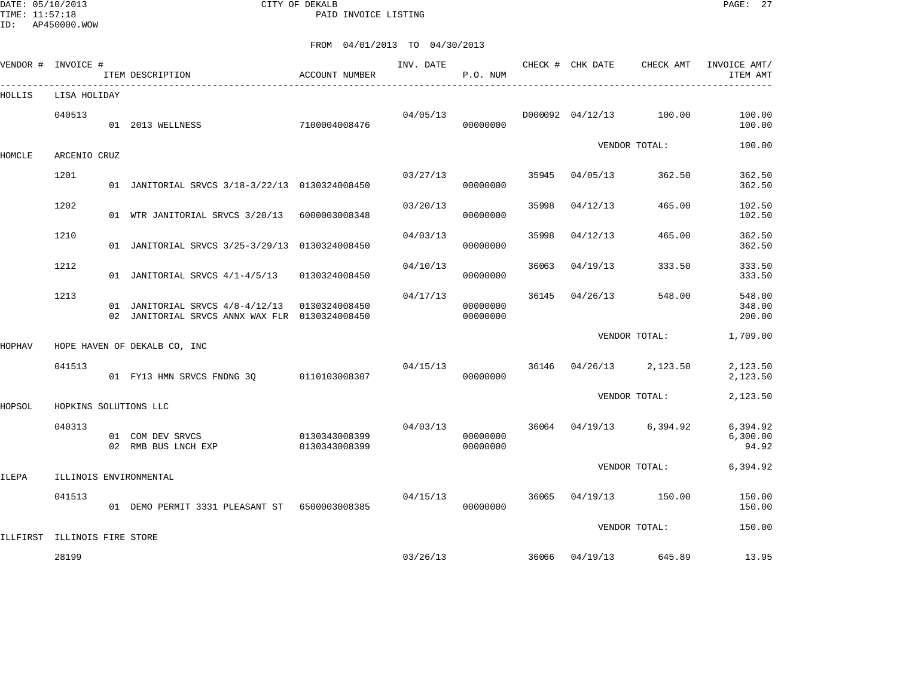DATE: 05/10/2013 CITY OF DEKALB PAGE: 27 PAID INVOICE LISTING

ID: AP450000.WOW

|        | VENDOR # INVOICE #           | ITEM DESCRIPTION                                                                                  | ACCOUNT NUMBER                 | INV. DATE | P.O. NUM                         |       |                  | CHECK # CHK DATE CHECK AMT | INVOICE AMT/<br>ITEM AMT      |
|--------|------------------------------|---------------------------------------------------------------------------------------------------|--------------------------------|-----------|----------------------------------|-------|------------------|----------------------------|-------------------------------|
| HOLLIS | LISA HOLIDAY                 |                                                                                                   |                                |           |                                  |       |                  |                            |                               |
|        | 040513                       | 01 2013 WELLNESS                                                                                  | 7100004008476                  | 04/05/13  | 00000000                         |       | D000092 04/12/13 | 100.00                     | 100.00<br>100.00              |
| HOMCLE | ARCENIO CRUZ                 |                                                                                                   |                                |           |                                  |       |                  | VENDOR TOTAL:              | 100.00                        |
|        | 1201                         | 01 JANITORIAL SRVCS 3/18-3/22/13 0130324008450                                                    |                                | 03/27/13  | 00000000                         | 35945 | 04/05/13         | 362.50                     | 362.50<br>362.50              |
|        | 1202                         | 01 WTR JANITORIAL SRVCS 3/20/13 6000003008348                                                     |                                | 03/20/13  | 00000000                         | 35998 | 04/12/13         | 465.00                     | 102.50<br>102.50              |
|        | 1210                         | 01 JANITORIAL SRVCS 3/25-3/29/13 0130324008450                                                    |                                | 04/03/13  | 00000000                         | 35998 | 04/12/13         | 465.00                     | 362.50<br>362.50              |
|        | 1212                         | 01 JANITORIAL SRVCS 4/1-4/5/13                                                                    | 0130324008450                  | 04/10/13  | 00000000                         | 36063 | 04/19/13         | 333.50                     | 333.50<br>333.50              |
|        | 1213                         | 01 JANITORIAL SRVCS $4/8-4/12/13$ 0130324008450<br>02 JANITORIAL SRVCS ANNX WAX FLR 0130324008450 |                                | 04/17/13  | 00000000<br>00000000             | 36145 | 04/26/13         | 548.00                     | 548.00<br>348.00<br>200.00    |
| HOPHAV |                              | HOPE HAVEN OF DEKALB CO, INC                                                                      |                                |           |                                  |       |                  | VENDOR TOTAL:              | 1,709.00                      |
|        | 041513                       | 01 FY13 HMN SRVCS FNDNG 30 0110103008307                                                          |                                | 04/15/13  | 00000000                         | 36146 |                  | $04/26/13$ 2,123.50        | 2,123.50<br>2,123.50          |
| HOPSOL | HOPKINS SOLUTIONS LLC        |                                                                                                   |                                |           |                                  |       |                  | VENDOR TOTAL:              | 2,123.50                      |
|        | 040313                       | 01 COM DEV SRVCS<br>02 RMB BUS LNCH EXP                                                           | 0130343008399<br>0130343008399 |           | 04/03/13<br>00000000<br>00000000 | 36064 | 04/19/13         | 6,394.92                   | 6,394.92<br>6,300.00<br>94.92 |
| ILEPA  |                              | ILLINOIS ENVIRONMENTAL                                                                            |                                |           |                                  |       |                  | VENDOR TOTAL:              | 6,394.92                      |
|        | 041513                       | 01 DEMO PERMIT 3331 PLEASANT ST 6500003008385                                                     |                                | 04/15/13  | 00000000                         | 36065 | 04/19/13         | 150.00                     | 150.00<br>150.00              |
|        | ILLFIRST ILLINOIS FIRE STORE |                                                                                                   |                                |           |                                  |       |                  | VENDOR TOTAL:              | 150.00                        |
|        | 28199                        |                                                                                                   |                                | 03/26/13  |                                  | 36066 | 04/19/13         | 645.89                     | 13.95                         |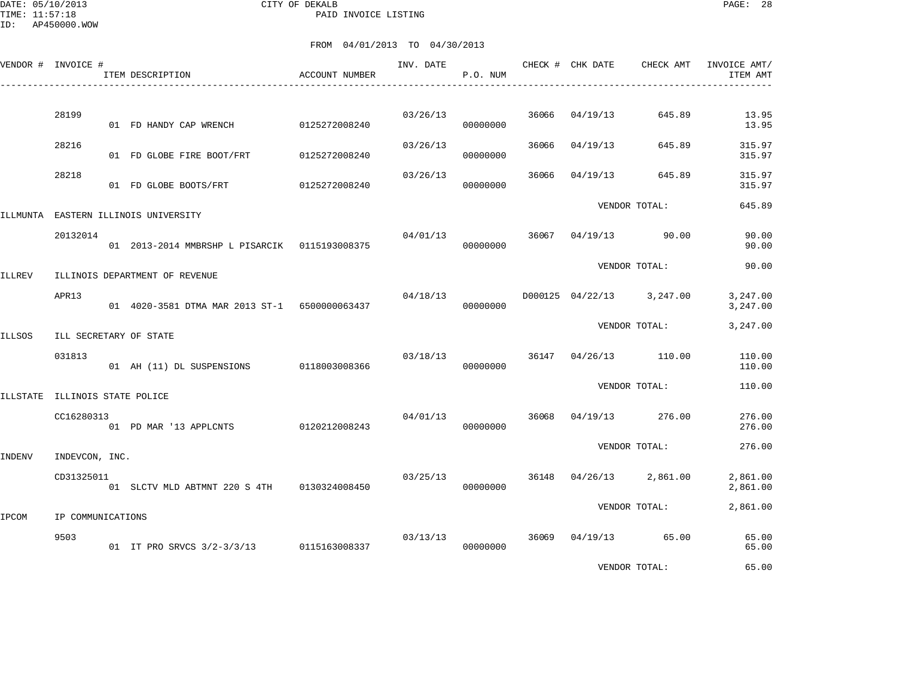DATE: 05/10/2013 CITY OF DEKALB PAGE: 28 PAID INVOICE LISTING

ID: AP450000.WOW

|          | VENDOR # INVOICE #             | ITEM DESCRIPTION                              | ACCOUNT NUMBER | INV. DATE | P.O. NUM |       | CHECK # CHK DATE | CHECK AMT                 | INVOICE AMT/<br>ITEM AMT |
|----------|--------------------------------|-----------------------------------------------|----------------|-----------|----------|-------|------------------|---------------------------|--------------------------|
|          | 28199                          | 01 FD HANDY CAP WRENCH                        | 0125272008240  | 03/26/13  | 00000000 | 36066 | 04/19/13         | 645.89                    | 13.95<br>13.95           |
|          | 28216                          | 01 FD GLOBE FIRE BOOT/FRT                     | 0125272008240  | 03/26/13  | 00000000 | 36066 | 04/19/13         | 645.89                    | 315.97<br>315.97         |
|          | 28218                          | 01 FD GLOBE BOOTS/FRT                         | 0125272008240  | 03/26/13  | 00000000 | 36066 | 04/19/13         | 645.89                    | 315.97<br>315.97         |
| ILLMUNTA |                                | EASTERN ILLINOIS UNIVERSITY                   |                |           |          |       |                  | VENDOR TOTAL:             | 645.89                   |
|          | 20132014                       | 01 2013-2014 MMBRSHP L PISARCIK 0115193008375 |                | 04/01/13  | 00000000 | 36067 | 04/19/13         | 90.00                     | 90.00<br>90.00           |
| ILLREV   |                                | ILLINOIS DEPARTMENT OF REVENUE                |                |           |          |       |                  | VENDOR TOTAL:             | 90.00                    |
|          | APR13                          | 01 4020-3581 DTMA MAR 2013 ST-1 6500000063437 |                | 04/18/13  | 00000000 |       |                  | D000125 04/22/13 3,247.00 | 3,247.00<br>3,247.00     |
| ILLSOS   |                                | ILL SECRETARY OF STATE                        |                |           |          |       |                  | VENDOR TOTAL:             | 3,247.00                 |
|          | 031813                         | 01 AH (11) DL SUSPENSIONS 0118003008366       |                | 03/18/13  | 00000000 | 36147 | 04/26/13         | 110.00                    | 110.00<br>110.00         |
|          | ILLSTATE ILLINOIS STATE POLICE |                                               |                |           |          |       |                  | VENDOR TOTAL:             | 110.00                   |
|          | CC16280313                     | 01 PD MAR '13 APPLCNTS                        | 0120212008243  | 04/01/13  | 00000000 | 36068 | 04/19/13         | 276.00                    | 276.00<br>276.00         |
| INDENV   | INDEVCON, INC.                 |                                               |                |           |          |       |                  | VENDOR TOTAL:             | 276.00                   |
|          | CD31325011                     | 01 SLCTV MLD ABTMNT 220 S 4TH                 | 0130324008450  | 03/25/13  | 00000000 | 36148 | 04/26/13         | 2,861.00                  | 2,861.00<br>2,861.00     |
| IPCOM    | IP COMMUNICATIONS              |                                               |                |           |          |       |                  | VENDOR TOTAL:             | 2,861.00                 |
|          | 9503                           | 01 IT PRO SRVCS 3/2-3/3/13 0115163008337      |                | 03/13/13  | 00000000 | 36069 |                  | 04/19/13 65.00            | 65.00<br>65.00           |
|          |                                |                                               |                |           |          |       |                  | VENDOR TOTAL:             | 65.00                    |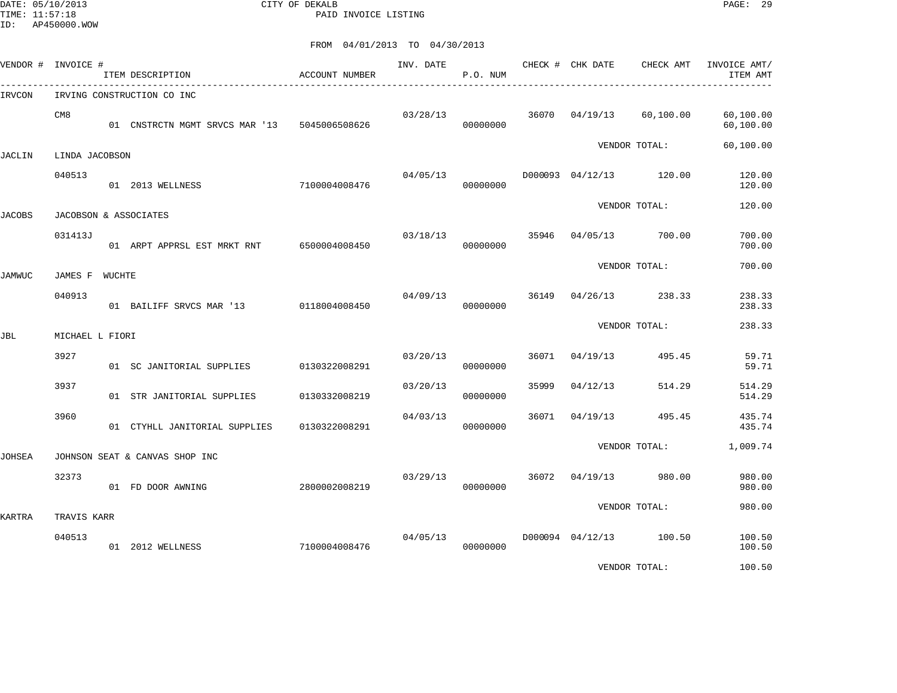DATE: 05/10/2013 CITY OF DEKALB PAGE: 29 PAID INVOICE LISTING

FROM 04/01/2013 TO 04/30/2013

| VENDOR # INVOICE # |                 | ITEM DESCRIPTION                             | ACCOUNT NUMBER | INV. DATE | P.O. NUM |       | CHECK # CHK DATE        | CHECK AMT     | INVOICE AMT/<br>ITEM AMT |
|--------------------|-----------------|----------------------------------------------|----------------|-----------|----------|-------|-------------------------|---------------|--------------------------|
| IRVCON             |                 | IRVING CONSTRUCTION CO INC                   |                |           |          |       |                         |               |                          |
|                    | CM <sub>8</sub> | 01 CNSTRCTN MGMT SRVCS MAR '13 5045006508626 |                | 03/28/13  | 00000000 |       | 36070 04/19/13          | 60,100.00     | 60,100.00<br>60,100.00   |
| JACLIN             | LINDA JACOBSON  |                                              |                |           |          |       |                         | VENDOR TOTAL: | 60,100.00                |
|                    | 040513          | 01 2013 WELLNESS                             | 7100004008476  | 04/05/13  | 00000000 |       | D000093 04/12/13 120.00 |               | 120.00<br>120.00         |
| JACOBS             |                 | JACOBSON & ASSOCIATES                        |                |           |          |       |                         | VENDOR TOTAL: | 120.00                   |
|                    | 031413J         | 01 ARPT APPRSL EST MRKT RNT 6500004008450    |                | 03/18/13  | 00000000 | 35946 | 04/05/13                | 700.00        | 700.00<br>700.00         |
| JAMWUC             | JAMES F WUCHTE  |                                              |                |           |          |       |                         | VENDOR TOTAL: | 700.00                   |
|                    | 040913          | 01 BAILIFF SRVCS MAR '13                     | 0118004008450  | 04/09/13  | 00000000 | 36149 | 04/26/13                | 238.33        | 238.33<br>238.33         |
| JBL                | MICHAEL L FIORI |                                              |                |           |          |       |                         | VENDOR TOTAL: | 238.33                   |
|                    | 3927            |                                              |                | 03/20/13  |          | 36071 | 04/19/13                | 495.45        | 59.71                    |
|                    |                 | 01 SC JANITORIAL SUPPLIES                    | 0130322008291  |           | 00000000 |       |                         |               | 59.71                    |
|                    | 3937            | 01 STR JANITORIAL SUPPLIES                   | 0130332008219  | 03/20/13  | 00000000 | 35999 | 04/12/13                | 514.29        | 514.29<br>514.29         |
|                    | 3960            | 01 CTYHLL JANITORIAL SUPPLIES                | 0130322008291  | 04/03/13  | 00000000 | 36071 | 04/19/13                | 495.45        | 435.74<br>435.74         |
| JOHSEA             |                 | JOHNSON SEAT & CANVAS SHOP INC               |                |           |          |       |                         | VENDOR TOTAL: | 1,009.74                 |
|                    | 32373           | 01 FD DOOR AWNING                            | 2800002008219  | 03/29/13  | 00000000 | 36072 | 04/19/13                | 980.00        | 980.00<br>980.00         |
| KARTRA             | TRAVIS KARR     |                                              |                |           |          |       |                         | VENDOR TOTAL: | 980.00                   |
|                    |                 |                                              |                |           |          |       |                         |               |                          |
|                    | 040513          | 01 2012 WELLNESS                             | 7100004008476  | 04/05/13  | 00000000 |       | D000094 04/12/13 100.50 |               | 100.50<br>100.50         |

VENDOR TOTAL: 100.50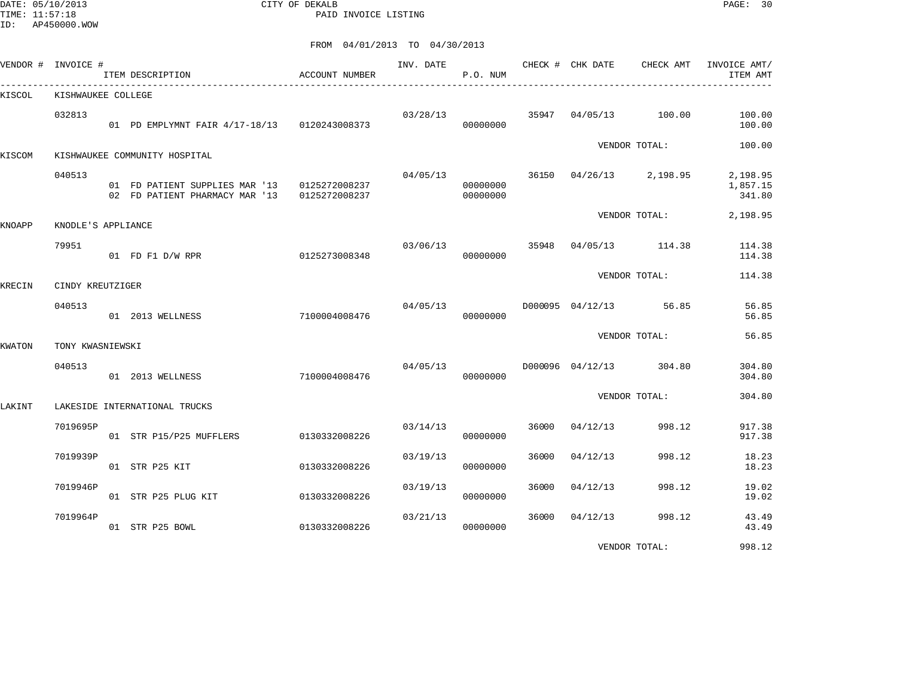DATE: 05/10/2013 CITY OF DEKALB PAGE: 30 PAID INVOICE LISTING

|        | VENDOR # INVOICE # | ITEM DESCRIPTION                                                                             | ACCOUNT NUMBER | INV. DATE | P.O. NUM                   |       | CHECK # CHK DATE | CHECK AMT               | INVOICE AMT/<br>ITEM AMT       |
|--------|--------------------|----------------------------------------------------------------------------------------------|----------------|-----------|----------------------------|-------|------------------|-------------------------|--------------------------------|
| KISCOL | KISHWAUKEE COLLEGE |                                                                                              |                |           |                            |       |                  |                         |                                |
|        | 032813             | 01 PD EMPLYMNT FAIR 4/17-18/13 0120243008373                                                 |                | 03/28/13  | 00000000                   |       |                  | 35947 04/05/13 100.00   | 100.00<br>100.00               |
| KISCOM |                    | KISHWAUKEE COMMUNITY HOSPITAL                                                                |                |           |                            |       |                  | VENDOR TOTAL:           | 100.00                         |
|        | 040513             | 01 FD PATIENT SUPPLIES MAR '13 0125272008237<br>02 FD PATIENT PHARMACY MAR '13 0125272008237 |                | 04/05/13  | 00000000<br>00000000       |       |                  | 36150 04/26/13 2,198.95 | 2,198.95<br>1,857.15<br>341.80 |
| KNOAPP | KNODLE'S APPLIANCE |                                                                                              |                |           |                            |       |                  | VENDOR TOTAL:           | 2,198.95                       |
|        | 79951              | 01 FD F1 D/W RPR                                                                             | 0125273008348  |           | 03/06/13 35948<br>00000000 |       |                  | 04/05/13 114.38         | 114.38<br>114.38               |
| KRECIN | CINDY KREUTZIGER   |                                                                                              |                |           |                            |       |                  | VENDOR TOTAL:           | 114.38                         |
|        | 040513             | 01 2013 WELLNESS                                                                             | 7100004008476  | 04/05/13  | 00000000                   |       |                  | D000095 04/12/13 56.85  | 56.85<br>56.85                 |
| KWATON | TONY KWASNIEWSKI   |                                                                                              |                |           |                            |       |                  | VENDOR TOTAL:           | 56.85                          |
|        | 040513             | 01 2013 WELLNESS                                                                             | 7100004008476  | 04/05/13  | 00000000                   |       |                  | D000096 04/12/13 304.80 | 304.80<br>304.80               |
| LAKINT |                    | LAKESIDE INTERNATIONAL TRUCKS                                                                |                |           |                            |       |                  | VENDOR TOTAL:           | 304.80                         |
|        | 7019695P           | 01 STR P15/P25 MUFFLERS                                                                      | 0130332008226  | 03/14/13  | 00000000                   | 36000 | 04/12/13         | 998.12                  | 917.38<br>917.38               |
|        | 7019939P           | 01 STR P25 KIT                                                                               | 0130332008226  | 03/19/13  | 00000000                   | 36000 | 04/12/13         | 998.12                  | 18.23<br>18.23                 |
|        | 7019946P           | 01 STR P25 PLUG KIT                                                                          | 0130332008226  | 03/19/13  | 00000000                   | 36000 | 04/12/13         | 998.12                  | 19.02<br>19.02                 |
|        | 7019964P           | 01 STR P25 BOWL                                                                              | 0130332008226  | 03/21/13  | 00000000                   | 36000 | 04/12/13         | 998.12                  | 43.49<br>43.49                 |
|        |                    |                                                                                              |                |           |                            |       |                  | VENDOR TOTAL:           | 998.12                         |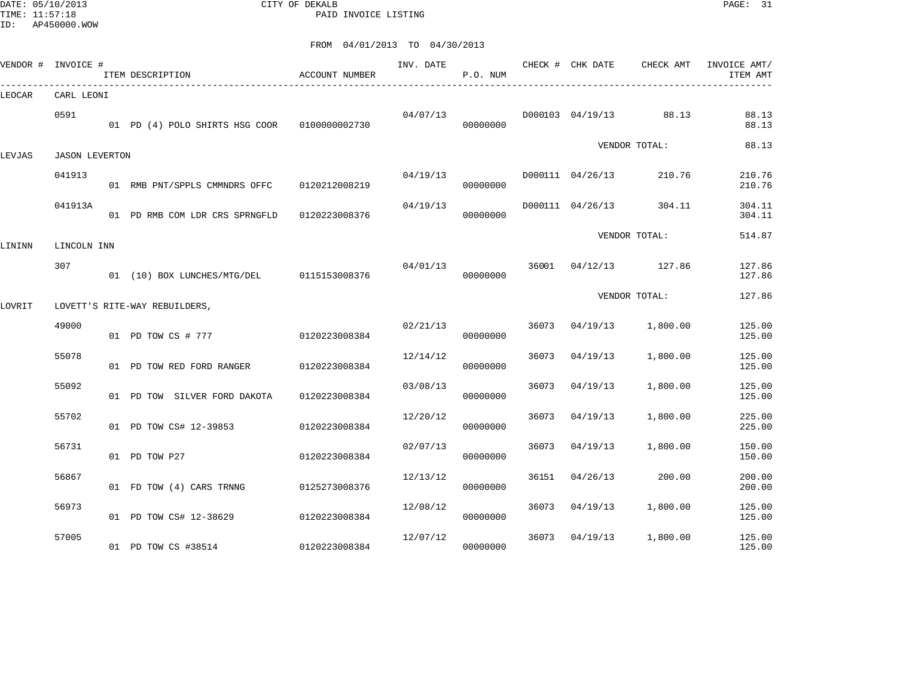DATE: 05/10/2013 CITY OF DEKALB PAGE: 31 PAID INVOICE LISTING

|        | VENDOR # INVOICE #    | ITEM DESCRIPTION                              | <b>ACCOUNT NUMBER</b> | INV. DATE | P.O. NUM |       | CHECK # CHK DATE | CHECK AMT             | INVOICE AMT/<br>ITEM AMT |
|--------|-----------------------|-----------------------------------------------|-----------------------|-----------|----------|-------|------------------|-----------------------|--------------------------|
| LEOCAR | CARL LEONI            |                                               |                       |           |          |       |                  |                       |                          |
|        | 0591                  | 01 PD (4) POLO SHIRTS HSG COOR  0100000002730 |                       | 04/07/13  | 00000000 |       | D000103 04/19/13 | 88.13                 | 88.13<br>88.13           |
| LEVJAS | <b>JASON LEVERTON</b> |                                               |                       |           |          |       |                  | VENDOR TOTAL:         | 88.13                    |
|        | 041913                | 01 RMB PNT/SPPLS CMMNDRS OFFC 0120212008219   |                       | 04/19/13  | 00000000 |       | D000111 04/26/13 | 210.76                | 210.76<br>210.76         |
|        | 041913A               | 01 PD RMB COM LDR CRS SPRNGFLD                | 0120223008376         | 04/19/13  | 00000000 |       | D000111 04/26/13 | 304.11                | 304.11<br>304.11         |
| LININN | LINCOLN INN           |                                               |                       |           |          |       |                  | VENDOR TOTAL:         | 514.87                   |
|        | 307                   | 01 (10) BOX LUNCHES/MTG/DEL 0115153008376     |                       | 04/01/13  | 00000000 |       |                  | 36001 04/12/13 127.86 | 127.86<br>127.86         |
| LOVRIT |                       | LOVETT'S RITE-WAY REBUILDERS,                 |                       |           |          |       |                  | VENDOR TOTAL:         | 127.86                   |
|        | 49000                 | 01 PD TOW CS # 777                            | 0120223008384         | 02/21/13  | 00000000 | 36073 | 04/19/13         | 1,800.00              | 125.00<br>125.00         |
|        | 55078                 | 01 PD TOW RED FORD RANGER                     | 0120223008384         | 12/14/12  | 00000000 | 36073 | 04/19/13         | 1,800.00              | 125.00<br>125.00         |
|        | 55092                 | 01 PD TOW SILVER FORD DAKOTA                  | 0120223008384         | 03/08/13  | 00000000 | 36073 | 04/19/13         | 1,800.00              | 125.00<br>125.00         |
|        | 55702                 | 01 PD TOW CS# 12-39853                        | 0120223008384         | 12/20/12  | 00000000 | 36073 | 04/19/13         | 1,800.00              | 225.00<br>225.00         |
|        | 56731                 | 01 PD TOW P27                                 | 0120223008384         | 02/07/13  | 00000000 | 36073 | 04/19/13         | 1,800.00              | 150.00<br>150.00         |
|        | 56867                 | 01 FD TOW (4) CARS TRNNG                      | 0125273008376         | 12/13/12  | 00000000 | 36151 | 04/26/13         | 200.00                | 200.00<br>200.00         |
|        | 56973                 | 01 PD TOW CS# 12-38629                        | 0120223008384         | 12/08/12  | 00000000 | 36073 | 04/19/13         | 1,800.00              | 125.00<br>125.00         |
|        | 57005                 | 01 PD TOW CS #38514                           | 0120223008384         | 12/07/12  | 00000000 | 36073 | 04/19/13         | 1,800.00              | 125.00<br>125.00         |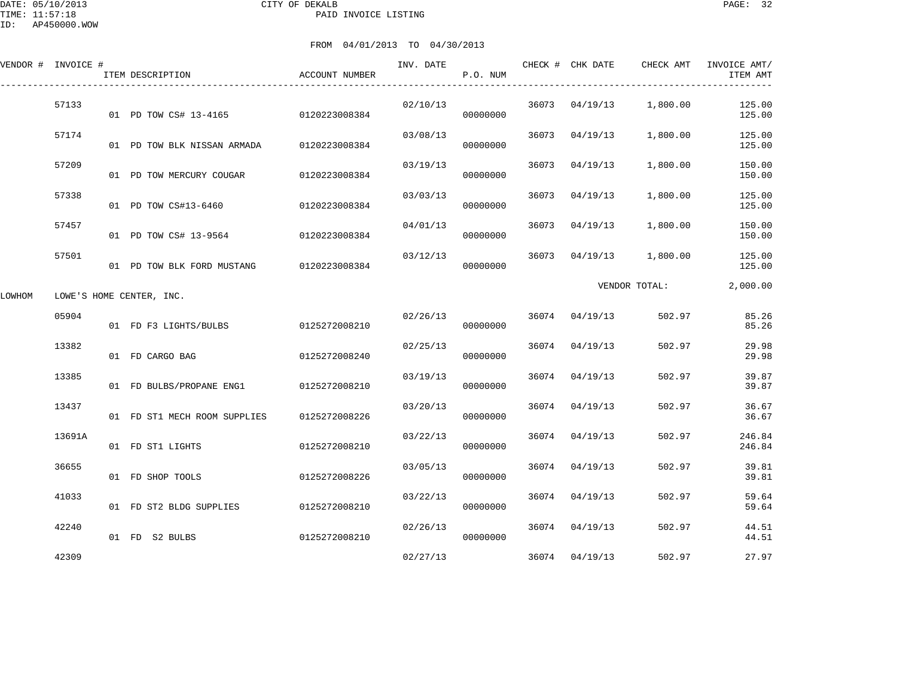|        | VENDOR # INVOICE # | ITEM DESCRIPTION                    | ACCOUNT NUMBER | INV. DATE | P.O. NUM |       | CHECK # CHK DATE | CHECK AMT     | INVOICE AMT/<br>ITEM AMT |
|--------|--------------------|-------------------------------------|----------------|-----------|----------|-------|------------------|---------------|--------------------------|
|        | 57133              | 01 PD TOW CS# 13-4165 0120223008384 |                | 02/10/13  | 00000000 |       | 36073 04/19/13   | 1,800.00      | 125.00<br>125.00         |
|        | 57174              | 01 PD TOW BLK NISSAN ARMADA         | 0120223008384  | 03/08/13  | 00000000 | 36073 | 04/19/13         | 1,800.00      | 125.00<br>125.00         |
|        | 57209              | 01 PD TOW MERCURY COUGAR            | 0120223008384  | 03/19/13  | 00000000 | 36073 | 04/19/13         | 1,800.00      | 150.00<br>150.00         |
|        | 57338              | 01 PD TOW CS#13-6460                | 0120223008384  | 03/03/13  | 00000000 | 36073 | 04/19/13         | 1,800.00      | 125.00<br>125.00         |
|        | 57457              | 01 PD TOW CS# 13-9564               | 0120223008384  | 04/01/13  | 00000000 | 36073 | 04/19/13         | 1,800.00      | 150.00<br>150.00         |
|        | 57501              | 01 PD TOW BLK FORD MUSTANG          | 0120223008384  | 03/12/13  | 00000000 | 36073 | 04/19/13         | 1,800.00      | 125.00<br>125.00         |
| LOWHOM |                    | LOWE'S HOME CENTER, INC.            |                |           |          |       |                  | VENDOR TOTAL: | 2,000.00                 |
|        | 05904              | 01 FD F3 LIGHTS/BULBS               | 0125272008210  | 02/26/13  | 00000000 |       | 36074 04/19/13   | 502.97        | 85.26<br>85.26           |
|        | 13382              | 01 FD CARGO BAG                     | 0125272008240  | 02/25/13  | 00000000 | 36074 | 04/19/13         | 502.97        | 29.98<br>29.98           |
|        | 13385              | 01 FD BULBS/PROPANE ENG1            | 0125272008210  | 03/19/13  | 00000000 | 36074 | 04/19/13         | 502.97        | 39.87<br>39.87           |
|        | 13437              | 01 FD ST1 MECH ROOM SUPPLIES        | 0125272008226  | 03/20/13  | 00000000 | 36074 | 04/19/13         | 502.97        | 36.67<br>36.67           |
|        | 13691A             | 01 FD ST1 LIGHTS                    | 0125272008210  | 03/22/13  | 00000000 | 36074 | 04/19/13         | 502.97        | 246.84<br>246.84         |
|        | 36655              | 01 FD SHOP TOOLS                    | 0125272008226  | 03/05/13  | 00000000 | 36074 | 04/19/13         | 502.97        | 39.81<br>39.81           |
|        | 41033              | 01 FD ST2 BLDG SUPPLIES             | 0125272008210  | 03/22/13  | 00000000 | 36074 | 04/19/13         | 502.97        | 59.64<br>59.64           |
|        | 42240              | 01 FD S2 BULBS                      | 0125272008210  | 02/26/13  | 00000000 |       | 36074 04/19/13   | 502.97        | 44.51<br>44.51           |
|        | 42309              |                                     |                | 02/27/13  |          |       | 36074 04/19/13   | 502.97        | 27.97                    |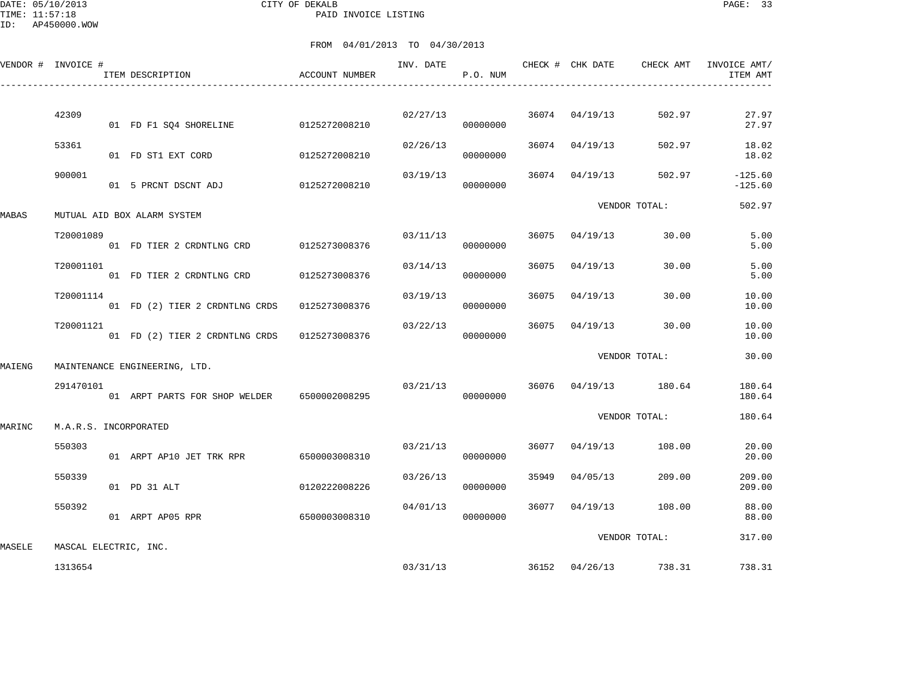DATE: 05/10/2013 CITY OF DEKALB PAGE: 33 PAID INVOICE LISTING

ID: AP450000.WOW

|        | VENDOR # INVOICE #    | ITEM DESCRIPTION                            | <b>ACCOUNT NUMBER</b> | INV. DATE | P.O. NUM |       | CHECK # CHK DATE | CHECK AMT       | INVOICE AMT/<br>ITEM AMT |
|--------|-----------------------|---------------------------------------------|-----------------------|-----------|----------|-------|------------------|-----------------|--------------------------|
|        |                       |                                             |                       |           |          |       |                  |                 |                          |
|        | 42309                 | 01 FD F1 SQ4 SHORELINE                      | 0125272008210         | 02/27/13  | 00000000 | 36074 | 04/19/13         | 502.97          | 27.97<br>27.97           |
|        | 53361                 | 01 FD ST1 EXT CORD                          | 0125272008210         | 02/26/13  | 00000000 | 36074 | 04/19/13         | 502.97          | 18.02<br>18.02           |
|        | 900001                | 01 5 PRCNT DSCNT ADJ                        | 0125272008210         | 03/19/13  | 00000000 | 36074 | 04/19/13         | 502.97          | $-125.60$<br>$-125.60$   |
| MABAS  |                       | MUTUAL AID BOX ALARM SYSTEM                 |                       |           |          |       |                  | VENDOR TOTAL:   | 502.97                   |
|        | T20001089             | 01 FD TIER 2 CRDNTLNG CRD                   | 0125273008376         | 03/11/13  | 00000000 | 36075 | 04/19/13         | 30.00           | 5.00<br>5.00             |
|        | T20001101             | 01 FD TIER 2 CRDNTLNG CRD                   | 0125273008376         | 03/14/13  | 00000000 | 36075 | 04/19/13         | 30.00           | 5.00<br>5.00             |
|        | T20001114             | 01 FD (2) TIER 2 CRDNTLNG CRDS              | 0125273008376         | 03/19/13  | 00000000 | 36075 | 04/19/13         | 30.00           | 10.00<br>10.00           |
|        | T20001121             | 01 FD (2) TIER 2 CRDNTLNG CRDS              | 0125273008376         | 03/22/13  | 00000000 | 36075 | 04/19/13         | 30.00           | 10.00<br>10.00           |
| MAIENG |                       | MAINTENANCE ENGINEERING, LTD.               |                       |           |          |       |                  | VENDOR TOTAL:   | 30.00                    |
|        | 291470101             | 01 ARPT PARTS FOR SHOP WELDER 6500002008295 |                       | 03/21/13  | 00000000 | 36076 |                  | 04/19/13 180.64 | 180.64<br>180.64         |
| MARINC | M.A.R.S. INCORPORATED |                                             |                       |           |          |       |                  | VENDOR TOTAL:   | 180.64                   |
|        | 550303                | 01 ARPT AP10 JET TRK RPR                    | 6500003008310         | 03/21/13  | 00000000 | 36077 | 04/19/13         | 108.00          | 20.00<br>20.00           |
|        | 550339                | 01 PD 31 ALT                                | 0120222008226         | 03/26/13  | 00000000 | 35949 | 04/05/13         | 209.00          | 209.00<br>209.00         |
|        | 550392                | 01 ARPT AP05 RPR                            | 6500003008310         | 04/01/13  | 00000000 | 36077 | 04/19/13         | 108.00          | 88.00<br>88.00           |
| MASELE | MASCAL ELECTRIC, INC. |                                             |                       |           |          |       |                  | VENDOR TOTAL:   | 317.00                   |
|        | 1313654               |                                             |                       | 03/31/13  |          |       | 36152 04/26/13   | 738.31          | 738.31                   |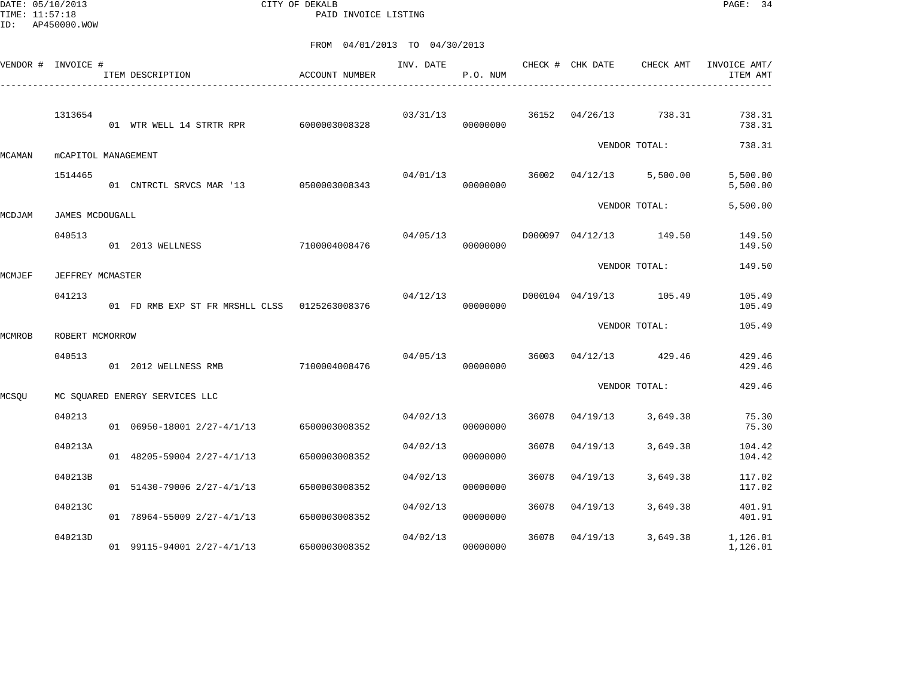DATE: 05/10/2013 CITY OF DEKALB PAGE: 34 PAID INVOICE LISTING

|        | VENDOR # INVOICE #  | ITEM DESCRIPTION                              | ACCOUNT NUMBER | INV. DATE | P.O. NUM |       | CHECK # CHK DATE | CHECK AMT               | INVOICE AMT/<br>ITEM AMT |
|--------|---------------------|-----------------------------------------------|----------------|-----------|----------|-------|------------------|-------------------------|--------------------------|
|        | 1313654             | 01 WTR WELL 14 STRTR RPR 6000003008328        |                | 03/31/13  | 00000000 |       |                  | 36152 04/26/13 738.31   | 738.31<br>738.31         |
| MCAMAN | mCAPITOL MANAGEMENT |                                               |                |           |          |       |                  | VENDOR TOTAL:           | 738.31                   |
|        | 1514465             | 01 CNTRCTL SRVCS MAR '13 0500003008343        |                | 04/01/13  | 00000000 |       |                  | 36002 04/12/13 5,500.00 | 5,500.00<br>5,500.00     |
| MCDJAM | JAMES MCDOUGALL     |                                               |                |           |          |       |                  | VENDOR TOTAL:           | 5,500.00                 |
|        | 040513              | 01 2013 WELLNESS                              | 7100004008476  | 04/05/13  | 00000000 |       |                  | D000097 04/12/13 149.50 | 149.50<br>149.50         |
| MCMJEF | JEFFREY MCMASTER    |                                               |                |           |          |       |                  | VENDOR TOTAL:           | 149.50                   |
|        | 041213              | 01 FD RMB EXP ST FR MRSHLL CLSS 0125263008376 |                | 04/12/13  | 00000000 |       |                  | D000104 04/19/13 105.49 | 105.49<br>105.49         |
| MCMROB | ROBERT MCMORROW     |                                               |                |           |          |       |                  | VENDOR TOTAL:           | 105.49                   |
|        | 040513              | 01 2012 WELLNESS RMB                          | 7100004008476  | 04/05/13  | 00000000 |       |                  | 36003 04/12/13 429.46   | 429.46<br>429.46         |
| MCSQU  |                     | MC SOUARED ENERGY SERVICES LLC                |                |           |          |       |                  | VENDOR TOTAL:           | 429.46                   |
|        | 040213              | 01 06950-18001 2/27-4/1/13 6500003008352      |                | 04/02/13  | 00000000 | 36078 | 04/19/13         | 3,649.38                | 75.30<br>75.30           |
|        | 040213A             | 01 48205-59004 2/27-4/1/13                    | 6500003008352  | 04/02/13  | 00000000 | 36078 | 04/19/13         | 3,649.38                | 104.42<br>104.42         |
|        | 040213B             | 01 51430-79006 2/27-4/1/13                    | 6500003008352  | 04/02/13  | 00000000 | 36078 | 04/19/13         | 3,649.38                | 117.02<br>117.02         |
|        | 040213C             | 01 78964-55009 2/27-4/1/13                    | 6500003008352  | 04/02/13  | 00000000 | 36078 | 04/19/13         | 3,649.38                | 401.91<br>401.91         |
|        | 040213D             | 01 99115-94001 2/27-4/1/13                    | 6500003008352  | 04/02/13  | 00000000 | 36078 | 04/19/13         | 3,649.38                | 1,126.01<br>1,126.01     |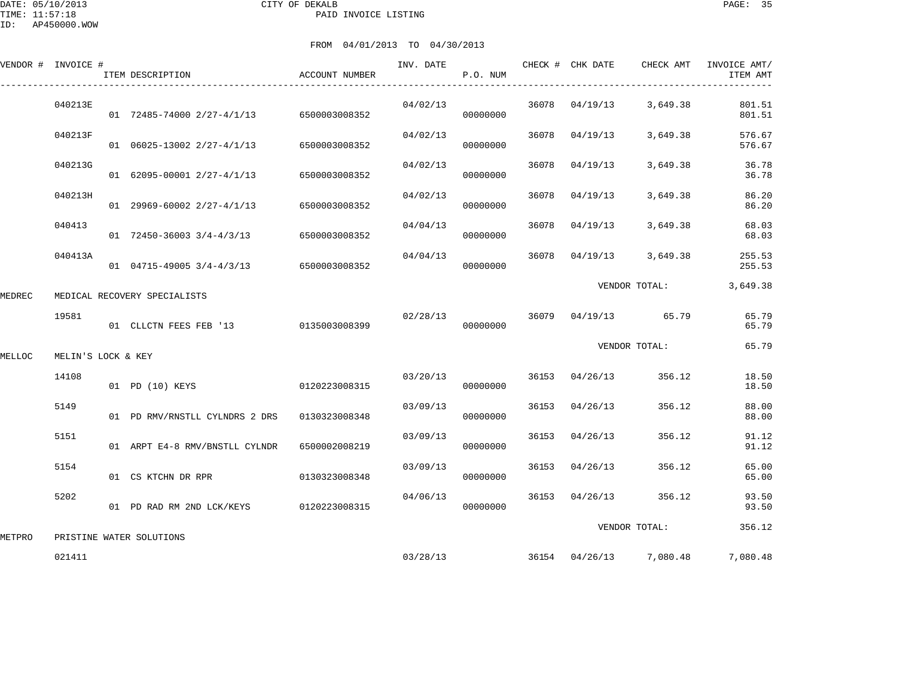DATE: 05/10/2013 CITY OF DEKALB PAGE: 35 PAID INVOICE LISTING

ID: AP450000.WOW

|        | VENDOR # INVOICE # | ITEM DESCRIPTION               | ACCOUNT NUMBER | INV. DATE | P.O. NUM |       |                | CHECK # CHK DATE CHECK AMT | INVOICE AMT/<br>ITEM AMT |
|--------|--------------------|--------------------------------|----------------|-----------|----------|-------|----------------|----------------------------|--------------------------|
|        | 040213E            | 01 72485-74000 2/27-4/1/13     | 6500003008352  | 04/02/13  | 00000000 |       | 36078 04/19/13 | 3,649.38                   | 801.51<br>801.51         |
|        | 040213F            | 01 06025-13002 2/27-4/1/13     | 6500003008352  | 04/02/13  | 00000000 | 36078 | 04/19/13       | 3,649.38                   | 576.67<br>576.67         |
|        | 040213G            | 01 62095-00001 2/27-4/1/13     | 6500003008352  | 04/02/13  | 00000000 | 36078 | 04/19/13       | 3,649.38                   | 36.78<br>36.78           |
|        | 040213H            | $01$ 29969-60002 2/27-4/1/13   | 6500003008352  | 04/02/13  | 00000000 | 36078 | 04/19/13       | 3,649.38                   | 86.20<br>86.20           |
|        | 040413             | $01$ 72450-36003 3/4-4/3/13    | 6500003008352  | 04/04/13  | 00000000 | 36078 | 04/19/13       | 3,649.38                   | 68.03<br>68.03           |
|        | 040413A            | 01 04715-49005 3/4-4/3/13      | 6500003008352  | 04/04/13  | 00000000 | 36078 | 04/19/13       | 3,649.38                   | 255.53<br>255.53         |
| MEDREC |                    | MEDICAL RECOVERY SPECIALISTS   |                |           |          |       |                | VENDOR TOTAL:              | 3,649.38                 |
|        | 19581              | 01 CLLCTN FEES FEB '13         | 0135003008399  | 02/28/13  | 00000000 |       |                | 36079 04/19/13 65.79       | 65.79<br>65.79           |
| MELLOC | MELIN'S LOCK & KEY |                                |                |           |          |       |                | VENDOR TOTAL:              | 65.79                    |
|        | 14108              | 01 PD (10) KEYS                | 0120223008315  | 03/20/13  | 00000000 |       | 36153 04/26/13 | 356.12                     | 18.50<br>18.50           |
|        | 5149               | 01 PD RMV/RNSTLL CYLNDRS 2 DRS | 0130323008348  | 03/09/13  | 00000000 |       | 36153 04/26/13 | 356.12                     | 88.00<br>88.00           |
|        | 5151               | 01 ARPT E4-8 RMV/BNSTLL CYLNDR | 6500002008219  | 03/09/13  | 00000000 | 36153 | 04/26/13       | 356.12                     | 91.12<br>91.12           |
|        | 5154               | 01 CS KTCHN DR RPR             | 0130323008348  | 03/09/13  | 00000000 | 36153 | 04/26/13       | 356.12                     | 65.00<br>65.00           |
|        | 5202               | 01 PD RAD RM 2ND LCK/KEYS      | 0120223008315  | 04/06/13  | 00000000 |       | 36153 04/26/13 | 356.12                     | 93.50<br>93.50           |
| METPRO |                    | PRISTINE WATER SOLUTIONS       |                |           |          |       |                | VENDOR TOTAL:              | 356.12                   |
|        | 021411             |                                |                | 03/28/13  |          |       | 36154 04/26/13 | 7,080.48                   | 7,080.48                 |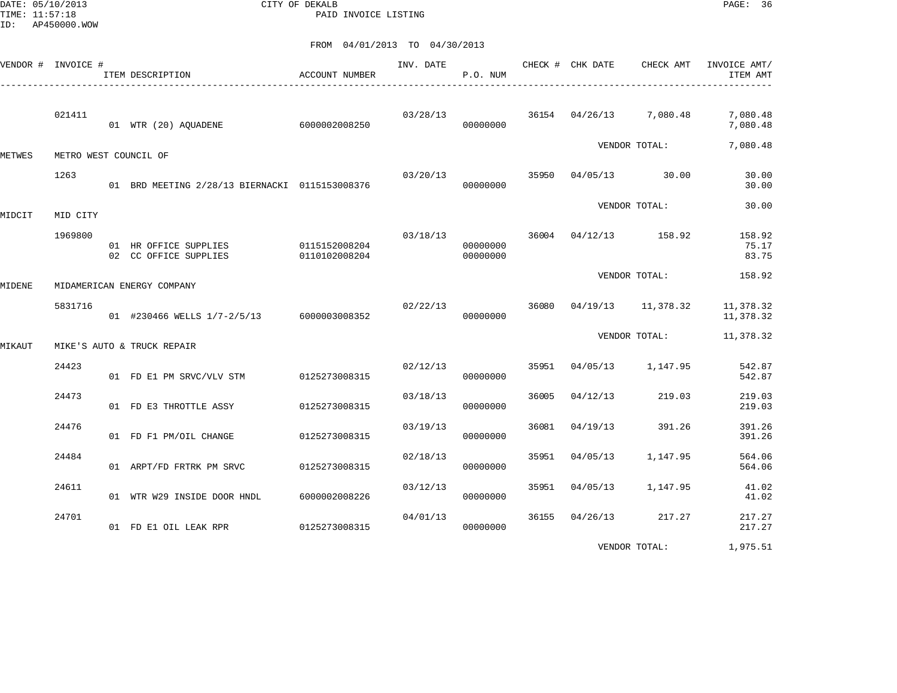DATE: 05/10/2013 CITY OF DEKALB PAGE: 36 PAID INVOICE LISTING

FROM 04/01/2013 TO 04/30/2013

|        | VENDOR # INVOICE #    | ACCOUNT NUMBER<br>ITEM DESCRIPTION                           |               |          | P.O. NUM             |       |                         |                    | INV. DATE CHECK # CHK DATE CHECK AMT INVOICE AMT/<br>ITEM AMT |
|--------|-----------------------|--------------------------------------------------------------|---------------|----------|----------------------|-------|-------------------------|--------------------|---------------------------------------------------------------|
|        | 021411                | 01 WTR (20) AQUADENE 6000002008250                           |               | 03/28/13 | 00000000             |       | 36154 04/26/13 7,080.48 |                    | 7,080.48<br>7,080.48                                          |
| METWES | METRO WEST COUNCIL OF |                                                              |               |          |                      |       |                         | VENDOR TOTAL:      | 7,080.48                                                      |
|        | 1263                  | 01 BRD MEETING 2/28/13 BIERNACKI 0115153008376               |               | 03/20/13 | 00000000             | 35950 | 04/05/13 30.00          |                    | 30.00<br>30.00                                                |
| MIDCIT | MID CITY              |                                                              |               |          |                      |       |                         | VENDOR TOTAL:      | 30.00                                                         |
|        | 1969800               | 01 HR OFFICE SUPPLIES 0115152008204<br>02 CC OFFICE SUPPLIES | 0110102008204 | 03/18/13 | 00000000<br>00000000 |       | 36004 04/12/13 158.92   |                    | 158.92<br>75.17<br>83.75                                      |
| MIDENE |                       | MIDAMERICAN ENERGY COMPANY                                   |               |          |                      |       |                         | VENDOR TOTAL:      | 158.92                                                        |
|        | 5831716               | 01 #230466 WELLS 1/7-2/5/13 6000003008352                    |               | 02/22/13 | 00000000             | 36080 |                         | 04/19/13 11,378.32 | 11,378.32<br>11,378.32                                        |
| MIKAUT |                       | MIKE'S AUTO & TRUCK REPAIR                                   |               |          |                      |       |                         | VENDOR TOTAL:      | 11,378.32                                                     |
|        | 24423                 | 01 FD E1 PM SRVC/VLV STM 0125273008315                       |               | 02/12/13 | 00000000             | 35951 | 04/05/13                | 1,147.95           | 542.87<br>542.87                                              |
|        | 24473                 | 01 FD E3 THROTTLE ASSY                                       | 0125273008315 | 03/18/13 | 00000000             | 36005 | 04/12/13                | 219.03             | 219.03<br>219.03                                              |
|        | 24476                 | 01 FD F1 PM/OIL CHANGE                                       | 0125273008315 | 03/19/13 | 00000000             | 36081 | 04/19/13                | 391.26             | 391.26<br>391.26                                              |
|        | 24484                 | 01 ARPT/FD FRTRK PM SRVC 0125273008315                       |               | 02/18/13 | 00000000             | 35951 | 04/05/13                | 1,147.95           | 564.06<br>564.06                                              |
|        | 24611                 | 01 WTR W29 INSIDE DOOR HNDL                                  | 6000002008226 | 03/12/13 | 00000000             | 35951 | 04/05/13                | 1,147.95           | 41.02<br>41.02                                                |
|        | 24701                 | 01 FD E1 OIL LEAK RPR                                        | 0125273008315 | 04/01/13 | 00000000             | 36155 | 04/26/13                | 217.27             | 217.27<br>217.27                                              |
|        |                       |                                                              |               |          |                      |       |                         |                    |                                                               |

VENDOR TOTAL: 1,975.51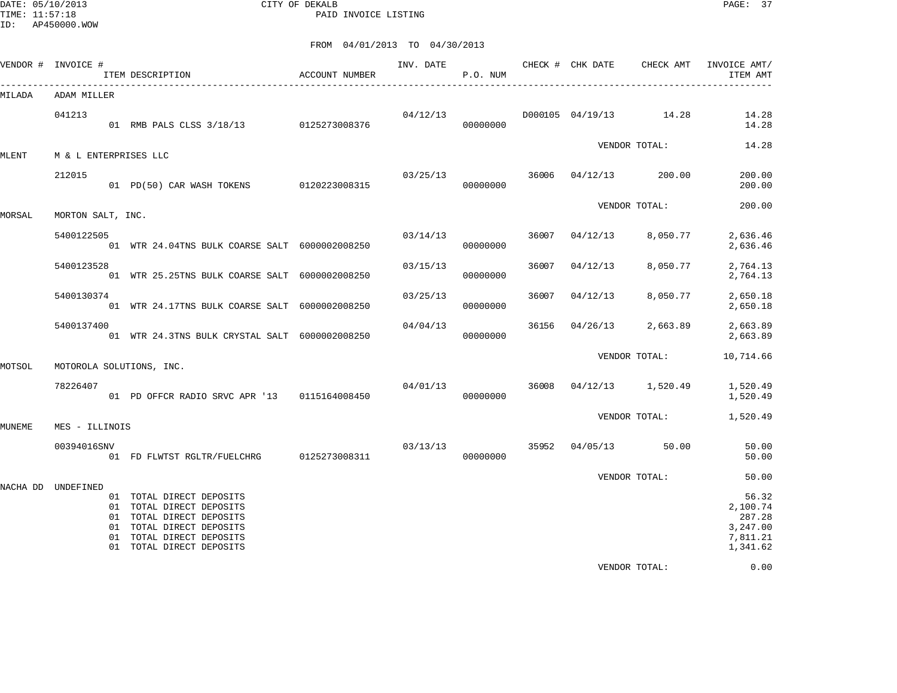DATE: 05/10/2013 CITY OF DEKALB PAGE: 37 PAID INVOICE LISTING

|          | VENDOR # INVOICE #    | ITEM DESCRIPTION                                                                                                                                                     | <b>ACCOUNT NUMBER</b> | INV. DATE | P.O. NUM             |       | CHECK # CHK DATE       | CHECK AMT         | INVOICE AMT/<br>ITEM AMT                                        |
|----------|-----------------------|----------------------------------------------------------------------------------------------------------------------------------------------------------------------|-----------------------|-----------|----------------------|-------|------------------------|-------------------|-----------------------------------------------------------------|
| MILADA   | ADAM MILLER           |                                                                                                                                                                      |                       |           |                      |       |                        |                   |                                                                 |
|          | 041213                | 01 RMB PALS CLSS 3/18/13 0125273008376                                                                                                                               |                       | 04/12/13  | 00000000             |       | D000105 04/19/13 14.28 |                   | 14.28<br>14.28                                                  |
| MLENT    | M & L ENTERPRISES LLC |                                                                                                                                                                      |                       |           |                      |       |                        | VENDOR TOTAL:     | 14.28                                                           |
|          | 212015                | 01 PD(50) CAR WASH TOKENS 0120223008315                                                                                                                              |                       |           | 03/25/13<br>00000000 |       | 36006 04/12/13         | 200.00            | 200.00<br>200.00                                                |
| MORSAL   | MORTON SALT, INC.     |                                                                                                                                                                      |                       |           |                      |       |                        | VENDOR TOTAL:     | 200.00                                                          |
|          | 5400122505            | 01 WTR 24.04TNS BULK COARSE SALT 6000002008250                                                                                                                       |                       | 03/14/13  | 00000000             | 36007 | 04/12/13               | 8,050.77          | 2,636.46<br>2,636.46                                            |
|          | 5400123528            | 01 WTR 25.25TNS BULK COARSE SALT 6000002008250                                                                                                                       |                       | 03/15/13  | 00000000             | 36007 | 04/12/13               | 8,050.77          | 2,764.13<br>2,764.13                                            |
|          | 5400130374            | 01 WTR 24.17TNS BULK COARSE SALT 6000002008250                                                                                                                       |                       | 03/25/13  | 00000000             | 36007 | 04/12/13               | 8,050.77          | 2,650.18<br>2,650.18                                            |
|          | 5400137400            | 01 WTR 24.3TNS BULK CRYSTAL SALT 6000002008250                                                                                                                       |                       | 04/04/13  | 00000000             | 36156 | 04/26/13               | 2,663.89          | 2,663.89<br>2,663.89                                            |
| MOTSOL   |                       | MOTOROLA SOLUTIONS, INC.                                                                                                                                             |                       |           |                      |       |                        | VENDOR TOTAL:     | 10,714.66                                                       |
|          | 78226407              | 01 PD OFFCR RADIO SRVC APR '13 0115164008450                                                                                                                         |                       | 04/01/13  | 00000000             | 36008 |                        | 04/12/13 1,520.49 | 1,520.49<br>1,520.49                                            |
| MUNEME   | MES - ILLINOIS        |                                                                                                                                                                      |                       |           |                      |       |                        |                   | VENDOR TOTAL: 1,520.49                                          |
|          | 00394016SNV           | 01 FD FLWTST RGLTR/FUELCHRG 0125273008311                                                                                                                            |                       | 03/13/13  | 00000000             | 35952 | $04/05/13$ 50.00       |                   | 50.00<br>50.00                                                  |
|          |                       |                                                                                                                                                                      |                       |           |                      |       |                        | VENDOR TOTAL:     | 50.00                                                           |
| NACHA DD | UNDEFINED             | 01 TOTAL DIRECT DEPOSITS<br>01 TOTAL DIRECT DEPOSITS<br>01 TOTAL DIRECT DEPOSITS<br>01 TOTAL DIRECT DEPOSITS<br>01 TOTAL DIRECT DEPOSITS<br>01 TOTAL DIRECT DEPOSITS |                       |           |                      |       |                        |                   | 56.32<br>2,100.74<br>287.28<br>3,247.00<br>7,811.21<br>1,341.62 |
|          |                       |                                                                                                                                                                      |                       |           |                      |       |                        | VENDOR TOTAL:     | 0.00                                                            |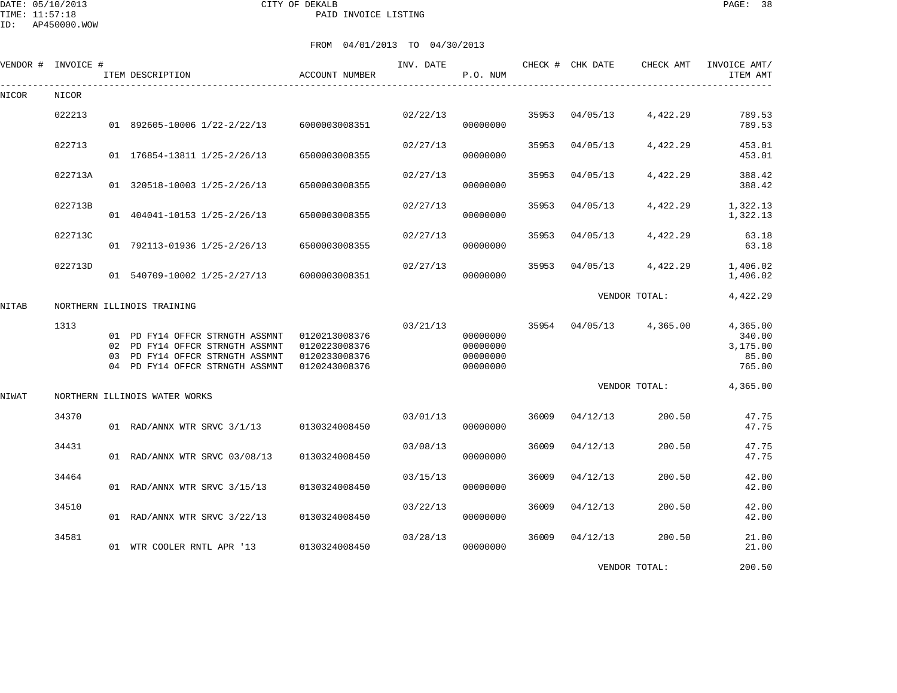DATE: 05/10/2013 CITY OF DEKALB PAGE: 38 PAID INVOICE LISTING

| VENDOR # | INVOICE # | ITEM DESCRIPTION                                                                                                                         | ACCOUNT NUMBER                                                   | INV. DATE | P.O. NUM                                     |       | CHECK # CHK DATE | CHECK AMT     | INVOICE AMT/<br>ITEM AMT                          |
|----------|-----------|------------------------------------------------------------------------------------------------------------------------------------------|------------------------------------------------------------------|-----------|----------------------------------------------|-------|------------------|---------------|---------------------------------------------------|
| NICOR    | NICOR     |                                                                                                                                          |                                                                  |           |                                              |       |                  |               |                                                   |
|          | 022213    | 01 892605-10006 1/22-2/22/13                                                                                                             | 6000003008351                                                    | 02/22/13  | 00000000                                     | 35953 | 04/05/13         | 4,422.29      | 789.53<br>789.53                                  |
|          | 022713    | 01 176854-13811 1/25-2/26/13                                                                                                             | 6500003008355                                                    | 02/27/13  | 00000000                                     | 35953 | 04/05/13         | 4,422.29      | 453.01<br>453.01                                  |
|          | 022713A   | 01 320518-10003 1/25-2/26/13                                                                                                             | 6500003008355                                                    | 02/27/13  | 00000000                                     | 35953 | 04/05/13         | 4,422.29      | 388.42<br>388.42                                  |
|          | 022713B   | 01 404041-10153 1/25-2/26/13                                                                                                             | 6500003008355                                                    | 02/27/13  | 00000000                                     | 35953 | 04/05/13         | 4,422.29      | 1,322.13<br>1,322.13                              |
|          | 022713C   | 01 792113-01936 1/25-2/26/13                                                                                                             | 6500003008355                                                    | 02/27/13  | 00000000                                     | 35953 | 04/05/13         | 4,422.29      | 63.18<br>63.18                                    |
|          | 022713D   | 01 540709-10002 1/25-2/27/13                                                                                                             | 6000003008351                                                    | 02/27/13  | 00000000                                     | 35953 | 04/05/13         | 4,422.29      | 1,406.02<br>1,406.02                              |
| NITAB    |           | NORTHERN ILLINOIS TRAINING                                                                                                               |                                                                  |           |                                              |       |                  | VENDOR TOTAL: | 4,422.29                                          |
|          | 1313      | 01 PD FY14 OFFCR STRNGTH ASSMNT<br>02 PD FY14 OFFCR STRNGTH ASSMNT<br>03 PD FY14 OFFCR STRNGTH ASSMNT<br>04 PD FY14 OFFCR STRNGTH ASSMNT | 0120213008376<br>0120223008376<br>0120233008376<br>0120243008376 | 03/21/13  | 00000000<br>00000000<br>00000000<br>00000000 | 35954 | 04/05/13         | 4,365.00      | 4,365.00<br>340.00<br>3,175.00<br>85.00<br>765.00 |
| NIWAT    |           | NORTHERN ILLINOIS WATER WORKS                                                                                                            |                                                                  |           |                                              |       |                  | VENDOR TOTAL: | 4,365.00                                          |
|          | 34370     | 01 RAD/ANNX WTR SRVC 3/1/13                                                                                                              | 0130324008450                                                    | 03/01/13  | 00000000                                     | 36009 | 04/12/13         | 200.50        | 47.75<br>47.75                                    |
|          | 34431     | 01 RAD/ANNX WTR SRVC 03/08/13                                                                                                            | 0130324008450                                                    | 03/08/13  | 00000000                                     | 36009 | 04/12/13         | 200.50        | 47.75<br>47.75                                    |
|          | 34464     | 01 RAD/ANNX WTR SRVC 3/15/13                                                                                                             | 0130324008450                                                    | 03/15/13  | 00000000                                     | 36009 | 04/12/13         | 200.50        | 42.00<br>42.00                                    |
|          | 34510     | 01 RAD/ANNX WTR SRVC 3/22/13                                                                                                             | 0130324008450                                                    | 03/22/13  | 00000000                                     | 36009 | 04/12/13         | 200.50        | 42.00<br>42.00                                    |
|          | 34581     | 01 WTR COOLER RNTL APR '13                                                                                                               | 0130324008450                                                    | 03/28/13  | 00000000                                     | 36009 | 04/12/13         | 200.50        | 21.00<br>21.00                                    |
|          |           |                                                                                                                                          |                                                                  |           |                                              |       |                  | VENDOR TOTAL: | 200.50                                            |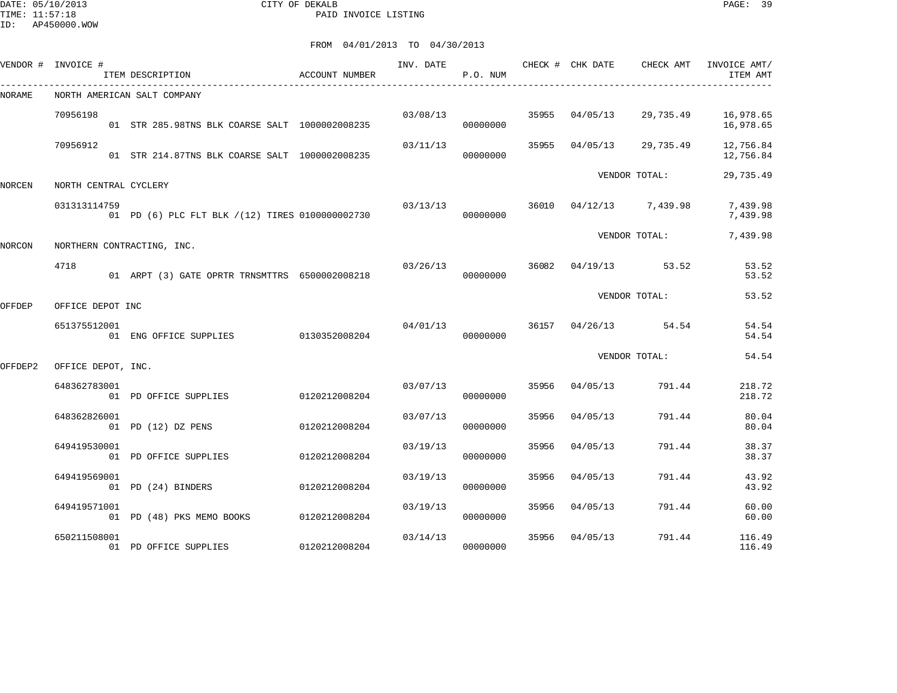DATE: 05/10/2013 CITY OF DEKALB PAGE: 39 PAID INVOICE LISTING

|               | VENDOR # INVOICE #    | ITEM DESCRIPTION                                 | ACCOUNT NUMBER | INV. DATE | P.O. NUM |       | CHECK # CHK DATE | CHECK AMT     | INVOICE AMT/<br>ITEM AMT |
|---------------|-----------------------|--------------------------------------------------|----------------|-----------|----------|-------|------------------|---------------|--------------------------|
| NORAME        |                       | NORTH AMERICAN SALT COMPANY                      |                |           |          |       |                  |               |                          |
|               | 70956198              | 01 STR 285.98TNS BLK COARSE SALT 1000002008235   |                | 03/08/13  | 00000000 | 35955 | 04/05/13         | 29,735.49     | 16,978.65<br>16,978.65   |
|               | 70956912              | 01 STR 214.87TNS BLK COARSE SALT 1000002008235   |                | 03/11/13  | 00000000 | 35955 | 04/05/13         | 29,735.49     | 12,756.84<br>12,756.84   |
| <b>NORCEN</b> | NORTH CENTRAL CYCLERY |                                                  |                |           |          |       |                  | VENDOR TOTAL: | 29,735.49                |
|               | 031313114759          | 01 PD (6) PLC FLT BLK / (12) TIRES 0100000002730 |                | 03/13/13  | 00000000 | 36010 | 04/12/13         | 7,439.98      | 7,439.98<br>7,439.98     |
| NORCON        |                       | NORTHERN CONTRACTING, INC.                       |                |           |          |       |                  | VENDOR TOTAL: | 7,439.98                 |
|               | 4718                  | 01 ARPT (3) GATE OPRTR TRNSMTTRS 6500002008218   |                | 03/26/13  | 00000000 | 36082 | 04/19/13         | 53.52         | 53.52<br>53.52           |
| OFFDEP        | OFFICE DEPOT INC      |                                                  |                |           |          |       |                  | VENDOR TOTAL: | 53.52                    |
|               | 651375512001          | 01 ENG OFFICE SUPPLIES                           | 0130352008204  | 04/01/13  | 00000000 | 36157 | 04/26/13         | 54.54         | 54.54<br>54.54           |
| OFFDEP2       | OFFICE DEPOT, INC.    |                                                  |                |           |          |       |                  | VENDOR TOTAL: | 54.54                    |
|               | 648362783001          | 01 PD OFFICE SUPPLIES                            | 0120212008204  | 03/07/13  | 00000000 | 35956 | 04/05/13         | 791.44        | 218.72<br>218.72         |
|               | 648362826001          | 01 PD (12) DZ PENS                               | 0120212008204  | 03/07/13  | 00000000 | 35956 | 04/05/13         | 791.44        | 80.04<br>80.04           |
|               | 649419530001          | 01 PD OFFICE SUPPLIES                            | 0120212008204  | 03/19/13  | 00000000 | 35956 | 04/05/13         | 791.44        | 38.37<br>38.37           |
|               | 649419569001          | 01 PD (24) BINDERS                               | 0120212008204  | 03/19/13  | 00000000 | 35956 | 04/05/13         | 791.44        | 43.92<br>43.92           |
|               | 649419571001          | 01 PD (48) PKS MEMO BOOKS 0120212008204          |                | 03/19/13  | 00000000 | 35956 | 04/05/13         | 791.44        | 60.00<br>60.00           |
|               | 650211508001          | 01 PD OFFICE SUPPLIES                            | 0120212008204  | 03/14/13  | 00000000 | 35956 | 04/05/13         | 791.44        | 116.49<br>116.49         |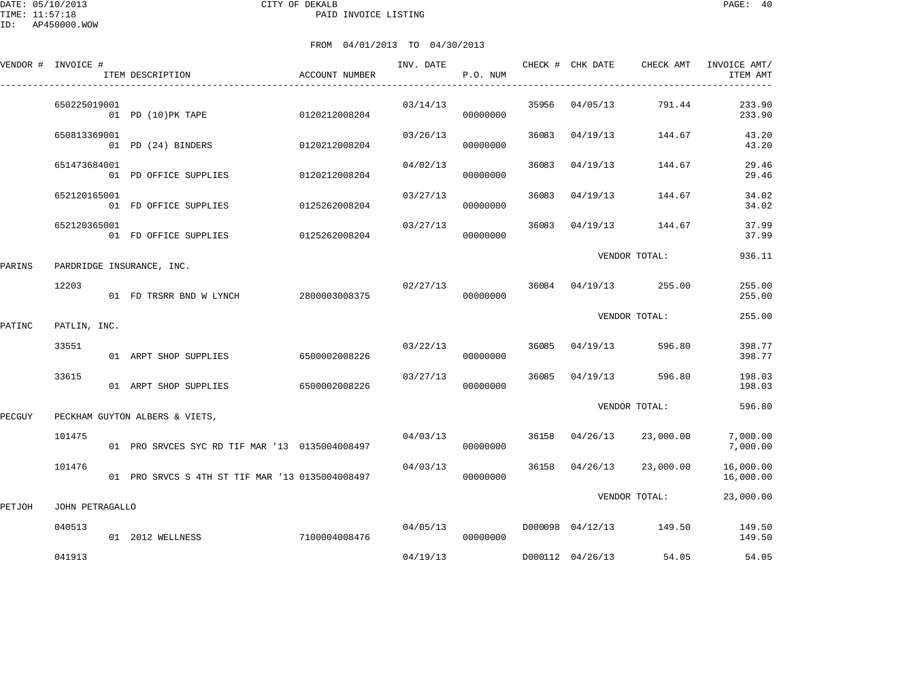DATE: 05/10/2013 CITY OF DEKALB PAGE: 40 PAID INVOICE LISTING

ID: AP450000.WOW

|        | VENDOR # INVOICE # | ITEM DESCRIPTION                                | <b>ACCOUNT NUMBER</b> | INV. DATE | P.O. NUM             |       | CHECK # CHK DATE | CHECK AMT               | INVOICE AMT/<br>ITEM AMT |
|--------|--------------------|-------------------------------------------------|-----------------------|-----------|----------------------|-------|------------------|-------------------------|--------------------------|
|        | 650225019001       | 01 PD (10) PK TAPE                              | 0120212008204         | 03/14/13  | 00000000             |       | 35956 04/05/13   | 791.44                  | 233.90<br>233.90         |
|        | 650813369001       | 01 PD (24) BINDERS 0120212008204                |                       | 03/26/13  | 00000000             |       | 36083 04/19/13   | 144.67                  | 43.20<br>43.20           |
|        | 651473684001       | 01 PD OFFICE SUPPLIES                           | 0120212008204         | 04/02/13  | 00000000             | 36083 | 04/19/13         | 144.67                  | 29.46<br>29.46           |
|        | 652120165001       | 01 FD OFFICE SUPPLIES                           | 0125262008204         | 03/27/13  | 00000000             | 36083 | 04/19/13         | 144.67                  | 34.02<br>34.02           |
|        | 652120365001       | 01 FD OFFICE SUPPLIES                           | 0125262008204         | 03/27/13  | 00000000             | 36083 | 04/19/13         | 144.67                  | 37.99<br>37.99           |
| PARINS |                    | PARDRIDGE INSURANCE, INC.                       |                       |           |                      |       |                  | VENDOR TOTAL:           | 936.11                   |
|        | 12203              | 01 FD TRSRR BND W LYNCH                         | 2800003008375         | 02/27/13  | 00000000             |       |                  | 36084 04/19/13 255.00   | 255.00<br>255.00         |
| PATINC | PATLIN, INC.       |                                                 |                       |           |                      |       |                  | VENDOR TOTAL:           | 255.00                   |
|        | 33551              | 01 ARPT SHOP SUPPLIES                           | 6500002008226         | 03/22/13  | 00000000             |       | 36085 04/19/13   | 596.80                  | 398.77<br>398.77         |
|        | 33615              | 01 ARPT SHOP SUPPLIES                           | 6500002008226         | 03/27/13  | 00000000             |       | 36085 04/19/13   | 596.80                  | 198.03<br>198.03         |
| PECGUY |                    | PECKHAM GUYTON ALBERS & VIETS,                  |                       |           |                      |       |                  | VENDOR TOTAL:           | 596.80                   |
|        | 101475             | 01 PRO SRVCES SYC RD TIF MAR '13 0135004008497  |                       |           | 04/03/13<br>00000000 |       | 36158 04/26/13   | 23,000.00               | 7,000.00<br>7,000.00     |
|        | 101476             | 01 PRO SRVCS S 4TH ST TIF MAR '13 0135004008497 |                       | 04/03/13  | 00000000             |       | 36158 04/26/13   | 23,000.00               | 16,000.00<br>16,000.00   |
| PETJOH | JOHN PETRAGALLO    |                                                 |                       |           |                      |       |                  | VENDOR TOTAL:           | 23,000.00                |
|        | 040513             | 01 2012 WELLNESS                                | 7100004008476         |           | 04/05/13<br>00000000 |       |                  | D000098 04/12/13 149.50 | 149.50<br>149.50         |
|        | 041913             |                                                 |                       | 04/19/13  |                      |       | D000112 04/26/13 | 54.05                   | 54.05                    |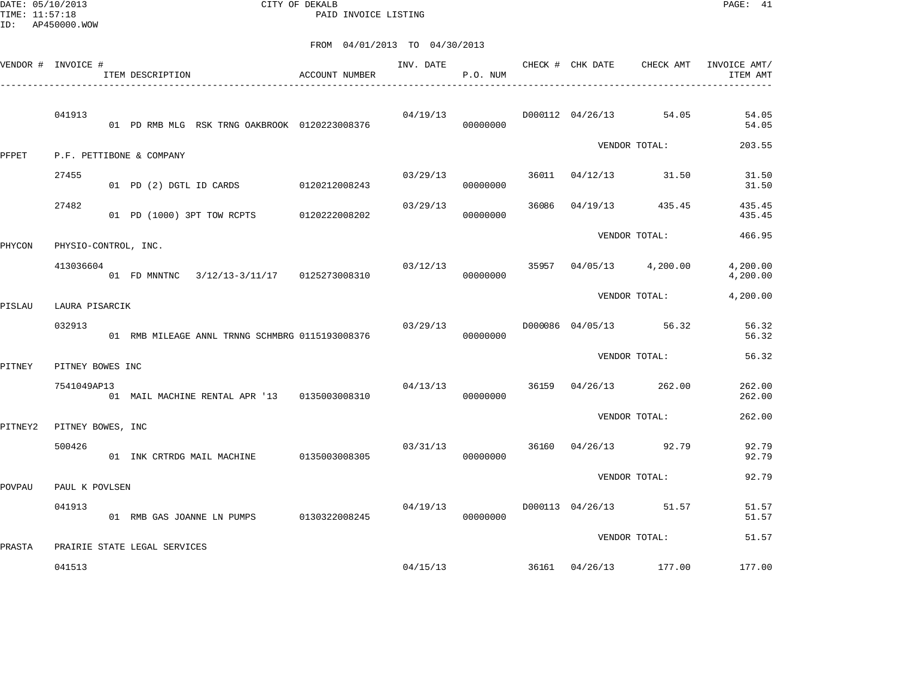DATE: 05/10/2013 CITY OF DEKALB PAGE: 41 PAID INVOICE LISTING

| VENDOR # INVOICE # |                      | ITEM DESCRIPTION             |                                                 | ACCOUNT NUMBER |          | P.O. NUM             |  | INV. DATE 6 CHECK # CHK DATE CHECK AMT | INVOICE AMT/<br>ITEM AMT |
|--------------------|----------------------|------------------------------|-------------------------------------------------|----------------|----------|----------------------|--|----------------------------------------|--------------------------|
|                    | 041913               |                              | 01 PD RMB MLG RSK TRNG OAKBROOK 0120223008376   |                |          | 04/19/13<br>00000000 |  | D000112 04/26/13 54.05                 | 54.05<br>54.05           |
| PFPET              |                      | P.F. PETTIBONE & COMPANY     |                                                 |                |          |                      |  | VENDOR TOTAL:                          | 203.55                   |
|                    | 27455                |                              | 01 PD (2) DGTL ID CARDS 0120212008243           |                | 03/29/13 | 00000000             |  | 36011 04/12/13 31.50                   | 31.50<br>31.50           |
|                    | 27482                |                              | 01 PD (1000) 3PT TOW RCPTS 0120222008202        |                | 03/29/13 | 00000000             |  | 36086 04/19/13 435.45                  | 435.45<br>435.45         |
| PHYCON             | PHYSIO-CONTROL, INC. |                              |                                                 |                |          |                      |  | VENDOR TOTAL:                          | 466.95                   |
|                    | 413036604            |                              | 01 FD MNNTNC 3/12/13-3/11/17 0125273008310      |                | 03/12/13 | 00000000             |  | 35957 04/05/13 4,200.00                | 4,200.00<br>4,200.00     |
| PISLAU             | LAURA PISARCIK       |                              |                                                 |                |          |                      |  | VENDOR TOTAL:                          | 4,200.00                 |
|                    | 032913               |                              | 01 RMB MILEAGE ANNL TRNNG SCHMBRG 0115193008376 |                | 03/29/13 | 00000000             |  | D000086 04/05/13 56.32                 | 56.32<br>56.32           |
| PITNEY             | PITNEY BOWES INC     |                              |                                                 |                |          |                      |  | VENDOR TOTAL:                          | 56.32                    |
|                    | 7541049AP13          |                              | 01 MAIL MACHINE RENTAL APR '13 0135003008310    |                | 04/13/13 | 00000000             |  | 36159 04/26/13 262.00                  | 262.00<br>262.00         |
| PITNEY2            | PITNEY BOWES, INC    |                              |                                                 |                |          |                      |  | VENDOR TOTAL:                          | 262.00                   |
|                    | 500426               |                              | 01 INK CRTRDG MAIL MACHINE 0135003008305        |                |          | 03/31/13<br>00000000 |  | 36160 04/26/13 92.79                   | 92.79<br>92.79           |
| POVPAU             | PAUL K POVLSEN       |                              |                                                 |                |          |                      |  | VENDOR TOTAL:                          | 92.79                    |
|                    | 041913               |                              | 01 RMB GAS JOANNE LN PUMPS 0130322008245        |                | 04/19/13 | 00000000             |  | D000113 04/26/13 51.57                 | 51.57<br>51.57           |
| PRASTA             |                      | PRAIRIE STATE LEGAL SERVICES |                                                 |                |          |                      |  | VENDOR TOTAL:                          | 51.57                    |
|                    | 041513               |                              |                                                 |                |          |                      |  | 04/15/13 36161 04/26/13 177.00         | 177.00                   |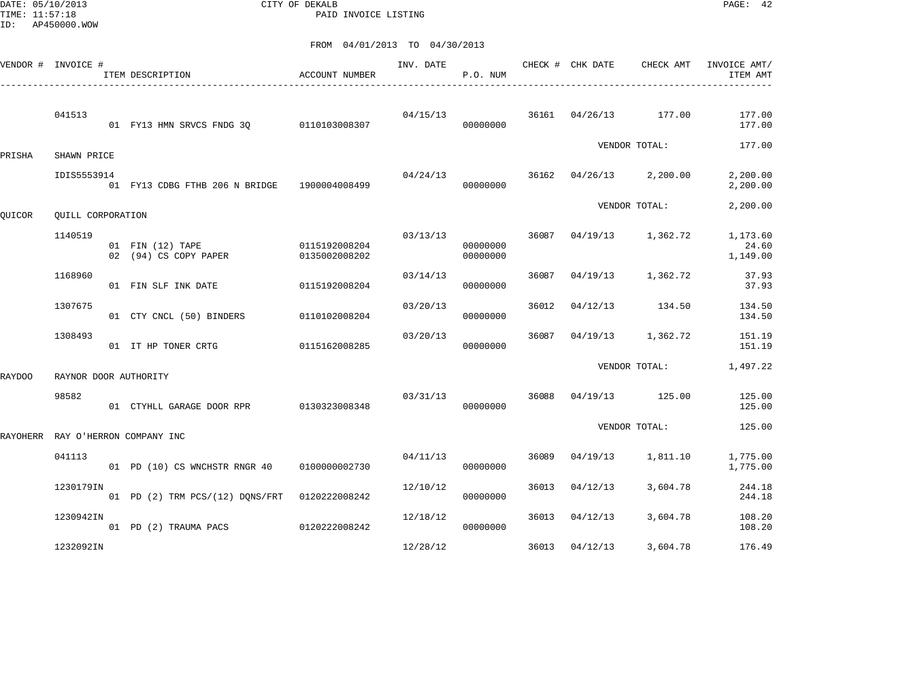DATE: 05/10/2013 CITY OF DEKALB PAGE: 42 PAID INVOICE LISTING

|        | VENDOR # INVOICE #    | ITEM DESCRIPTION                             | ACCOUNT NUMBER                 | INV. DATE | P.O. NUM             |       | CHECK # CHK DATE | CHECK AMT               | INVOICE AMT/<br>ITEM AMT      |
|--------|-----------------------|----------------------------------------------|--------------------------------|-----------|----------------------|-------|------------------|-------------------------|-------------------------------|
|        | 041513                | 01 FY13 HMN SRVCS FNDG 30                    | 0110103008307                  | 04/15/13  | 00000000             | 36161 | 04/26/13         | 177.00                  | 177.00<br>177.00              |
| PRISHA | SHAWN PRICE           |                                              |                                |           |                      |       |                  | VENDOR TOTAL:           | 177.00                        |
|        | IDIS5553914           | 01 FY13 CDBG FTHB 206 N BRIDGE 1900004008499 |                                | 04/24/13  | 00000000             |       |                  | 36162 04/26/13 2,200.00 | 2,200.00<br>2,200.00          |
| QUICOR | OUILL CORPORATION     |                                              |                                |           |                      |       |                  | VENDOR TOTAL:           | 2,200.00                      |
|        | 1140519               | 01 FIN (12) TAPE<br>02 (94) CS COPY PAPER    | 0115192008204<br>0135002008202 | 03/13/13  | 00000000<br>00000000 | 36087 | 04/19/13         | 1,362.72                | 1,173.60<br>24.60<br>1,149.00 |
|        | 1168960               | 01 FIN SLF INK DATE                          | 0115192008204                  | 03/14/13  | 00000000             | 36087 | 04/19/13         | 1,362.72                | 37.93<br>37.93                |
|        | 1307675               | 01 CTY CNCL (50) BINDERS                     | 0110102008204                  | 03/20/13  | 00000000             | 36012 | 04/12/13         | 134.50                  | 134.50<br>134.50              |
|        | 1308493               | 01 IT HP TONER CRTG                          | 0115162008285                  | 03/20/13  | 00000000             | 36087 | 04/19/13         | 1,362.72                | 151.19<br>151.19              |
| RAYDOO | RAYNOR DOOR AUTHORITY |                                              |                                |           |                      |       |                  | VENDOR TOTAL:           | 1,497.22                      |
|        | 98582                 | 01 CTYHLL GARAGE DOOR RPR                    | 0130323008348                  | 03/31/13  | 00000000             | 36088 | 04/19/13         | 125.00                  | 125.00<br>125.00              |
|        |                       | RAYOHERR RAY O'HERRON COMPANY INC            |                                |           |                      |       |                  | VENDOR TOTAL:           | 125.00                        |
|        | 041113                | 01 PD (10) CS WNCHSTR RNGR 40                | 0100000002730                  | 04/11/13  | 00000000             | 36089 | 04/19/13         | 1,811.10                | 1,775.00<br>1,775.00          |
|        | 1230179IN             | 01 PD (2) TRM PCS/(12) DONS/FRT              | 0120222008242                  | 12/10/12  | 00000000             | 36013 | 04/12/13         | 3,604.78                | 244.18<br>244.18              |
|        | 1230942IN             | 01 PD (2) TRAUMA PACS                        | 0120222008242                  | 12/18/12  | 00000000             | 36013 | 04/12/13         | 3,604.78                | 108.20<br>108.20              |
|        | 1232092IN             |                                              |                                | 12/28/12  |                      | 36013 | 04/12/13         | 3,604.78                | 176.49                        |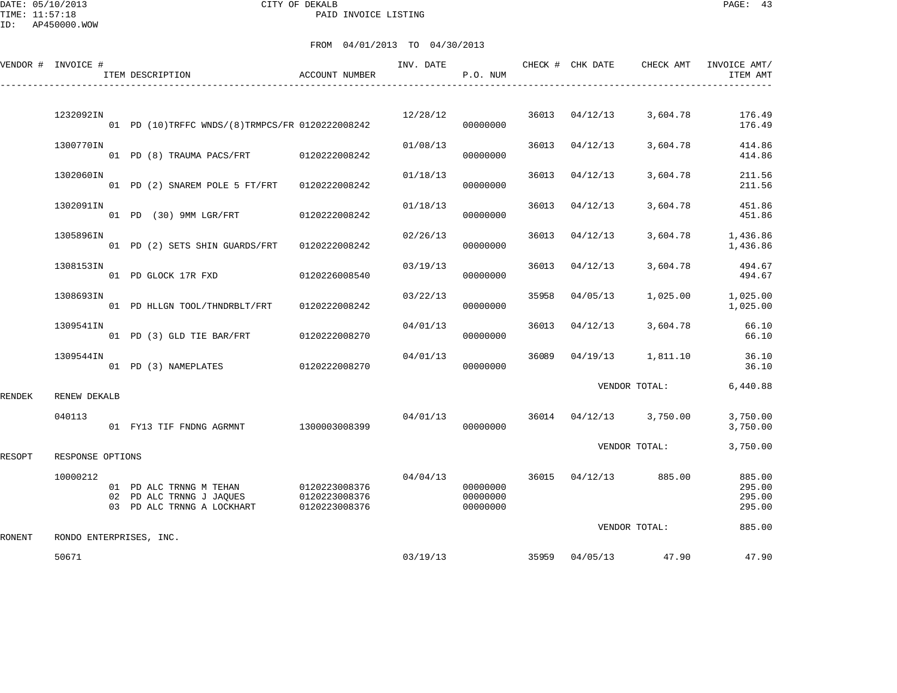DATE: 05/10/2013 CITY OF DEKALB PAGE: 43 PAID INVOICE LISTING

|        | VENDOR # INVOICE # | ITEM DESCRIPTION                                                                  | <b>ACCOUNT NUMBER</b>                           | INV. DATE | P.O. NUM                         |       | CHECK # CHK DATE | CHECK AMT               | INVOICE AMT/<br>ITEM AMT             |
|--------|--------------------|-----------------------------------------------------------------------------------|-------------------------------------------------|-----------|----------------------------------|-------|------------------|-------------------------|--------------------------------------|
|        | 1232092IN          | 01 PD (10)TRFFC WNDS/(8)TRMPCS/FR 0120222008242                                   |                                                 | 12/28/12  | 00000000                         |       | 36013 04/12/13   | 3,604.78                | 176.49<br>176.49                     |
|        | 1300770IN          | 01 PD (8) TRAUMA PACS/FRT 0120222008242                                           |                                                 | 01/08/13  | 00000000                         | 36013 | 04/12/13         | 3,604.78                | 414.86<br>414.86                     |
|        | 1302060IN          | 01 PD (2) SNAREM POLE 5 FT/FRT 0120222008242                                      |                                                 | 01/18/13  | 00000000                         | 36013 | 04/12/13         | 3,604.78                | 211.56<br>211.56                     |
|        | 1302091IN          | 01 PD (30) 9MM LGR/FRT 0120222008242                                              |                                                 | 01/18/13  | 00000000                         | 36013 | 04/12/13         | 3,604.78                | 451.86<br>451.86                     |
|        | 1305896IN          | 01 PD (2) SETS SHIN GUARDS/FRT                                                    | 0120222008242                                   | 02/26/13  | 00000000                         | 36013 | 04/12/13         | 3,604.78                | 1,436.86<br>1,436.86                 |
|        | 1308153IN          | 01 PD GLOCK 17R FXD                                                               | 0120226008540                                   | 03/19/13  | 00000000                         | 36013 | 04/12/13         | 3,604.78                | 494.67<br>494.67                     |
|        | 1308693IN          | 01 PD HLLGN TOOL/THNDRBLT/FRT                                                     | 0120222008242                                   | 03/22/13  | 00000000                         | 35958 | 04/05/13         | 1,025.00                | 1,025.00<br>1,025.00                 |
|        | 1309541IN          | 01 PD (3) GLD TIE BAR/FRT                                                         | 0120222008270                                   | 04/01/13  | 00000000                         | 36013 | 04/12/13         | 3,604.78                | 66.10<br>66.10                       |
|        | 1309544IN          | 01 PD (3) NAMEPLATES 0120222008270                                                |                                                 | 04/01/13  | 00000000                         | 36089 | 04/19/13         | 1,811.10                | 36.10<br>36.10                       |
| RENDEK | RENEW DEKALB       |                                                                                   |                                                 |           |                                  |       |                  | VENDOR TOTAL:           | 6,440.88                             |
|        | 040113             | 01 FY13 TIF FNDNG AGRMNT 1300003008399                                            |                                                 | 04/01/13  | 00000000                         |       |                  | 36014 04/12/13 3,750.00 | 3,750.00<br>3,750.00                 |
| RESOPT | RESPONSE OPTIONS   |                                                                                   |                                                 |           |                                  |       |                  | VENDOR TOTAL:           | 3,750.00                             |
|        | 10000212           | 01 PD ALC TRNNG M TEHAN<br>02 PD ALC TRNNG J JAQUES<br>03 PD ALC TRNNG A LOCKHART | 0120223008376<br>0120223008376<br>0120223008376 | 04/04/13  | 00000000<br>00000000<br>00000000 |       |                  | 36015 04/12/13 885.00   | 885.00<br>295.00<br>295.00<br>295.00 |
| RONENT |                    | RONDO ENTERPRISES, INC.                                                           |                                                 |           |                                  |       |                  | VENDOR TOTAL:           | 885.00                               |
|        | 50671              |                                                                                   |                                                 | 03/19/13  |                                  |       | 35959 04/05/13   | 47.90                   | 47.90                                |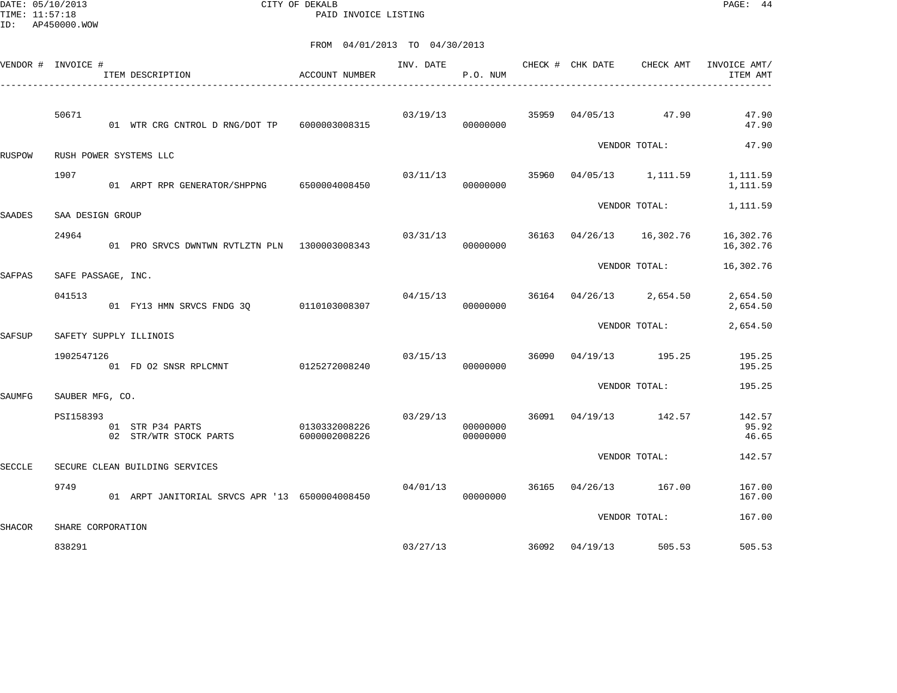DATE: 05/10/2013 CITY OF DEKALB PAGE: 44 PAID INVOICE LISTING

|        | VENDOR # INVOICE # | ITEM DESCRIPTION<br>----------------------------------- | ACCOUNT NUMBER                 | INV. DATE | P.O. NUM             |       | CHECK # CHK DATE        | CHECK AMT         | INVOICE AMT/<br>ITEM AMT |
|--------|--------------------|---------------------------------------------------------|--------------------------------|-----------|----------------------|-------|-------------------------|-------------------|--------------------------|
|        | 50671              | 01 WTR CRG CNTROL D RNG/DOT TP                          | 6000003008315                  | 03/19/13  | 00000000             | 35959 |                         | 04/05/13 47.90    | 47.90<br>47.90           |
| RUSPOW |                    | RUSH POWER SYSTEMS LLC                                  |                                |           |                      |       |                         | VENDOR TOTAL:     | 47.90                    |
|        | 1907               | 01 ARPT RPR GENERATOR/SHPPNG 6500004008450              |                                | 03/11/13  | 00000000             | 35960 |                         | 04/05/13 1,111.59 | 1,111.59<br>1,111.59     |
| SAADES | SAA DESIGN GROUP   |                                                         |                                |           |                      |       |                         | VENDOR TOTAL:     | 1,111.59                 |
|        | 24964              | 01 PRO SRVCS DWNTWN RVTLZTN PLN 1300003008343           |                                | 03/31/13  | 00000000             |       | 36163 04/26/13          | 16,302.76         | 16,302.76<br>16,302.76   |
| SAFPAS | SAFE PASSAGE, INC. |                                                         |                                |           |                      |       |                         | VENDOR TOTAL:     | 16,302.76                |
|        | 041513             | 01 FY13 HMN SRVCS FNDG 30                               | 0110103008307                  | 04/15/13  | 00000000             |       | 36164 04/26/13 2,654.50 |                   | 2,654.50<br>2,654.50     |
| SAFSUP |                    | SAFETY SUPPLY ILLINOIS                                  |                                |           |                      |       |                         | VENDOR TOTAL:     | 2,654.50                 |
|        | 1902547126         | 01 FD 02 SNSR RPLCMNT                                   | 0125272008240                  | 03/15/13  | 00000000             | 36090 |                         | 04/19/13 195.25   | 195.25<br>195.25         |
| SAUMFG | SAUBER MFG, CO.    |                                                         |                                |           |                      |       |                         | VENDOR TOTAL:     | 195.25                   |
|        | PSI158393          | 01 STR P34 PARTS<br>02 STR/WTR STOCK PARTS              | 0130332008226<br>6000002008226 | 03/29/13  | 00000000<br>00000000 | 36091 | 04/19/13                | 142.57            | 142.57<br>95.92<br>46.65 |
| SECCLE |                    | SECURE CLEAN BUILDING SERVICES                          |                                |           |                      |       |                         | VENDOR TOTAL:     | 142.57                   |
|        | 9749               | 01 ARPT JANITORIAL SRVCS APR '13 6500004008450          |                                | 04/01/13  | 00000000             | 36165 | 04/26/13                | 167.00            | 167.00<br>167.00         |
| SHACOR | SHARE CORPORATION  |                                                         |                                |           |                      |       |                         | VENDOR TOTAL:     | 167.00                   |
|        | 838291             |                                                         |                                | 03/27/13  |                      | 36092 | 04/19/13                | 505.53            | 505.53                   |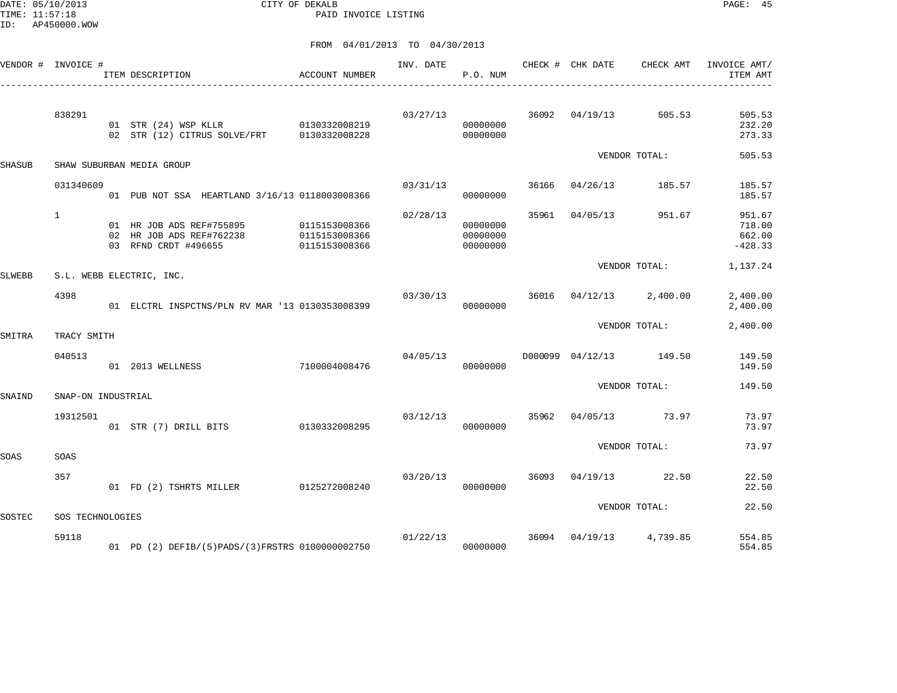DATE: 05/10/2013 CITY OF DEKALB PAGE: 45 PAID INVOICE LISTING

|               | VENDOR # INVOICE # | ITEM DESCRIPTION                                                                 | ACCOUNT NUMBER                                  | INV. DATE | P.O. NUM                         |       | CHECK # CHK DATE        | CHECK AMT     | INVOICE AMT/<br>ITEM AMT                |
|---------------|--------------------|----------------------------------------------------------------------------------|-------------------------------------------------|-----------|----------------------------------|-------|-------------------------|---------------|-----------------------------------------|
|               | 838291             | 01 STR (24) WSP KLLR 0130332008219<br>02 STR (12) CITRUS SOLVE/FRT 0130332008228 |                                                 | 03/27/13  | 00000000<br>00000000             |       | 36092 04/19/13 505.53   |               | 505.53<br>232.20<br>273.33              |
| <b>SHASUB</b> |                    | SHAW SUBURBAN MEDIA GROUP                                                        |                                                 |           |                                  |       |                         | VENDOR TOTAL: | 505.53                                  |
|               |                    |                                                                                  |                                                 |           |                                  |       |                         |               |                                         |
|               | 031340609          | 01 PUB NOT SSA HEARTLAND 3/16/13 0118003008366                                   |                                                 | 03/31/13  | 00000000                         |       | 36166 04/26/13          | 185.57        | 185.57<br>185.57                        |
|               | $\mathbf{1}$       | 01 HR JOB ADS REF#755895<br>02 HR JOB ADS REF#762238<br>03 RFND CRDT #496655     | 0115153008366<br>0115153008366<br>0115153008366 | 02/28/13  | 00000000<br>00000000<br>00000000 | 35961 | 04/05/13                | 951.67        | 951.67<br>718.00<br>662.00<br>$-428.33$ |
| SLWEBB        |                    | S.L. WEBB ELECTRIC, INC.                                                         |                                                 |           |                                  |       |                         | VENDOR TOTAL: | 1,137.24                                |
|               | 4398               | 01 ELCTRL INSPCTNS/PLN RV MAR '13 0130353008399                                  |                                                 | 03/30/13  | 00000000                         |       | 36016 04/12/13 2,400.00 |               | 2,400.00<br>2,400.00                    |
| SMITRA        | TRACY SMITH        |                                                                                  |                                                 |           |                                  |       |                         | VENDOR TOTAL: | 2,400.00                                |
|               | 040513             | 7100004008476<br>01 2013 WELLNESS                                                |                                                 | 04/05/13  | 00000000                         |       | D000099 04/12/13 149.50 |               | 149.50<br>149.50                        |
| SNAIND        | SNAP-ON INDUSTRIAL |                                                                                  |                                                 |           |                                  |       |                         | VENDOR TOTAL: | 149.50                                  |
|               | 19312501           | 01 STR (7) DRILL BITS 0130332008295                                              |                                                 | 03/12/13  | 00000000                         |       | 35962 04/05/13 73.97    |               | 73.97<br>73.97                          |
| SOAS          | SOAS               |                                                                                  |                                                 |           |                                  |       |                         | VENDOR TOTAL: | 73.97                                   |
|               | 357                | 01 FD (2) TSHRTS MILLER 0125272008240                                            |                                                 | 03/20/13  | 00000000                         |       | 36093 04/19/13 22.50    |               | 22.50<br>22.50                          |
| SOSTEC        | SOS TECHNOLOGIES   |                                                                                  |                                                 |           |                                  |       |                         | VENDOR TOTAL: | 22.50                                   |
|               | 59118              | 01 PD (2) DEFIB/(5) PADS/(3) FRSTRS 0100000002750                                |                                                 | 01/22/13  | 00000000                         |       | 36094 04/19/13 4,739.85 |               | 554.85<br>554.85                        |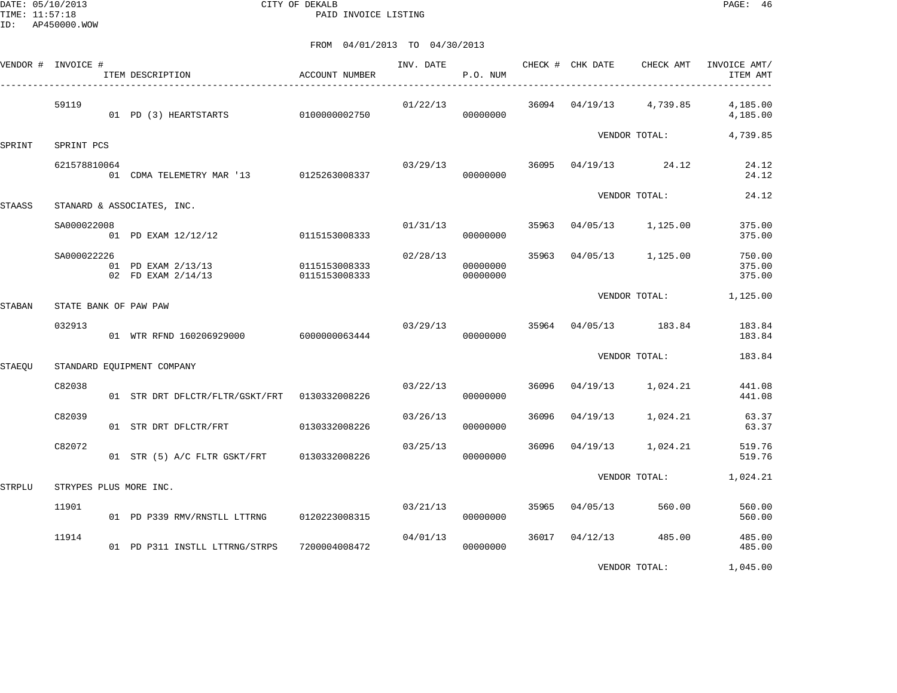DATE: 05/10/2013 CITY OF DEKALB PAGE: 46 PAID INVOICE LISTING

|        | VENDOR # INVOICE #         | ITEM DESCRIPTION                              | ACCOUNT NUMBER                 | INV. DATE | P.O. NUM             |       | CHECK # CHK DATE | CHECK AMT               | INVOICE AMT/<br>ITEM AMT   |
|--------|----------------------------|-----------------------------------------------|--------------------------------|-----------|----------------------|-------|------------------|-------------------------|----------------------------|
|        | 59119                      | 01 PD (3) HEARTSTARTS                         | 0100000002750                  | 01/22/13  | 00000000             |       |                  | 36094 04/19/13 4,739.85 | 4,185.00<br>4,185.00       |
|        |                            |                                               |                                |           |                      |       |                  | VENDOR TOTAL:           | 4,739.85                   |
| SPRINT | SPRINT PCS<br>621578810064 | 01 CDMA TELEMETRY MAR '13 0125263008337       |                                | 03/29/13  | 00000000             | 36095 |                  | $04/19/13$ 24.12        | 24.12<br>24.12             |
| STAASS |                            | STANARD & ASSOCIATES, INC.                    |                                |           |                      |       |                  | VENDOR TOTAL:           | 24.12                      |
|        | SA000022008                | 01 PD EXAM 12/12/12                           | 0115153008333                  |           | 01/31/13<br>00000000 | 35963 | 04/05/13         | 1,125.00                | 375.00<br>375.00           |
|        | SA000022226                | 01 PD EXAM 2/13/13<br>02 FD EXAM 2/14/13      | 0115153008333<br>0115153008333 | 02/28/13  | 00000000<br>00000000 | 35963 | 04/05/13         | 1,125.00                | 750.00<br>375.00<br>375.00 |
| STABAN |                            | STATE BANK OF PAW PAW                         |                                |           |                      |       |                  | VENDOR TOTAL:           | 1,125.00                   |
|        | 032913                     | 01 WTR RFND 160206929000                      | 6000000063444                  | 03/29/13  | 00000000             |       |                  | 35964 04/05/13 183.84   | 183.84<br>183.84           |
| STAEOU |                            | STANDARD EOUIPMENT COMPANY                    |                                |           |                      |       |                  | VENDOR TOTAL:           | 183.84                     |
|        | C82038                     | 01 STR DRT DFLCTR/FLTR/GSKT/FRT 0130332008226 |                                | 03/22/13  | 00000000             | 36096 | 04/19/13         | 1,024.21                | 441.08<br>441.08           |
|        | C82039                     | 01 STR DRT DFLCTR/FRT                         | 0130332008226                  | 03/26/13  | 00000000             | 36096 | 04/19/13         | 1,024.21                | 63.37<br>63.37             |
|        | C82072                     | 01 STR (5) A/C FLTR GSKT/FRT 0130332008226    |                                | 03/25/13  | 00000000             | 36096 | 04/19/13         | 1,024.21                | 519.76<br>519.76           |
| STRPLU |                            | STRYPES PLUS MORE INC.                        |                                |           |                      |       |                  | VENDOR TOTAL:           | 1,024.21                   |
|        | 11901                      | 01 PD P339 RMV/RNSTLL LTTRNG                  | 0120223008315                  | 03/21/13  | 00000000             | 35965 | 04/05/13         | 560.00                  | 560.00<br>560.00           |
|        | 11914                      | 01 PD P311 INSTLL LTTRNG/STRPS                | 7200004008472                  | 04/01/13  | 00000000             | 36017 | 04/12/13         | 485.00                  | 485.00<br>485.00           |
|        |                            |                                               |                                |           |                      |       |                  | VENDOR TOTAL:           | 1,045.00                   |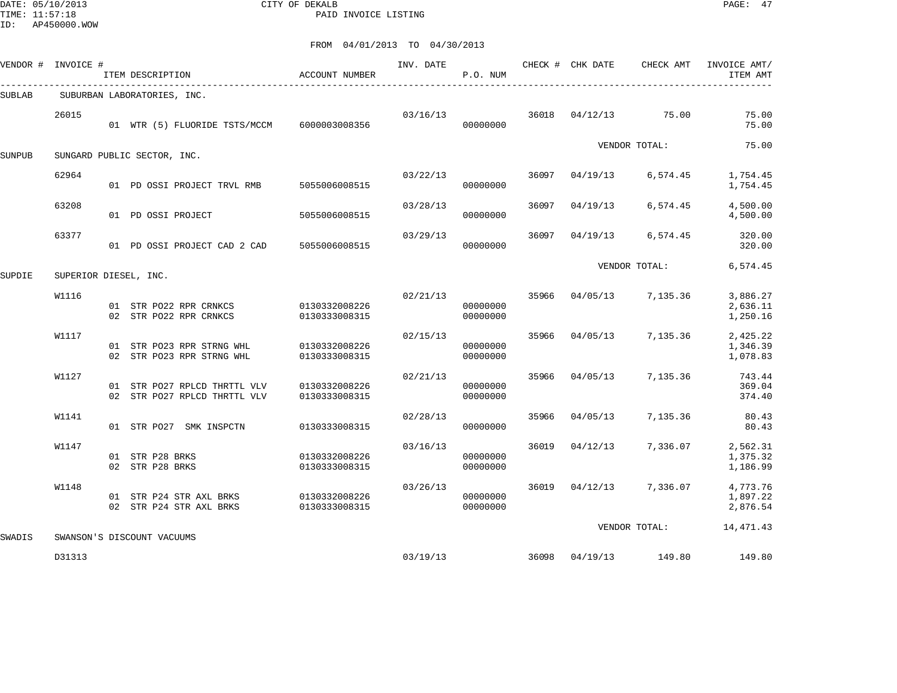DATE: 05/10/2013 CITY OF DEKALB PAGE: 47 PAID INVOICE LISTING

|        | VENDOR # INVOICE #    |                                                                                                                                                                                                                                                                                                                                                                                                                                                                                                                                                                                                                                                                                                                                                                                                                                                                                                                                                                                                                                                                                                                            | <b>ACCOUNT NUMBER</b> | INV. DATE | P.O. NUM |       |          | CHECK AMT               | INVOICE AMT/<br>ITEM AMT         |
|--------|-----------------------|----------------------------------------------------------------------------------------------------------------------------------------------------------------------------------------------------------------------------------------------------------------------------------------------------------------------------------------------------------------------------------------------------------------------------------------------------------------------------------------------------------------------------------------------------------------------------------------------------------------------------------------------------------------------------------------------------------------------------------------------------------------------------------------------------------------------------------------------------------------------------------------------------------------------------------------------------------------------------------------------------------------------------------------------------------------------------------------------------------------------------|-----------------------|-----------|----------|-------|----------|-------------------------|----------------------------------|
| SUBLAB |                       | CHECK # CHK DATE<br>ITEM DESCRIPTION<br>SUBURBAN LABORATORIES, INC.<br>03/16/13<br>01 WTR (5) FLUORIDE TSTS/MCCM 6000003008356<br>00000000<br>SUNGARD PUBLIC SECTOR, INC.<br>03/22/13<br>01 PD OSSI PROJECT TRVL RMB 5055006008515<br>00000000<br>03/28/13<br>01 PD OSSI PROJECT<br>5055006008515<br>00000000<br>03/29/13<br>01 PD OSSI PROJECT CAD 2 CAD 5055006008515<br>00000000<br>02/21/13<br>01 STR PO22 RPR CRNKCS 0130332008226<br>00000000<br>02 STR PO22 RPR CRNKCS<br>0130333008315<br>00000000<br>02/15/13<br>0130332008226<br>01 STR PO23 RPR STRNG WHL<br>00000000<br>02 STR PO23 RPR STRNG WHL<br>00000000<br>0130333008315<br>02/21/13<br>01 STR PO27 RPLCD THRTTL VLV<br>0130332008226<br>00000000<br>02 STR PO27 RPLCD THRTTL VLV<br>0130333008315<br>00000000<br>02/28/13<br>01 STR PO27 SMK INSPCTN<br>0130333008315<br>00000000<br>03/16/13<br>01 STR P28 BRKS<br>0130332008226<br>00000000<br>02 STR P28 BRKS<br>0130333008315<br>00000000<br>03/26/13<br>0130332008226<br>01 STR P24 STR AXL BRKS<br>00000000<br>02 STR P24 STR AXL BRKS<br>0130333008315<br>00000000<br>SWANSON'S DISCOUNT VACUUMS |                       |           |          |       |          |                         |                                  |
|        | 26015                 |                                                                                                                                                                                                                                                                                                                                                                                                                                                                                                                                                                                                                                                                                                                                                                                                                                                                                                                                                                                                                                                                                                                            |                       |           |          |       |          | 36018 04/12/13 75.00    | 75.00<br>75.00                   |
| SUNPUB |                       |                                                                                                                                                                                                                                                                                                                                                                                                                                                                                                                                                                                                                                                                                                                                                                                                                                                                                                                                                                                                                                                                                                                            |                       |           |          |       |          | VENDOR TOTAL:           | 75.00                            |
|        | 62964                 |                                                                                                                                                                                                                                                                                                                                                                                                                                                                                                                                                                                                                                                                                                                                                                                                                                                                                                                                                                                                                                                                                                                            |                       |           |          | 36097 | 04/19/13 | 6,574.45                | 1,754.45<br>1,754.45             |
|        | 63208                 |                                                                                                                                                                                                                                                                                                                                                                                                                                                                                                                                                                                                                                                                                                                                                                                                                                                                                                                                                                                                                                                                                                                            |                       |           |          | 36097 | 04/19/13 | 6,574.45                | 4,500.00<br>4,500.00             |
|        | 63377                 |                                                                                                                                                                                                                                                                                                                                                                                                                                                                                                                                                                                                                                                                                                                                                                                                                                                                                                                                                                                                                                                                                                                            |                       |           |          | 36097 | 04/19/13 | 6,574.45                | 320.00<br>320.00                 |
| SUPDIE | SUPERIOR DIESEL, INC. |                                                                                                                                                                                                                                                                                                                                                                                                                                                                                                                                                                                                                                                                                                                                                                                                                                                                                                                                                                                                                                                                                                                            |                       |           |          |       |          | VENDOR TOTAL:           | 6,574.45                         |
|        | W1116                 |                                                                                                                                                                                                                                                                                                                                                                                                                                                                                                                                                                                                                                                                                                                                                                                                                                                                                                                                                                                                                                                                                                                            |                       |           |          |       |          | 35966 04/05/13 7,135.36 | 3,886.27<br>2,636.11<br>1,250.16 |
|        | W1117                 |                                                                                                                                                                                                                                                                                                                                                                                                                                                                                                                                                                                                                                                                                                                                                                                                                                                                                                                                                                                                                                                                                                                            |                       |           |          |       |          | 35966 04/05/13 7,135.36 | 2,425.22<br>1,346.39<br>1,078.83 |
|        | W1127                 |                                                                                                                                                                                                                                                                                                                                                                                                                                                                                                                                                                                                                                                                                                                                                                                                                                                                                                                                                                                                                                                                                                                            |                       |           |          | 35966 |          | 04/05/13 7,135.36       | 743.44<br>369.04<br>374.40       |
|        | W1141                 |                                                                                                                                                                                                                                                                                                                                                                                                                                                                                                                                                                                                                                                                                                                                                                                                                                                                                                                                                                                                                                                                                                                            |                       |           |          | 35966 | 04/05/13 | 7,135.36                | 80.43<br>80.43                   |
|        | W1147                 |                                                                                                                                                                                                                                                                                                                                                                                                                                                                                                                                                                                                                                                                                                                                                                                                                                                                                                                                                                                                                                                                                                                            |                       |           |          | 36019 | 04/12/13 | 7,336.07                | 2,562.31<br>1,375.32<br>1,186.99 |
|        | W1148                 |                                                                                                                                                                                                                                                                                                                                                                                                                                                                                                                                                                                                                                                                                                                                                                                                                                                                                                                                                                                                                                                                                                                            |                       |           |          |       |          | 36019 04/12/13 7,336.07 | 4,773.76<br>1,897.22<br>2,876.54 |
| SWADIS |                       |                                                                                                                                                                                                                                                                                                                                                                                                                                                                                                                                                                                                                                                                                                                                                                                                                                                                                                                                                                                                                                                                                                                            |                       |           |          |       |          | VENDOR TOTAL:           | 14, 471. 43                      |
|        | D31313                |                                                                                                                                                                                                                                                                                                                                                                                                                                                                                                                                                                                                                                                                                                                                                                                                                                                                                                                                                                                                                                                                                                                            |                       | 03/19/13  |          |       |          | 36098 04/19/13 149.80   | 149.80                           |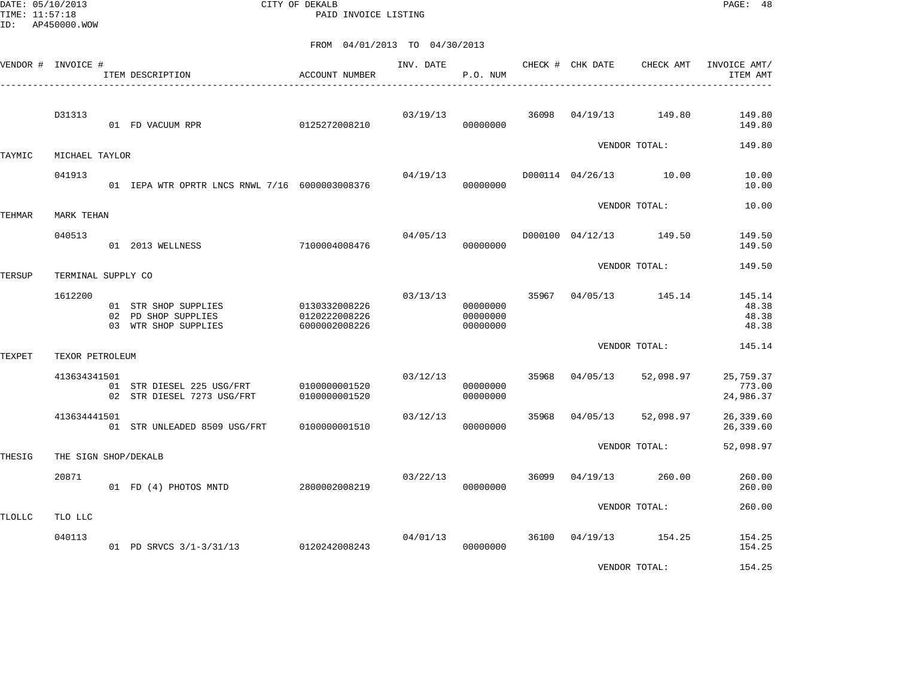DATE: 05/10/2013 CITY OF DEKALB PAGE: 48 PAID INVOICE LISTING

|               | VENDOR # INVOICE #   | ITEM DESCRIPTION<br>____________________________________            | ACCOUNT NUMBER                                  | INV. DATE | P.O. NUM                         |       | CHECK # CHK DATE | CHECK AMT               | INVOICE AMT/<br>ITEM AMT          |
|---------------|----------------------|---------------------------------------------------------------------|-------------------------------------------------|-----------|----------------------------------|-------|------------------|-------------------------|-----------------------------------|
|               | D31313               | 01 FD VACUUM RPR                                                    | 0125272008210                                   | 03/19/13  | 00000000                         | 36098 | 04/19/13         | 149.80                  | 149.80<br>149.80                  |
| TAYMIC        | MICHAEL TAYLOR       |                                                                     |                                                 |           |                                  |       |                  | VENDOR TOTAL:           | 149.80                            |
|               | 041913               | 01 IEPA WTR OPRTR LNCS RNWL 7/16 6000003008376                      |                                                 | 04/19/13  | 00000000                         |       |                  | D000114 04/26/13 10.00  | 10.00<br>10.00                    |
| TEHMAR        | MARK TEHAN           |                                                                     |                                                 |           |                                  |       |                  | VENDOR TOTAL:           | 10.00                             |
|               | 040513               | 7100004008476<br>01 2013 WELLNESS                                   |                                                 | 04/05/13  | 00000000                         |       |                  | D000100 04/12/13 149.50 | 149.50<br>149.50                  |
| TERSUP        | TERMINAL SUPPLY CO   |                                                                     |                                                 |           |                                  |       |                  | VENDOR TOTAL:           | 149.50                            |
|               | 1612200              | 01 STR SHOP SUPPLIES<br>02 PD SHOP SUPPLIES<br>03 WTR SHOP SUPPLIES | 0130332008226<br>0120222008226<br>6000002008226 | 03/13/13  | 00000000<br>00000000<br>00000000 | 35967 | 04/05/13         | 145.14                  | 145.14<br>48.38<br>48.38<br>48.38 |
| TEXPET        | TEXOR PETROLEUM      |                                                                     |                                                 |           |                                  |       |                  | VENDOR TOTAL:           | 145.14                            |
|               | 413634341501         | 01 STR DIESEL 225 USG/FRT<br>02 STR DIESEL 7273 USG/FRT             | 0100000001520<br>0100000001520                  | 03/12/13  | 00000000<br>00000000             | 35968 | 04/05/13         | 52,098.97               | 25,759.37<br>773.00<br>24,986.37  |
|               | 413634441501         | 01 STR UNLEADED 8509 USG/FRT                                        | 0100000001510                                   | 03/12/13  | 00000000                         | 35968 | 04/05/13         | 52,098.97               | 26,339.60<br>26,339.60            |
| THESIG        | THE SIGN SHOP/DEKALB |                                                                     |                                                 |           |                                  |       |                  | VENDOR TOTAL:           | 52,098.97                         |
|               | 20871                | 01 FD (4) PHOTOS MNTD                                               | 2800002008219                                   | 03/22/13  | 00000000                         | 36099 | 04/19/13         | 260.00                  | 260.00<br>260.00                  |
| <b>TLOLLC</b> | TLO LLC              |                                                                     |                                                 |           |                                  |       |                  | VENDOR TOTAL:           | 260.00                            |
|               | 040113               | 01 PD SRVCS 3/1-3/31/13                                             | 0120242008243                                   | 04/01/13  | 00000000                         |       | 36100 04/19/13   | 154.25                  | 154.25<br>154.25                  |
|               |                      |                                                                     |                                                 |           |                                  |       |                  | VENDOR TOTAL:           | 154.25                            |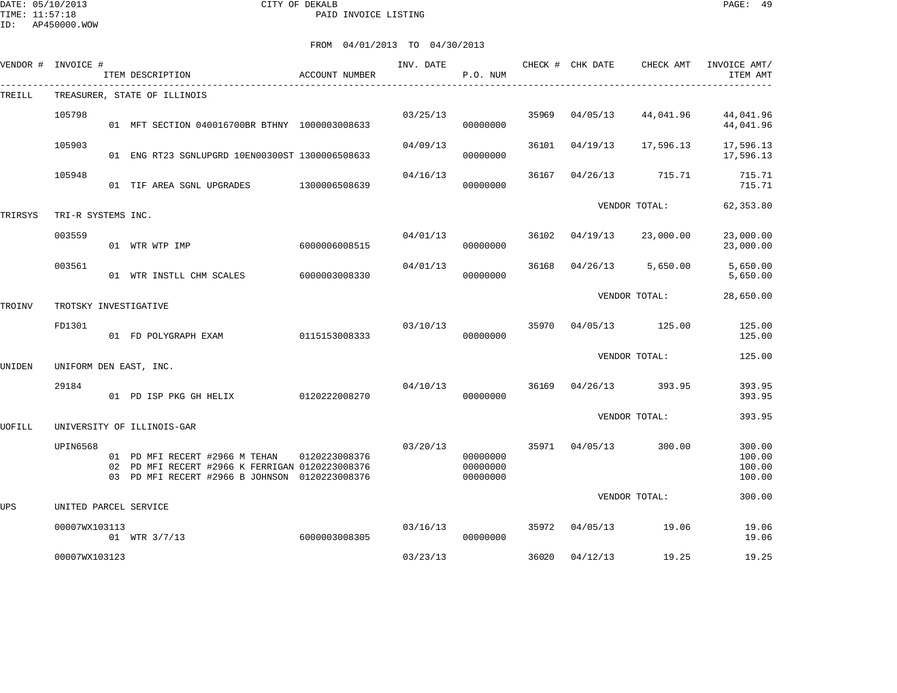DATE: 05/10/2013 CITY OF DEKALB PAGE: 49 PAID INVOICE LISTING

| VENDOR # | INVOICE #             | ITEM DESCRIPTION                                                                                                                                  | <b>ACCOUNT NUMBER</b> | INV. DATE | P.O. NUM                                                                                                                                                                                                                                                                                                                                                                                                                                                                                                                             |       |          | CHECK AMT | INVOICE AMT/<br>ITEM AMT             |
|----------|-----------------------|---------------------------------------------------------------------------------------------------------------------------------------------------|-----------------------|-----------|--------------------------------------------------------------------------------------------------------------------------------------------------------------------------------------------------------------------------------------------------------------------------------------------------------------------------------------------------------------------------------------------------------------------------------------------------------------------------------------------------------------------------------------|-------|----------|-----------|--------------------------------------|
| TREILL   |                       | --------------------------------------<br>TREASURER, STATE OF ILLINOIS                                                                            |                       |           | CHECK # CHK DATE<br>35969<br>04/05/13<br>44,041.96<br>00000000<br>36101<br>17,596.13<br>04/19/13<br>00000000<br>36167<br>04/26/13<br>715.71<br>00000000<br>VENDOR TOTAL:<br>36102<br>04/19/13<br>23,000.00<br>00000000<br>36168<br>5,650.00<br>04/26/13<br>00000000<br>VENDOR TOTAL:<br>35970 04/05/13<br>125.00<br>00000000<br>VENDOR TOTAL:<br>36169<br>04/26/13<br>393.95<br>00000000<br>VENDOR TOTAL:<br>35971<br>04/05/13<br>300.00<br>00000000<br>00000000<br>00000000<br>VENDOR TOTAL:<br>35972 04/05/13<br>19.06<br>00000000 |       |          |           |                                      |
|          | 105798                | 01 MFT SECTION 040016700BR BTHNY 1000003008633                                                                                                    |                       | 03/25/13  |                                                                                                                                                                                                                                                                                                                                                                                                                                                                                                                                      |       |          |           | 44,041.96<br>44,041.96               |
|          | 105903                | 01 ENG RT23 SGNLUPGRD 10EN00300ST 1300006508633                                                                                                   |                       | 04/09/13  |                                                                                                                                                                                                                                                                                                                                                                                                                                                                                                                                      |       |          |           | 17,596.13<br>17,596.13               |
|          | 105948                | 01 TIF AREA SGNL UPGRADES                                                                                                                         | 1300006508639         | 04/16/13  |                                                                                                                                                                                                                                                                                                                                                                                                                                                                                                                                      |       |          |           | 715.71<br>715.71                     |
| TRIRSYS  | TRI-R SYSTEMS INC.    |                                                                                                                                                   |                       |           |                                                                                                                                                                                                                                                                                                                                                                                                                                                                                                                                      |       |          |           | 62, 353.80                           |
|          | 003559                | 01 WTR WTP IMP                                                                                                                                    | 6000006008515         | 04/01/13  |                                                                                                                                                                                                                                                                                                                                                                                                                                                                                                                                      |       |          |           | 23,000.00<br>23,000.00               |
|          | 003561                | 01 WTR INSTLL CHM SCALES                                                                                                                          | 6000003008330         | 04/01/13  |                                                                                                                                                                                                                                                                                                                                                                                                                                                                                                                                      |       |          |           | 5,650.00<br>5,650.00                 |
| TROINV   | TROTSKY INVESTIGATIVE |                                                                                                                                                   |                       |           |                                                                                                                                                                                                                                                                                                                                                                                                                                                                                                                                      |       |          | 28,650.00 |                                      |
|          | FD1301                | 01 FD POLYGRAPH EXAM                                                                                                                              | 0115153008333         | 03/10/13  |                                                                                                                                                                                                                                                                                                                                                                                                                                                                                                                                      |       |          |           | 125.00<br>125.00                     |
| UNIDEN   |                       | UNIFORM DEN EAST, INC.                                                                                                                            |                       |           |                                                                                                                                                                                                                                                                                                                                                                                                                                                                                                                                      |       |          |           | 125.00                               |
|          | 29184                 | 01 PD ISP PKG GH HELIX                                                                                                                            | 0120222008270         | 04/10/13  |                                                                                                                                                                                                                                                                                                                                                                                                                                                                                                                                      |       |          |           | 393.95<br>393.95                     |
| UOFILL   |                       | UNIVERSITY OF ILLINOIS-GAR                                                                                                                        |                       |           |                                                                                                                                                                                                                                                                                                                                                                                                                                                                                                                                      |       |          |           | 393.95                               |
|          | UPIN6568              | 01 PD MFI RECERT #2966 M TEHAN 0120223008376<br>02 PD MFI RECERT #2966 K FERRIGAN 0120223008376<br>03 PD MFI RECERT #2966 B JOHNSON 0120223008376 |                       | 03/20/13  |                                                                                                                                                                                                                                                                                                                                                                                                                                                                                                                                      |       |          |           | 300.00<br>100.00<br>100.00<br>100.00 |
| UPS      | UNITED PARCEL SERVICE |                                                                                                                                                   |                       |           |                                                                                                                                                                                                                                                                                                                                                                                                                                                                                                                                      |       |          |           | 300.00                               |
|          | 00007WX103113         | 01 WTR 3/7/13                                                                                                                                     | 6000003008305         | 03/16/13  |                                                                                                                                                                                                                                                                                                                                                                                                                                                                                                                                      |       |          |           | 19.06<br>19.06                       |
|          | 00007WX103123         |                                                                                                                                                   |                       | 03/23/13  |                                                                                                                                                                                                                                                                                                                                                                                                                                                                                                                                      | 36020 | 04/12/13 | 19.25     | 19.25                                |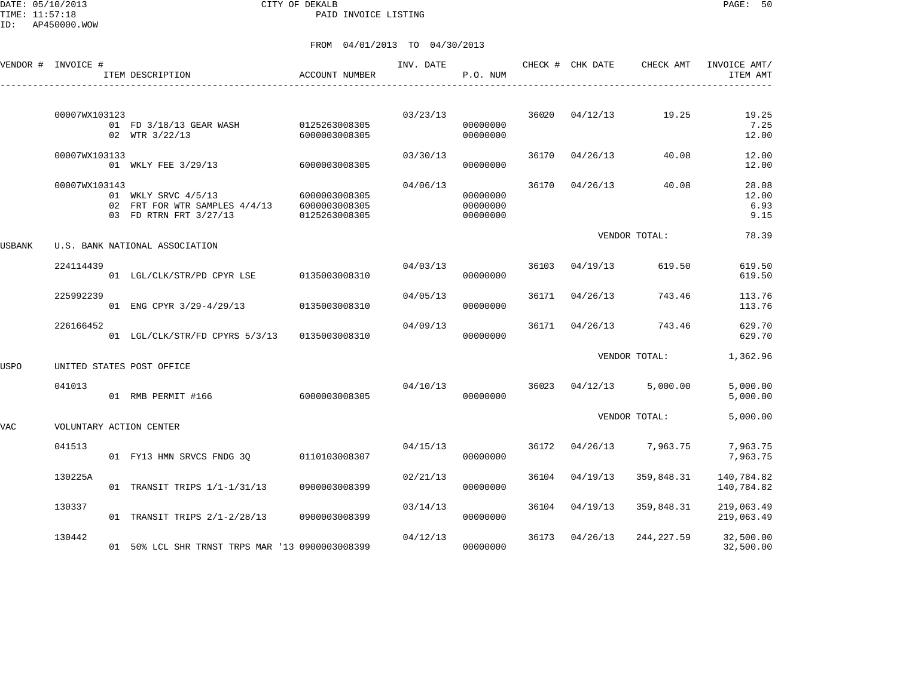DATE: 05/10/2013 CITY OF DEKALB PAGE: 50 PAID INVOICE LISTING

ID: AP450000.WOW

|        | VENDOR # INVOICE # | ITEM DESCRIPTION                                                                             | <b>ACCOUNT NUMBER</b>          | INV. DATE | P.O. NUM                         |       | CHECK # CHK DATE | CHECK AMT               | INVOICE AMT/<br>ITEM AMT       |
|--------|--------------------|----------------------------------------------------------------------------------------------|--------------------------------|-----------|----------------------------------|-------|------------------|-------------------------|--------------------------------|
|        | 00007WX103123      | 01 FD 3/18/13 GEAR WASH 0125263008305<br>02 WTR 3/22/13                                      | 6000003008305                  | 03/23/13  | 00000000<br>00000000             |       | 36020 04/12/13   | 19.25                   | 19.25<br>7.25<br>12.00         |
|        | 00007WX103133      | 01 WKLY FEE 3/29/13                                                                          | 6000003008305                  | 03/30/13  | 00000000                         | 36170 | 04/26/13         | 40.08                   | 12.00<br>12.00                 |
|        | 00007WX103143      | 01 WKLY SRVC 4/5/13<br>02 FRT FOR WTR SAMPLES 4/4/13 6000003008305<br>03 FD RTRN FRT 3/27/13 | 6000003008305<br>0125263008305 | 04/06/13  | 00000000<br>00000000<br>00000000 |       | 36170 04/26/13   | 40.08                   | 28.08<br>12.00<br>6.93<br>9.15 |
| USBANK |                    | U.S. BANK NATIONAL ASSOCIATION                                                               |                                |           |                                  |       |                  | VENDOR TOTAL:           | 78.39                          |
|        | 224114439          | 01 LGL/CLK/STR/PD CPYR LSE 0135003008310                                                     |                                | 04/03/13  | 00000000                         |       | 36103 04/19/13   | 619.50                  | 619.50<br>619.50               |
|        | 225992239          | 01 ENG CPYR 3/29-4/29/13 0135003008310                                                       |                                | 04/05/13  | 00000000                         | 36171 | 04/26/13         | 743.46                  | 113.76<br>113.76               |
|        | 226166452          | 01 LGL/CLK/STR/FD CPYRS 5/3/13 0135003008310                                                 |                                | 04/09/13  | 00000000                         |       | 36171 04/26/13   | 743.46                  | 629.70<br>629.70               |
| USPO   |                    | UNITED STATES POST OFFICE                                                                    |                                |           |                                  |       |                  | VENDOR TOTAL:           | 1,362.96                       |
|        | 041013             | 01 RMB PERMIT #166                                                                           | 6000003008305                  | 04/10/13  | 00000000                         |       |                  | 36023 04/12/13 5,000.00 | 5,000.00<br>5,000.00           |
| VAC    |                    | VOLUNTARY ACTION CENTER                                                                      |                                |           |                                  |       |                  | VENDOR TOTAL:           | 5,000.00                       |
|        | 041513             | 01 FY13 HMN SRVCS FNDG 3Q                                                                    | 0110103008307                  | 04/15/13  | 00000000                         |       | 36172 04/26/13   | 7,963.75                | 7,963.75<br>7,963.75           |
|        | 130225A            | 01 TRANSIT TRIPS 1/1-1/31/13                                                                 | 0900003008399                  | 02/21/13  | 00000000                         | 36104 | 04/19/13         | 359,848.31              | 140,784.82<br>140,784.82       |
|        | 130337             | 01 TRANSIT TRIPS 2/1-2/28/13                                                                 | 0900003008399                  | 03/14/13  | 00000000                         | 36104 | 04/19/13         | 359,848.31              | 219,063.49<br>219,063.49       |
|        | 130442             | 01 50% LCL SHR TRNST TRPS MAR '13 0900003008399                                              |                                | 04/12/13  | 00000000                         |       | 36173 04/26/13   | 244,227.59              | 32,500.00<br>32,500.00         |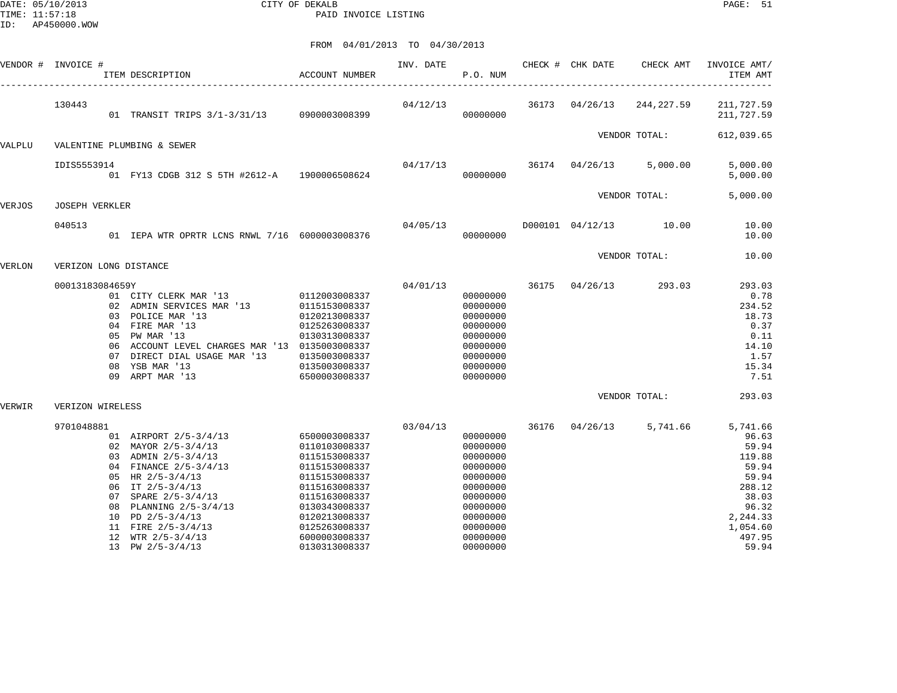DATE: 05/10/2013 CITY OF DEKALB PAGE: 51 PAID INVOICE LISTING

|        | VENDOR # INVOICE #    | ACCOUNT NUMBER<br>ITEM DESCRIPTION                                                                                                                                                                                                                                                                         |                                                                                                                                                                                         | INV. DATE | P.O. NUM                                                                                                                                     | CHECK # CHK DATE | CHECK AMT                          | INVOICE AMT/<br>ITEM AMT                                                                                                      |
|--------|-----------------------|------------------------------------------------------------------------------------------------------------------------------------------------------------------------------------------------------------------------------------------------------------------------------------------------------------|-----------------------------------------------------------------------------------------------------------------------------------------------------------------------------------------|-----------|----------------------------------------------------------------------------------------------------------------------------------------------|------------------|------------------------------------|-------------------------------------------------------------------------------------------------------------------------------|
|        | 130443                | 01 TRANSIT TRIPS 3/1-3/31/13 0900003008399                                                                                                                                                                                                                                                                 |                                                                                                                                                                                         | 04/12/13  | 00000000                                                                                                                                     |                  | 36173 04/26/13 244,227.59          | 211,727.59<br>211,727.59                                                                                                      |
|        |                       |                                                                                                                                                                                                                                                                                                            |                                                                                                                                                                                         |           |                                                                                                                                              |                  | VENDOR TOTAL:                      | 612,039.65                                                                                                                    |
| VALPLU |                       | VALENTINE PLUMBING & SEWER                                                                                                                                                                                                                                                                                 |                                                                                                                                                                                         |           |                                                                                                                                              |                  |                                    |                                                                                                                               |
|        | IDIS5553914           | 01 FY13 CDGB 312 S 5TH #2612-A 1900006508624                                                                                                                                                                                                                                                               |                                                                                                                                                                                         |           | 00000000                                                                                                                                     |                  | $04/17/13$ 36174 04/26/13 5,000.00 | 5,000.00<br>5,000.00                                                                                                          |
|        |                       |                                                                                                                                                                                                                                                                                                            |                                                                                                                                                                                         |           |                                                                                                                                              |                  | VENDOR TOTAL:                      | 5,000.00                                                                                                                      |
| VERJOS | <b>JOSEPH VERKLER</b> |                                                                                                                                                                                                                                                                                                            |                                                                                                                                                                                         |           |                                                                                                                                              |                  |                                    |                                                                                                                               |
|        | 040513                | 01 IEPA WTR OPRTR LCNS RNWL 7/16 6000003008376                                                                                                                                                                                                                                                             |                                                                                                                                                                                         | 04/05/13  | 00000000                                                                                                                                     |                  | D000101 04/12/13 10.00             | 10.00<br>10.00                                                                                                                |
|        |                       |                                                                                                                                                                                                                                                                                                            |                                                                                                                                                                                         |           |                                                                                                                                              |                  | VENDOR TOTAL:                      | 10.00                                                                                                                         |
| VERLON | VERIZON LONG DISTANCE |                                                                                                                                                                                                                                                                                                            |                                                                                                                                                                                         |           |                                                                                                                                              |                  |                                    |                                                                                                                               |
|        | 00013183084659Y       | 01 CITY CLERK MAR '13 0112003008337<br>02 ADMIN SERVICES MAR '13 0115153008337<br>03 POLICE MAR '13<br>04 FIRE MAR '13<br>05 PW MAR '13<br>06 ACCOUNT LEVEL CHARGES MAR '13 0135003008337<br>07 DIRECT DIAL USAGE MAR '13<br>08 YSB MAR '13<br>09 ARPT MAR '13<br>6500003008337                            | 0120213008337<br>0125263008337<br>0130313008337<br>0135003008337<br>0135003008337                                                                                                       |           | 04/01/13 36175<br>00000000<br>00000000<br>00000000<br>00000000<br>00000000<br>00000000<br>00000000<br>00000000<br>00000000                   | 04/26/13         | 293.03                             | 293.03<br>0.78<br>234.52<br>18.73<br>0.37<br>0.11<br>14.10<br>1.57<br>15.34<br>7.51                                           |
| VERWIR | VERIZON WIRELESS      |                                                                                                                                                                                                                                                                                                            |                                                                                                                                                                                         |           |                                                                                                                                              |                  | VENDOR TOTAL:                      | 293.03                                                                                                                        |
|        | 9701048881            | 01 AIRPORT 2/5-3/4/13 6500003008337<br>02 MAYOR 2/5-3/4/13<br>03 ADMIN 2/5-3/4/13<br>04 FINANCE 2/5-3/4/13<br>05 HR $2/5 - 3/4/13$<br>06 IT $2/5 - 3/4/13$<br>07 SPARE 2/5-3/4/13<br>08 PLANNING 2/5-3/4/13<br>10 PD $2/5 - 3/4/13$<br>11 FIRE 2/5-3/4/13<br>12 WTR $2/5 - 3/4/13$<br>13 PW $2/5 - 3/4/13$ | 0110103008337<br>0115153008337<br>0115153008337<br>0115153008337<br>0115163008337<br>0115163008337<br>0130343008337<br>0120213008337<br>0125263008337<br>6000003008337<br>0130313008337 | 03/04/13  | 00000000<br>00000000<br>00000000<br>00000000<br>00000000<br>00000000<br>00000000<br>00000000<br>00000000<br>00000000<br>00000000<br>00000000 |                  | 36176 04/26/13 5,741.66            | 5,741.66<br>96.63<br>59.94<br>119.88<br>59.94<br>59.94<br>288.12<br>38.03<br>96.32<br>2,244.33<br>1,054.60<br>497.95<br>59.94 |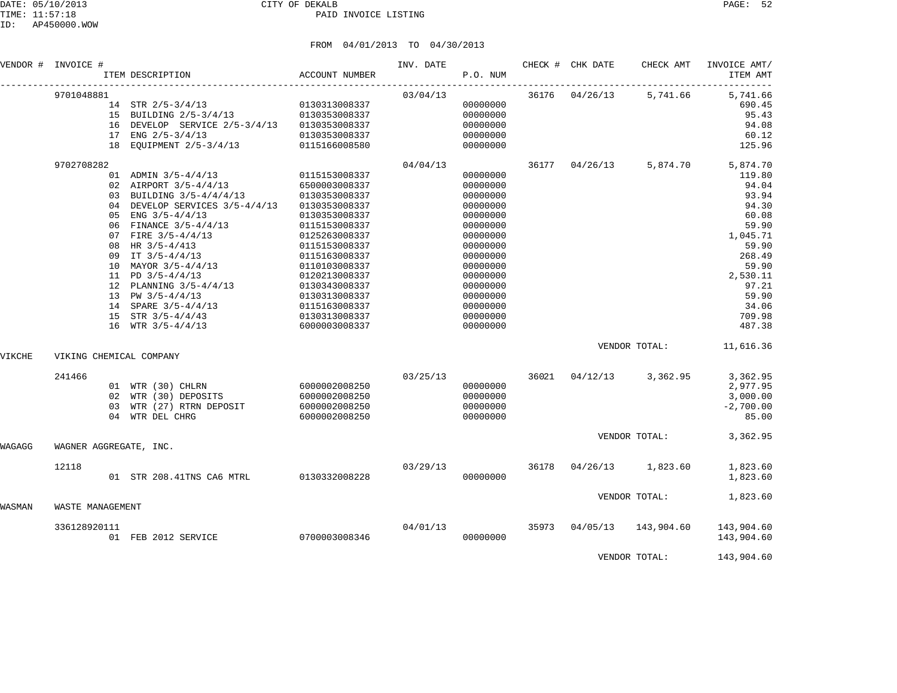|        | VENDOR # INVOICE #      | ITEM DESCRIPTION                                                                                                                                                                                                                                                                                                                                                                                                  | ACCOUNT NUMBER                                                                                                                                                                                                                                              | INV. DATE | P.O. NUM                                                                                                                                                                                     |       | CHECK # CHK DATE | CHECK AMT                 | INVOICE AMT/<br>ITEM AMT                                                                                                                                                    |
|--------|-------------------------|-------------------------------------------------------------------------------------------------------------------------------------------------------------------------------------------------------------------------------------------------------------------------------------------------------------------------------------------------------------------------------------------------------------------|-------------------------------------------------------------------------------------------------------------------------------------------------------------------------------------------------------------------------------------------------------------|-----------|----------------------------------------------------------------------------------------------------------------------------------------------------------------------------------------------|-------|------------------|---------------------------|-----------------------------------------------------------------------------------------------------------------------------------------------------------------------------|
|        | 9701048881              | $\begin{tabular}{llll} 14 & \text{STR} & 2/5-3/4/13 & \text{0130313008337} \\ \text{15 & \text{BULIDING} & 2/5-3/4/13 & \text{0130353008337} \end{tabular}$<br>16 DEVELOP SERVICE 2/5-3/4/13 0130353008337<br>17 ENG 2/5-3/4/13<br>18 EQUIPMENT 2/5-3/4/13 0115166008580                                                                                                                                          | 0130353008337                                                                                                                                                                                                                                               | 03/04/13  | 00000000<br>00000000<br>00000000<br>00000000<br>00000000                                                                                                                                     |       | 36176 04/26/13   | 5,741.66                  | 5,741.66<br>690.45<br>95.43<br>94.08<br>60.12<br>125.96                                                                                                                     |
|        | 9702708282              | 01 ADMIN 3/5-4/4/13 0115153008337<br>02 AIRPORT 3/5-4/4/13<br>03 BUILDING 3/5-4/4/4/13<br>04 DEVELOP SERVICES 3/5-4/4/13<br>05 ENG $3/5 - 4/4/13$<br>06 FINANCE 3/5-4/4/13<br>07 FIRE 3/5-4/4/13<br>08 HR 3/5-4/413<br>09 IT 3/5-4/4/13<br>10 MAYOR 3/5-4/4/13<br>11 PD $3/5 - 4/4/13$<br>12 PLANNING 3/5-4/4/13<br>13 PW $3/5 - 4/4/13$<br>14 SPARE 3/5-4/4/13<br>15 STR $3/5 - 4/4/43$<br>16 WTR $3/5 - 4/4/13$ | 6500003008337<br>0130353008337<br>0130353008337<br>0130353008337<br>0115153008337<br>0125263008337<br>0115153008337<br>0115163008337<br>0110103008337<br>0120213008337<br>0130343008337<br>0130313008337<br>0115163008337<br>0130313008337<br>6000003008337 | 04/04/13  | 00000000<br>00000000<br>00000000<br>00000000<br>00000000<br>00000000<br>00000000<br>00000000<br>00000000<br>00000000<br>00000000<br>00000000<br>00000000<br>00000000<br>00000000<br>00000000 |       | 36177 04/26/13   |                           | 5,874.70 5,874.70<br>119.80<br>94.04<br>93.94<br>94.30<br>60.08<br>59.90<br>1,045.71<br>59.90<br>268.49<br>59.90<br>2,530.11<br>97.21<br>59.90<br>34.06<br>709.98<br>487.38 |
| VIKCHE | VIKING CHEMICAL COMPANY |                                                                                                                                                                                                                                                                                                                                                                                                                   |                                                                                                                                                                                                                                                             |           |                                                                                                                                                                                              |       |                  |                           | VENDOR TOTAL: 11,616.36                                                                                                                                                     |
|        | 241466                  | 01 WTR (30) CHLRN 6000002008250<br>02 WTR (30) DEPOSITS<br>03 WTR (27) RTRN DEPOSIT<br>04 WTR DEL CHRG                                                                                                                                                                                                                                                                                                            | 6000002008250<br>6000002008250<br>6000002008250                                                                                                                                                                                                             | 03/25/13  | 00000000<br>00000000<br>00000000<br>00000000                                                                                                                                                 |       |                  | 36021 04/12/13 3,362.95   | 3,362.95<br>2,977.95<br>3,000.00<br>$-2,700.00$<br>85.00                                                                                                                    |
| WAGAGG | WAGNER AGGREGATE, INC.  |                                                                                                                                                                                                                                                                                                                                                                                                                   |                                                                                                                                                                                                                                                             |           |                                                                                                                                                                                              |       |                  | VENDOR TOTAL:             | 3,362.95                                                                                                                                                                    |
|        | 12118                   | 01 STR 208.41TNS CA6 MTRL 0130332008228                                                                                                                                                                                                                                                                                                                                                                           |                                                                                                                                                                                                                                                             | 03/29/13  | 00000000                                                                                                                                                                                     | 36178 |                  | $04/26/13$ 1,823.60       | 1,823.60<br>1,823.60                                                                                                                                                        |
| WASMAN | WASTE MANAGEMENT        |                                                                                                                                                                                                                                                                                                                                                                                                                   |                                                                                                                                                                                                                                                             |           |                                                                                                                                                                                              |       |                  | VENDOR TOTAL:             | 1,823.60                                                                                                                                                                    |
|        | 336128920111            | 01 FEB 2012 SERVICE                                                                                                                                                                                                                                                                                                                                                                                               | 0700003008346                                                                                                                                                                                                                                               | 04/01/13  | 00000000                                                                                                                                                                                     |       |                  | 35973 04/05/13 143,904.60 | 143,904.60<br>143,904.60                                                                                                                                                    |
|        |                         |                                                                                                                                                                                                                                                                                                                                                                                                                   |                                                                                                                                                                                                                                                             |           |                                                                                                                                                                                              |       |                  | VENDOR TOTAL:             | 143,904.60                                                                                                                                                                  |